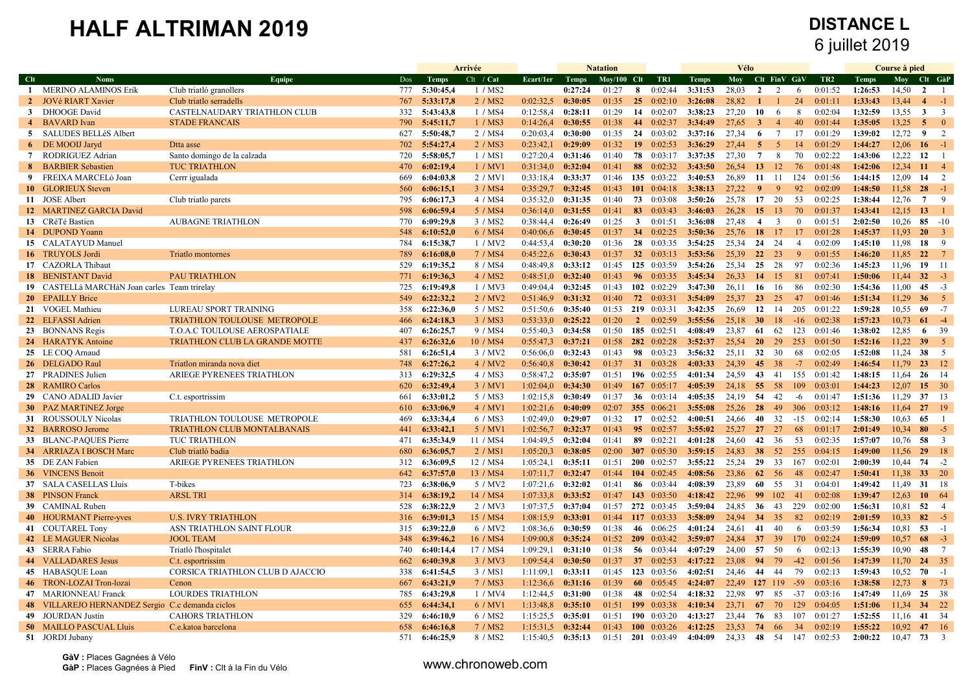|              |                                                  |                                    |            |                        | Arrivée            |           |                    | <b>Natation</b> |                |                                   |                    | Vélo           |                 |                 |                |                    |                    | Course à pied  |                 |                           |
|--------------|--------------------------------------------------|------------------------------------|------------|------------------------|--------------------|-----------|--------------------|-----------------|----------------|-----------------------------------|--------------------|----------------|-----------------|-----------------|----------------|--------------------|--------------------|----------------|-----------------|---------------------------|
| Clt          | <b>Noms</b>                                      | Equipe                             | Dos        | <b>Temps</b>           | Clt / Cat          | Ecart/1er | Temps              | $Moy/100$ Clt   |                | TR1                               | <b>Temps</b>       | <b>Moy</b>     | Clt FinV GàV    |                 |                | TR <sub>2</sub>    | <b>Temps</b>       | Moy            | Clt GàP         |                           |
|              | 1 MERINO ALAMINOS Erik                           | Club triatló granollers            | 777        | 5:30:45,4              | 1 / MS2            |           | 0:27:24            | 01:27           | 8              | 0:02:44                           | 3:31:53            | 28,03          | $\overline{2}$  | 2               | 6              | 0:01:52            | 1:26:53            | 14,50          | $\overline{2}$  | $\overline{1}$            |
| $\mathbf{2}$ | <b>JOVé RIART Xavier</b>                         | Club triatlo serradells            | 767        | 5:33:17,8              | 2 / MS2            | 0:02:32.5 | 0:30:05            | 01:35           |                | $25 \quad 0:02:10$                | 3:26:08            | 28,82          | $\mathbf{1}$    | $\mathbf{1}$    | 24             | 0:01:11            | 1:33:43            | 13.44          | $\overline{4}$  | $-1$                      |
| $\mathbf{3}$ | DHOOGE David                                     | CASTELNAUDARY TRIATHLON CLUB       | 332        | 5:43:43,8              | 1 / MS4            | 0:12:58,4 | 0:28:11            | 01:29           | 14             | 0:02:07                           | 3:38:23            | 27,20          | 10              | -6              | 8              | 0:02:04            | 1:32:59            | 13,55          | $\mathbf{3}$    | $\overline{\mathbf{3}}$   |
|              | 4 BAVARD Ivan                                    | <b>STADE FRANCAIS</b>              | 790        | 5:45:11,7              | 1 / MS3            | 0:14:26,4 | 0:30:55            | 01:38           | 44             | 0:02:37                           | 3:34:49            | 27,65          | $\mathbf{3}$    | $\overline{4}$  | 40             | 0.01:44            | 1:35:05            | 13,25          | $\overline{5}$  | $\overline{\phantom{0}}$  |
|              | 5 SALUDES BELLÉS Albert                          |                                    | 627        | 5:50:48,7              | 2 / MS4            | 0:20:03,4 | 0:30:00            | 01:35           | 24             | 0:03:02                           | 3:37:16            | 27,34          | 6               | $7\overline{ }$ | 17             | 0:01:29            | 1:39:02            | 12,72          | 9               | 2                         |
|              | 6 DE MOOIJ Jaryd                                 | Dtta asse                          | 702        | 5:54:27,4              | 2 / MS3            | 0:23:42,1 | 0:29:09            | 01:32           | 19             | 0:02:53                           | 3:36:29            | 27,44          | 5               | $\mathfrak{S}$  | 14             | 0:01:29            | 1:44:27            | 12,06          | $16 - 1$        |                           |
|              | 7 RODRIGUEZ Adrian                               | Santo domingo de la calzada        | 720        | 5:58:05.7              | 1 / MS1            | 0:27:20.4 | 0:31:46            | 01:40           |                | 78 0:03:17                        | 3:37:35            | 27.30          | $7\phantom{.0}$ | 8               | 70             | 0.02:22            | 1:43:06            | 12.22          | 12              | $\overline{1}$            |
| 8            | <b>BARBIER Sebastien</b>                         | <b>TUC TRIATHLON</b>               | 470        | 6:02:19.4              | 1 / MV1            | 0:31:34.0 | 0:32:04            | 01:41           | 88             | 0:02:32                           | 3:43:50            | 26,54          | 13              | <sup>12</sup>   | 76             | 0:01:48            | 1:42:06            | 12.34          | 11              | $\overline{4}$            |
| 9            | FREIXA MARCELó Joan                              | Cerrr igualada                     | 669        | 6:04:03.8              | 2 / MV1            | 0:33:18,4 | 0:33:37            | 01:46           |                | 135 0:03:22                       | 3:40:53            | 26,89          | 11              | 11              | 124            | 0:01:56            | 1:44:15            | 12.09          | 14              | $\overline{2}$            |
|              | 10 GLORIEUX Steven                               |                                    | 560        | 6:06:15,1              | 3 / MS4            | 0:35:29.7 | 0:32:45            | 01:43           |                | 101 $0:04:18$                     | 3:38:13            | 27.22          | $\overline{9}$  | 9               | 92             | 0.02:09            | 1:48:50            | 11,58          | 28              | $-1$                      |
|              | 11 JOSE Albert                                   | Club triatlo parets                | 795        | 6:06:17,3              | 4 / MS4            | 0:35:32.0 | 0:31:35            | 01:40           | 73             | 0:03:08                           | 3:50:26            | 25,78          | 17              | 20              | 53             | 0:02:25            | 1:38:44            | 12,76          | $7\phantom{.0}$ | - 9                       |
|              | 12 MARTINEZ GARCIA David                         |                                    | 598        | 6:06:59,4              | 5 / MS4            | 0:36:14.0 | 0:31:55            | 01:41           | 83             | 0:03:43                           | 3:46:03            | 26,28          | 15              | -13             | 70             | 0:01:37            | 1:43:41            | 12,15          | 13              |                           |
|              | 13 CRéTé Bastien                                 | <b>AUBAGNE TRIATHLON</b>           | 770        | 6:09:29.8              | 3 / MS2            | 0:38:44,4 | 0:26:49            | 01:25           | $\mathbf{3}$   | 0:01:51                           | 3:36:08            | 27,48          | $\overline{4}$  | $\overline{3}$  | $\theta$       | 0:01:51            | 2:02:50            | 10.26          | $85 - 10$       |                           |
|              | 14 DUPOND Yoann                                  |                                    | 548        | 6:10:52.0              | 6 / MS4            | 0:40:06,6 | 0:30:45            | 01:37           | 34             | 0:02:25                           | 3:50:36            | 25.76          | <b>18</b>       | 17              | 17             | 0.01:28            | 1:45:37            | 11.93          | <b>20</b>       | $\overline{\phantom{a}3}$ |
|              | 15 CALATAYUD Manuel                              |                                    | 784        | 6:15:38.7              | 1/MV2              | 0:44:53.4 | 0:30:20            | 01:36           | 28             | 0:03:35                           | 3:54:25            | 25,34          | 24              | 24              | $\overline{4}$ | 0:02:09            | 1:45:10            | 11.98          | 18              | 9                         |
|              | 16 TRUYOLS Jordi                                 | <b>Triatlo montornes</b>           | 789        | 6:16:08,0              | 7 / MS4            | 0:45:22.6 | 0:30:43            | 01:37           |                | 32 $0:03:13$                      | 3:53:56            | 25,39          | $22 \t 23$      |                 | -9             | 0:01:55            | 1:46:20            | 11,85          | $22 \t 7$       |                           |
|              | 17 CAZORLA Thibaut                               |                                    | 529        | 6:19:35,2              | 8 / MS4            | 0:48:49.8 | 0:33:12            | 01:45           |                | 125 0:03:59                       | 3:54:26            | 25,34          | 25              | 28              | 97             | 0:02:36            | 1:45:23            | 11.96          | $19 \t11$       |                           |
|              | 18 BENISTANT David                               | <b>PAU TRIATHLON</b>               | 771        | 6:19:36,3              | 4 / MS2            | 0:48:51,0 | 0:32:40            | 01:43           | 96             | 0:03:35                           | 3:45:34            | 26,33          | 14              | 15              | 81             | 0:07:41            | 1:50:06            | 11,44          | $32 - 3$        |                           |
|              | 19 CASTELLà MARCHAN Joan carles Team trirelay    |                                    | 725        | 6:19:49.8              | 1/MV3              | 0:49:04,4 | 0:32:45            | 01:43           |                | 102 $0:02:29$                     | 3:47:30            | 26,11          | -16             | 16              | 86             | 0:02:30            | 1:54:36            | 11,00          | 45              | $-3$                      |
|              | 20 EPAILLY Brice                                 |                                    | 549        | 6:22:32.2              | 2 / MV2            | 0:51:46.9 | 0:31:32            | 01:40           |                | 72 0:03:31                        | 3:54:09            | 25.37          | <b>23</b>       | 25              | 47             | 0.01.46            | 1:51:34            | 11.29          | 36              | $\overline{5}$            |
|              | 21 VOGEL Mathieu                                 | LUREAU SPORT TRAINING              | 358        | 6:22:36,0              | 5 / MS2            | 0:51:50,6 | 0:35:40            | 01:53           |                | 219 0:03:31                       | 3:42:35            | 26,69          | 12              | 14              | 205            | 0:01:22            | 1:59:28            | 10.55          | 69              | $-7$                      |
|              | 22 ELFASSI Adrien                                | TRIATHLON TOULOUSE METROPOLE       | 466        | 6:24:18,3              | 3 / MS3            | 0:53:33.0 | 0:25:22            | 01:20           | $\overline{2}$ | 0:02:59                           | 3:55:56            | 25,18          | 30 <sup>°</sup> | 18              | $-16$          | 0:02:38            | 1:57:23            | 10,73          | 61              | $-4$                      |
|              | 23 BONNANS Regis                                 | T.O.A.C TOULOUSE AEROSPATIALE      | 407        | 6:26:25,7              | 9 / MS4            | 0:55:40.3 | 0:34:58            | 01:50           |                | 185 0:02:51                       | 4:08:49            | 23,87          | 61              | 62              | 123            | 0:01:46            | 1:38:02            | 12,85          | 6               | 39                        |
|              | 24 HARATYK Antoine                               | TRIATHLON CLUB LA GRANDE MOTTE     | 437        | 6:26:32.6              | 10 / MS4           | 0:55:47.3 | 0:37:21            | 01:58           |                | 282 0:02:28                       | 3:52:37            | 25,54          | <b>20</b>       | 29              | 253            | 0:01:50            | 1:52:16            | 11.22          | 39              | $\overline{5}$            |
|              | 25 LE COQ Arnaud                                 |                                    | 581        | 6:26:51.4              | 3/MV2              | 0:56:06.0 | 0:32:43            | 01:43           |                | 98 0:03:23                        | 3:56:32            | 25,11          | 32              | 30              | 68             | 0:02:05            | 1:52:08            | 11.24          | 38              | $5^{\circ}$               |
|              | 26 DELGADO Raul                                  | Triatlon miranda nova diet         | 748        | 6:27:26.2              | 4 / MV2            | 0.56.40.8 | 0:30:42            | 01:37           |                | 31 $0:03:28$                      | 4:03:33            | 24.39          | 45 <sup>°</sup> | 38              | $-7$           | 0:02:49            | 1:46:54            | 11.79          | $23 \t12$       |                           |
|              | 27 PRADINES Julien                               | ARIEGE PYRENEES TRIATHLON          | 313        | 6:29:32,5              | 4 / MS3            | 0:58:47,2 | 0:35:07            | 01:51           |                | 196 0:02:55                       | 4:01:34            | 24,59          | 43              | 41              | 155            | 0:01:42            | 1:48:15            | 11.64          | $26 \t14$       |                           |
|              | 28 RAMIRO Carlos                                 |                                    | 620        | 6:32:49,4              | 3 / MV1            | 1:02:04,0 | 0:34:30            | 01:49           | 167            | 0:05:17                           | 4:05:39            | 24,18          | 55              | 58              | 109            | 0:03:01            | 1:44:23            | 12,07          | 15 30           |                           |
|              |                                                  |                                    |            |                        |                    |           |                    |                 |                |                                   |                    |                |                 |                 |                |                    |                    |                |                 |                           |
|              | 29 CANO ADALID Javier                            | C.t. esportrissim                  | 661        | 6:33:01,2              | 5 / MS3            | 1:02:15,8 | 0:30:49            | 01:37           |                | 36 $0:03:14$                      | 4:05:35            | 24,19          | 54              | 42              | -6             | 0:01:47            | 1:51:36            | 11,29<br>11.64 | 37 13           | 19                        |
|              | 30 PAZ MARTINEZ Jorge                            |                                    | 610<br>469 | 6:33:06.9<br>6:33:34.4 | 4 / MV1<br>6 / MS3 | 1:02:21.6 | 0:40:09<br>0:29:07 | 02:07<br>01:32  |                | 355 0:06:21<br>$17 \quad 0:02:52$ | 3:55:08<br>4:00:51 | 25.26<br>24,66 | 28<br>40        | 49<br>32        | 306<br>$-15$   | 0.03.12<br>0.02:14 | 1:48:16<br>1:58:30 | 10,63          | 27<br>65        | $\overline{1}$            |
|              | 31 ROUSSOULY Nicolas                             | TRIATHLON TOULOUSE METROPOLE       |            |                        |                    | 1:02:49,0 |                    |                 |                |                                   |                    |                |                 |                 |                |                    |                    |                |                 |                           |
|              | 32 BARROSO Jerome                                | <b>TRIATHLON CLUB MONTALBANAIS</b> | 441        | 6:33:42,1              | 5 / MV1            | 1:02:56,7 | 0:32:37            | 01:43           |                | 95 $0:02:57$                      | 3:55:02            | 25,27          | 27              | 27              | 68             | 0:01:17            | 2:01:49            | 10,34          | 80<br>58 3      | $-5$                      |
|              | 33 BLANC-PAQUES Pierre                           | <b>TUC TRIATHLON</b>               | 471        | 6:35:34.9              | 11 / MS4           | 1:04:49.5 | 0:32:04            | 01:41           | 89             | 0:02:21                           | 4:01:28            | 24,60          | 42              | 36              | 53             | 0:02:35            | 1:57:07            | 10.76          |                 |                           |
|              | 34 ARRIAZA I BOSCH Marc                          | Club triatló badia                 | 680        | 6:36:05,7              | 2 / MS1            | 1:05:20.3 | 0:38:05            | 02:00           |                | 307 0:05:30                       | 3:59:15            | 24,83          | 38              | 52              | 255            | 0:04:15            | 1:49:00            | 11,56          | 29 18           |                           |
|              | 35 DE ZAN Fabien                                 | ARIEGE PYRENEES TRIATHLON          | 312        | 6:36:09,5              | 12 / MS4           | 1:05:24,1 | 0:35:11            | 01:51           |                | $200$ 0:02:57                     | 3:55:22            | 25,24          | 29              | 33              | 167            | 0:02:01            | 2:00:39            | 10,44          | $74 - 2$        |                           |
|              | 36 VINCENS Benoit                                |                                    | 642        | 6:37:57.0              | 13 / MS4           | 1:07:11.7 | 0:32:47            | 01:44           | <b>104</b>     | 0.02:45                           | 4:08:56            | 23.86          | <b>62</b>       | - 56            | 48             | 0.02:47            | 1:50:41            | 11.38          | 33 20           |                           |
|              | 37 SALA CASELLAS Lluis                           | T-bikes                            | 723        | 6:38:06.9              | 5 / MV2            | 1:07:21,6 | 0:32:02            | 01:41           |                | 86 0:03:44                        | 4:08:39            | 23.89          | 60              | 55              | 31             | 0:04:01            | 1:49:42            | 11.49          | 31 18           |                           |
|              | <b>38</b> PINSON Franck                          | <b>ARSL TRI</b>                    | 314        | 6:38:19,2              | 14 / MS4           | 1:07:33,8 | 0:33:52            | 01:47           | 143            | 0:03:50                           | 4:18:42            | 22,96          | 99              | 102             | 41             | 0:02:08            | 1:39:47            | 12,63          | $10 \t 64$      |                           |
|              | 39 CAMINAL Ruben                                 |                                    | 528        | 6:38:22,9              | 2 / MV3            | 1:07:37.5 | 0:37:04            | 01:57           |                | 272 0:03:45                       | 3:59:04            | 24,85          | 36              | 43              | 229            | 0:02:00            | 1:56:31            | 10,81          | 52              | $\overline{4}$            |
|              | 40 HOURMANT Pierre-yves                          | <b>U.S. IVRY TRIATHLON</b>         | 316        | 6:39:01,3              | 15 / MS4           | 1:08:15.9 | 0:33:01            | 01:44           |                | $117 \quad 0.03.33$               | 3:58:09            | 24,94          | 34              | 35              | 82             | 0.02:19            | 2:01:59            | 10.33          | 82              | $-5$                      |
|              | 41 COUTAREL Tony                                 | ASN TRIATHLON SAINT FLOUR          | 315        | 6:39:22,0              | 6 / MV2            | 1:08:36,6 | 0:30:59            | 01:38           | 46             | 0:06:25                           | 4:01:24            | 24,61          | 41              | 40              | 6              | 0:03:59            | 1:56:34            | 10,81          | $53 - 1$        |                           |
|              | 42 LE MAGUER Nicolas                             | <b>JOOL TEAM</b>                   | 348        | 6:39:46.2              | 16 / MS4           | 1:09:00.8 | 0:35:24            |                 |                | $01:52$ 209 $0:03:42$             | 3:59:07            | 24.84          | 37              | 39              | 170            | 0:02:24            | 1:59:09            | 10.57          | $68 - 3$        |                           |
|              | 43 SERRA Fabio                                   | Triatló l'hospitalet               | 740        | 6:40:14.4              | 17 / MS4           | 1:09:29.1 | 0:31:10            | 01:38           |                | 56 0:03:44                        | 4:07:29            | 24,00          | 57              | -50             | 6              | 0:02:13            | 1:55:39            | 10.90          | 48 7            |                           |
|              | 44 VALLADARES Jesus                              | C.t. esportrissim                  | 662        | 6:40:39,8              | 3 / MV3            | 1:09:54,4 | 0:30:50            | 01:37           |                | 37 $0:02:53$                      | 4:17:22            | 23,08          | 94              | 79              | $-42$          | 0:01:56            | 1:47:39            | 11,70          | 24 35           |                           |
|              | 45 HABASQUE Loan                                 | CORSICA TRIATHLON CLUB D AJACCIO   | 338        | 6:41:54,5              | 3 / MS1            | 1:11:09.1 | 0:33:11            | 01:45           |                | 123 0:03:56                       | 4:02:51            | 24,46          | 44              | 44              | 79             | 0:02:13            | 1:59:43            | 10,52          | 70              | $-1$                      |
|              | 46 TRON-LOZAI Tron-lozal                         | Cenon                              | 667        | 6:43:21,9              | 7 / MS3            | 1:12:36.6 | 0:31:16            | 01:39           | 60             | 0:05:45                           | 4:24:07            | 22,49          | 127 119         |                 | $-59$          | 0.03:16            | 1:38:58            | 12,73          | 8               | 73                        |
|              | 47 MARIONNEAU Franck                             | <b>LOURDES TRIATHLON</b>           | 785        | 6:43:29,8              | 1 / MV4            | 1:12:44,5 | 0:31:00            | 01:38           |                | 48 0:02:54                        | 4:18:32            | 22,98          | 97              | 85              | $-37$          | 0:03:16            | 1:47:49            | 11,69          | 25 38           |                           |
|              | 48 VILLAREJO HERNANDEZ Sergio C.c demanda ciclos |                                    | 655        | 6:44:34.1              | 6 / MV1            | 1:13:48,8 | 0:35:10            | 01:51           |                | 199 0:03:38                       | 4:10:34            | 23,71          | -67             | 70              | 129            | 0:04:05            | 1:51:06            | 11.34          | 34 22           |                           |
|              | 49 JOURDAN Justin                                | <b>CAHORS TRIATHLON</b>            | 329        | 6:46:10.9              | 6 / MS2            | 1:15:25.5 | 0:35:01            | 01:51           |                | 190 $0:03:20$                     | 4:13:27            | 23,44          | 76              | 83              | 107            | 0:01:27            | 1:52:55            | 11.16          | 41 34           |                           |
|              | <b>50 MAILLO PASCUAL Lluis</b>                   | C.e.katoa barcelona                | 658        | 6:46:16,8              | 7 / MS2            | 1:15:31,5 | 0:32:44            | 01:43           | 100            | 0:03:26                           | 4:12:25            | 23,53          | 74              | 66              | 34             | 0:02:19            | 1:55:22            | 10.92          | 47 16           |                           |
|              | 51 JORDI Jubany                                  |                                    | 571        | 6:46:25,9              | 8 / MS2            | 1:15:40.5 | 0:35:13            | 01:51           | 201            | 0:03:49                           | 4:04:09            | 24.33          | 48              | 54              | 147            | 0:02:53            | 2:00:22            | 10.47          | 73              | $\overline{3}$            |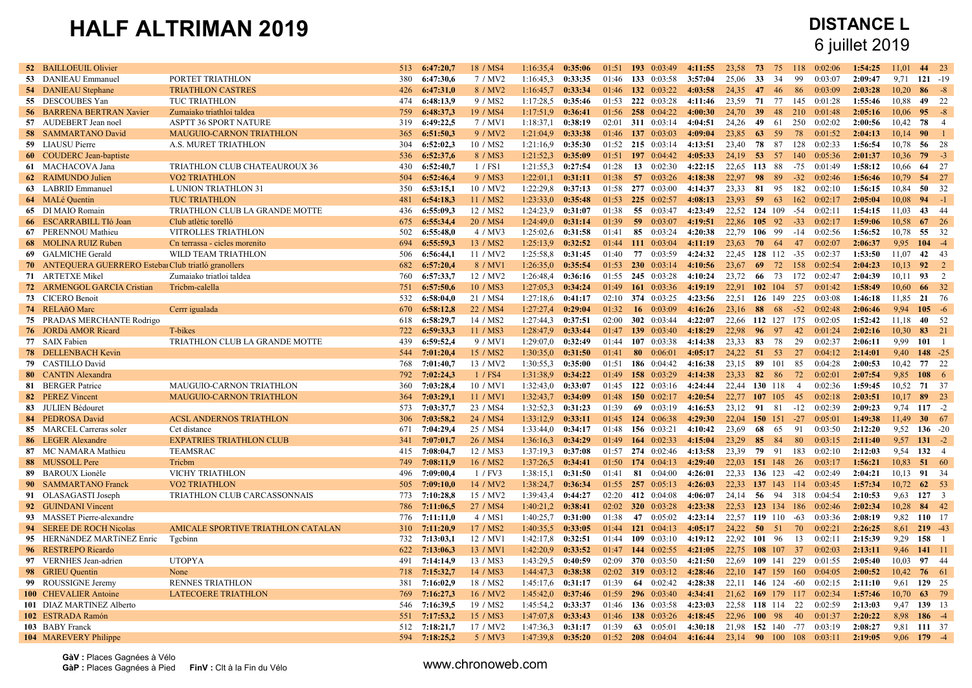## 6 juillet 2019

| <b>52 BAILLOEUIL Olivier</b>                          |                                    | 513 | 6:47:20.7 | 18 / MS4             | 1:16:35.4 | 0:35:06 | 01:51 | 193 0:03:49           | 4:11:55 | 23.58    | 73<br>75         | 118               | 0:02:06 | 1:54:25 | 11.01 | 44            | 23             |
|-------------------------------------------------------|------------------------------------|-----|-----------|----------------------|-----------|---------|-------|-----------------------|---------|----------|------------------|-------------------|---------|---------|-------|---------------|----------------|
| 53 DANIEAU Emmanuel                                   | PORTET TRIATHLON                   | 380 | 6:47:30,6 | 7 / MV2              | 1:16:45,3 | 0:33:35 | 01:46 | 133 0:03:58           | 3:57:04 | 25,06    | 33<br>34         | 99                | 0:03:07 | 2:09:47 | 9,71  | $121 - 19$    |                |
| 54 DANIEAU Stephane                                   | <b>TRIATHLON CASTRES</b>           | 426 | 6:47:31.0 | 8 / MV2              | 1:16:45,7 | 0:33:34 | 01:46 | 132 0:03:22           | 4:03:58 | 24,35    | 47<br>46         | 86                | 0:03:09 | 2:03:28 | 10,20 | 86            | $-8$           |
| 55 DESCOUBES Yan                                      | TUC TRIATHLON                      | 474 | 6:48:13,9 | 9 / MS2              | 1:17:28,5 | 0:35:46 | 01:53 | 222 0:03:28           | 4:11:46 | 23,59    | 77<br>71         | 145               | 0:01:28 | 1:55:46 | 10,88 | 49 22         |                |
| <b>56 BARRENA BERTRAN Xavier</b>                      | Zumaiako triathloi taldea          | 759 | 6:48:37.3 | 19 / MS4             | 1:17:51.9 | 0:36:41 | 01:56 | 258 0:04:22           | 4:00:30 | 24.70    | 39<br>48         | 210               | 0:01:48 | 2:05:16 | 10.06 | 95            | $-8$           |
| 57 AUDEBERT Jean noel                                 | <b>ASPTT 36 SPORT NATURE</b>       | 319 | 6:49:22.5 | 7 / MV1              | 1:18:37.1 | 0:38:19 | 02:01 | 311 0:03:14           | 4:04:51 | 24.26    | 49<br>61         | 250               | 0:02:02 | 2:00:56 | 10,42 | 78            | $\overline{4}$ |
| 58 SAMMARTANO David                                   | <b>MAUGUIO-CARNON TRIATHLON</b>    | 365 | 6:51:50.3 | 9/MV2                | 1:21:04.9 | 0:33:38 | 01:46 | 137 0:03:03           | 4:09:04 | 23.85    | 63<br>59         | 78                | 0:01:52 | 2:04:13 | 10.14 | 90            | $\blacksquare$ |
| 59 LIAUSU Pierre                                      | A.S. MURET TRIATHLON               | 304 | 6:52:02,3 | 10 / MS2             | 1:21:16,9 | 0:35:30 | 01:52 | 215 0:03:14           | 4:13:51 | 23,40    | 78<br>87         | 128               | 0:02:33 | 1:56:54 | 10,78 | 56 28         |                |
| 60 COUDERC Jean-baptiste                              |                                    | 536 | 6:52:37,6 | 8 / MS3              | 1:21:52.3 | 0:35:09 | 01:51 | 197 0:04:42           | 4:05:33 | 24,19    | 53<br>57         | 140               | 0:05:36 | 2:01:37 | 10,36 | $79 - 3$      |                |
| 61 MACHACOVA Jana                                     | TRIATHLON CLUB CHATEAUROUX 36      | 430 | 6:52:40,7 | 1 / FS1              | 1:21:55.3 | 0:27:54 | 01:28 | 13<br>0:02:30         | 4:22:15 | 22,65    | 113<br>88        | $-75$             | 0:01:49 | 1:58:12 | 10,66 | 64 27         |                |
| 62 RAIMUNDO Julien                                    | <b>VO2 TRIATHLON</b>               | 504 | 6:52:46.4 | 9/MS3                | 1:22:01,1 | 0:31:11 | 01:38 | 57 $0:03:26$          | 4:18:38 | 22,97    | 89<br>98         | $-32$             | 0.02.46 | 1:56:46 | 10,79 | 54 27         |                |
| 63 LABRID Emmanuel                                    | L UNION TRIATHLON 31               | 350 | 6:53:15,1 | 10 / MV2             | 1:22:29.8 | 0:37:13 | 01:58 | 277 0:03:00           | 4:14:37 | 23,33    | 81<br>95         | 182               | 0:02:10 | 1:56:15 | 10,84 | 50 32         |                |
| 64 MALé Quentin                                       | <b>TUC TRIATHLON</b>               | 481 | 6:54:18.3 | 11 / MS2             | 1:23:33.0 | 0:35:48 | 01:53 | 225 0:02:57           | 4:08:13 | 23,93    | 59<br>63         | 162               | 0:02:17 | 2:05:04 | 10,08 | 94            | $-1$           |
| 65 DI MAIO Romain                                     | TRIATHLON CLUB LA GRANDE MOTTE     | 436 | 6:55:09.3 | 12 / MS <sub>2</sub> | 1:24:23.9 | 0:31:07 | 01:38 | 55 0:03:47            | 4:23:49 |          | 22.52 124 109    | -54               | 0:02:11 | 1:54:15 | 11.03 | 43 44         |                |
| 66 ESCARRABILL TIó Joan                               | Club atlètic torelló               | 675 | 6:55:34,4 | 20 / MS4             | 1:24:49.0 | 0:31:14 | 01:39 | 59<br>0:03:07         | 4:19:51 | 22,86    | 92<br><b>105</b> | $-33$             | 0:02:17 | 1:59:06 | 10,58 | 67            | 26             |
| 67 PERENNOU Mathieu                                   | VITROLLES TRIATHLON                | 502 | 6:55:48.0 | 4 / MV3              | 1:25:02,6 | 0:31:58 | 01:41 | 85<br>0:03:24         | 4:20:38 | 22,79    | 106<br>99        | $-14$             | 0:02:56 | 1:56:52 | 10,78 | 55            | 32             |
| <b>68</b> MOLINA RUIZ Ruben                           | Cn terrassa - cicles morenito      | 694 | 6:55:59.3 | 13 / MS2             | 1:25:13.9 | 0:32:52 | 01:44 | 111 0:03:04           | 4:11:19 | 23,63    | 70<br>64         | 47                | 0:02:07 | 2:06:37 | 9.95  | $104 - 4$     |                |
| 69 GALMICHE Gerald                                    | WILD TEAM TRIATHLON                | 506 | 6:56:44,1 | 11 / MV2             | 1:25:58,8 | 0:31:45 | 01:40 | 77<br>0:03:59         | 4:24:32 | 22,45    | 128 112          | $-35$             | 0:02:37 | 1:53:50 | 11,07 | 42 43         |                |
| 70 ANTEQUERA GUERRERO Estebal Club triatló granollers |                                    | 682 | 6:57:20,4 | 8 / MV1              | 1:26:35.0 | 0:35:54 | 01:53 | 0:03:14<br><b>230</b> | 4:10:56 | 23,67    | 72<br>69         | 158               | 0:02:54 | 2:04:23 | 10,13 | 92            | $\overline{2}$ |
| 71 ARTETXE Mikel                                      | Zumaiako triatloi taldea           | 760 | 6:57:33,7 | 12 / MV2             | 1:26:48,4 | 0:36:16 | 01:55 | 245 0:03:28           | 4:10:24 | 23,72    | 73<br>66         | 172               | 0:02:47 | 2:04:39 | 10,11 | 93            | 2              |
| 72 ARMENGOL GARCIA Cristian                           | Tricbm-calella                     | 751 | 6:57:50.6 | 10 / MS3             | 1:27:05.3 | 0:34:24 | 01:49 | 161 $0:03:36$         | 4:19:19 | 22.91    | 102 104          | 57                | 0.01:42 | 1:58:49 | 10.60 | 66 32         |                |
| 73 CICERO Benoit                                      |                                    | 532 | 6:58:04.0 | 21 / MS4             | 1:27:18.6 | 0:41:17 | 02:10 | 374 0:03:25           | 4:23:56 | 22.51    | 126 149          | 225               | 0:03:08 | 1:46:18 | 11,85 | 21 76         |                |
| 74 RELAñO Marc                                        | Cerrr igualada                     | 670 | 6:58:12,8 | 22 / MS4             | 1:27:27.4 | 0:29:04 | 01:32 | 16<br>0:03:09         | 4:16:26 | 23,16    | 88<br>68         | $-52$             | 0.02:48 | 2:06:46 | 9.94  | $105 - 6$     |                |
| 75 PRADAS MERCHANTE Rodrigo                           |                                    | 618 | 6:58:29,7 | 14 / MS2             | 1:27:44,3 | 0:37:51 | 02:00 | 302 0:03:44           | 4:22:07 |          |                  | 22,66 112 127 175 | 0:02:05 | 1:52:42 | 11,18 | 40 52         |                |
| 76 JORDà AMOR Ricard                                  | T-bikes                            | 722 | 6:59:33,3 | 11 / MS3             | 1:28:47,9 | 0:33:44 | 01:47 | 139<br>0:03:40        | 4:18:29 | 22,98    | 97<br>96         | 42                | 0:01:24 | 2:02:16 | 10,30 | 83 21         |                |
| 77 SAIX Fabien                                        | TRIATHLON CLUB LA GRANDE MOTTE     | 439 | 6:59:52,4 | 9 / MV1              | 1:29:07,0 | 0:32:49 | 01:44 | 107 0:03:38           | 4:14:38 | 23,33    | 78<br>83         | 29                | 0:02:37 | 2:06:11 | 9.99  | 101           | $\overline{1}$ |
| <b>78</b> DELLENBACH Kevin                            |                                    | 544 | 7:01:20,4 | 15 / MS2             | 1:30:35,0 | 0:31:50 | 01:41 | 80 0:06:01            | 4:05:17 | 24,22    | 51<br>53         | 27                | 0:04:12 | 2:14:01 | 9,40  | 148 $-25$     |                |
| 79 CASTILLO David                                     |                                    | 768 | 7:01:40,7 | 13 / MV2             | 1:30:55.3 | 0:35:00 | 01:51 | 186 0:04:42           | 4:16:38 | 23,15    | 89<br>101        | 85                | 0:04:28 | 2:00:53 | 10,42 | 77 22         |                |
| 80 CANTIN Alexandra                                   |                                    | 792 | 7:02:24.3 | 1 / FS4              | 1:31:38,9 | 0:34:22 | 01:49 | 158 0:03:29           | 4:14:38 | 23.33    | 82<br>-86        | 72                | 0.02:01 | 2:07:54 | 9,85  | $108 \t 6$    |                |
| 81 BERGER Patrice                                     | MAUGUIO-CARNON TRIATHLON           | 360 | 7:03:28.4 | 10 / MV1             | 1:32:43.0 | 0:33:07 | 01:45 | 122 $0:03:16$         | 4:24:44 |          | 22,44 130 118    | $\overline{4}$    | 0:02:36 | 1:59:45 | 10,52 | 71 37         |                |
| 82 PEREZ Vincent                                      | <b>MAUGUIO-CARNON TRIATHLON</b>    | 364 | 7:03:29.1 | 11 / MV              | 1:32:43.7 | 0:34:09 | 01:48 | 150 $0:02:17$         | 4:20:54 | 22.77    | 107 105          | 45                | 0.02:18 | 2:03:51 | 10,17 | 89 23         |                |
| 83 JULIEN Bédouret                                    |                                    | 573 | 7:03:37.7 | 23 / MS4             | 1:32:52.3 | 0:31:23 | 01:39 | 69<br>0:03:19         | 4:16:53 | 23.12    | 81<br>91         | $-12$             | 0:02:39 | 2:09:23 | 9.74  | $117 - 2$     |                |
| 84 PEDROSA David                                      | <b>ACSL ANDERNOS TRIATHLON</b>     | 306 | 7:03:58,2 | 24 / MS4             | 1:33:12.9 | 0:33:11 | 01:45 | 124 0:06:38           | 4:29:30 | 22,04    | 150 151          | $-27$             | 0:05:01 | 1:49:38 | 11,49 | 30 $67$       |                |
| 85 MARCEL Carreras soler                              | Cet distance                       | 671 | 7:04:29.4 | 25 / MS4             | 1:33:44,0 | 0:34:17 | 01:48 | 156 0:03:21           | 4:10:42 | 23,69    | 68<br>65         | 91                | 0:03:50 | 2:12:20 | 9,52  | $136 - 20$    |                |
| 86 LEGER Alexandre                                    | <b>EXPATRIES TRIATHLON CLUB</b>    | 341 | 7:07:01.7 | 26 / MS4             | 1:36:16.3 | 0:34:29 | 01:49 | 164 $0:02:33$         | 4:15:04 | 23,29    | 85<br>-84        | 80                | 0:03:15 | 2:11:40 | 9,57  | $131 - 2$     |                |
| 87 MC NAMARA Mathieu                                  | <b>TEAMSRAC</b>                    | 415 | 7:08:04,7 | 12 / MS3             | 1:37:19.3 | 0:37:08 | 01:57 | 274 0:02:46           | 4:13:58 | 23,39    | 79<br>91         | 183               | 0:02:10 | 2:12:03 | 9,54  | $132 \t 4$    |                |
| 88 MUSSOLL Pere                                       | Tricbm                             | 749 | 7:08:11,9 | 16 / MS2             | 1:37:26,5 | 0:34:41 | 01:50 | 174 0:04:13           | 4:29:40 | 22,03    | 151 148          | 26                | 0:03:17 | 1:56:21 | 10,83 | 51 60         |                |
| 89 BAROUX Lionèle                                     | VICHY TRIATHLON                    | 496 | 7:09:00.4 | $1 /$ FV3            | 1:38:15.1 | 0:31:50 | 01:41 | -81<br>0:04:00        | 4:26:01 | 22.33    | 136 123          | $-42$             | 0:02:49 | 2:04:21 | 10.13 | 91 34         |                |
| 90 SAMMARTANO Franck                                  | <b>VO2 TRIATHLON</b>               | 505 | 7:09:10.0 | 14 / MV2             | 1:38:24.7 | 0:36:34 | 01:55 | 257 0:05:13           | 4:26:03 | 22.33    | 137 143          | 114               | 0:03:45 | 1:57:34 | 10,72 | 62 53         |                |
| 91 OLASAGASTI Joseph                                  | TRIATHLON CLUB CARCASSONNAIS       | 773 | 7:10:28,8 | 15 / MV2             | 1:39:43,4 | 0:44:27 | 02:20 | 412 0:04:08           | 4:06:07 | 24,14    | -56<br>94        | 318               | 0:04:54 | 2:10:53 | 9,63  | $127 \quad 3$ |                |
| 92 GUINDANI Vincent                                   |                                    | 786 | 7:11:06.5 | 27 / MS4             | 1:40:21,2 | 0:38:41 | 02:02 | 320 0:03:28           | 4:23:38 | 22.53    |                  | 123 134 186       | 0:02:46 | 2:02:34 | 10,28 | 84 42         |                |
| 93 MASSET Pierre-alexandre                            |                                    | 776 | 7:11:11.0 | 4 / MS1              | 1:40:25.7 | 0:31:00 | 01:38 | 47 0:05:02            | 4:23:14 |          | 22,57 119 110    | $-63$             | 0:03:36 | 2:08:19 | 9,82  | 110 17        |                |
| 94 SEREE DE ROCH Nicolas                              | AMICALE SPORTIVE TRIATHLON CATALAN | 310 | 7:11:20,9 | 17 / MS2             | 1:40:35.5 | 0:33:05 | 01:44 | 121 $0:04:13$         | 4:05:17 | 24,22    | 50<br>51         | 70                | 0:02:21 | 2:26:25 | 8,61  | $219 - 43$    |                |
| 95 HERNANDEZ MARTINEZ Enric                           | Tgcbinn                            | 732 | 7:13:03,1 | 12 / MV1             | 1:42:17,8 | 0:32:51 | 01:44 | 109 $0:03:10$         | 4:19:12 | 22,92    | 101 96           | 13                | 0:02:11 | 2:15:39 | 9.29  | $158 \t1$     |                |
| 96 RESTREPO Ricardo                                   |                                    | 622 | 7:13:06,3 | 13 / MV1             | 1:42:20.9 | 0:33:52 | 01:47 | 144 0:02:55           | 4:21:05 | 22,75    | 108 107          | 37                | 0:02:03 | 2:13:11 | 9,46  | 141 11        |                |
| 97 VERNHES Jean-adrien                                | <b>UTOPYA</b>                      | 491 | 7:14:14.9 | 13 / MS3             | 1:43:29.5 | 0:40:59 | 02:09 | <b>370</b> 0:03:50    | 4:21:50 | 22.69    | 109 141          | 229               | 0:01:55 | 2:05:40 | 10.03 | 97 44         |                |
| 98 GRIEU Quentin                                      | None                               | 718 | 7:15:32,7 | 14 / MS3             | 1:44:47,3 | 0:38:38 | 02:02 | 319 $0:03:12$         | 4:28:46 |          | 22,10 147 159    | 160               | 0:04:05 | 2:00:52 | 10,42 | 76 61         |                |
| 99 ROUSSIGNE Jeremy                                   | <b>RENNES TRIATHLON</b>            | 381 | 7:16:02,9 | 18 / MS2             | 1:45:17,6 | 0:31:17 | 01:39 | 64 0:02:42            | 4:28:38 |          | 22.11 146 124    | $-60$             | 0:02:15 | 2:11:10 | 9.61  | 129 25        |                |
| 100 CHEVALIER Antoine                                 | <b>LATECOERE TRIATHLON</b>         | 769 | 7:16:27,3 | 16 / MV2             | 1:45:42,0 | 0:37:46 | 01:59 | 296 0:03:40           | 4:34:41 | 21,62    | 169 179          | 117               | 0:02:34 | 1:57:46 | 10,70 | 63            | 79             |
| 101 DIAZ MARTINEZ Alberto                             |                                    | 546 | 7:16:39,5 | 19 / MS2             | 1:45:54,2 | 0:33:37 | 01:46 | 136 0:03:58           | 4:23:03 | 22,58    | 118 114          | 22                | 0:02:59 | 2:13:03 | 9,47  | 139 13        |                |
| 102 ESTRADA Ramón                                     |                                    | 551 | 7:17:53,2 | 15 / MS3             | 1:47:07,8 | 0:33:43 | 01:46 | 138 0:03:26           | 4:18:45 | 22,96    | 98<br><b>100</b> | 40                | 0:01:37 | 2:20:22 | 8,98  | $186 - 4$     |                |
| 103 BABY Franck                                       |                                    | 512 | 7:18:21,7 | 17 / MV2             | 1:47:36.3 | 0:31:17 | 01:39 | 63<br>0:05:01         | 4:30:18 | 21,98    | 152 140          | $-77$             | 0:03:19 | 2:08:27 | 9.81  | 111 37        |                |
| <b>104</b> MAREVERY Philippe                          |                                    | 594 | 7:18:25.2 | 5/MV3                | 1:47:39.8 | 0:35:20 | 01:52 | $208 \t 0.0404$       | 4:16:44 | 23.14 90 | 100              | 108               | 0.03:11 | 2:19:05 | 9.06  | $179 - 4$     |                |
|                                                       |                                    |     |           |                      |           |         |       |                       |         |          |                  |                   |         |         |       |               |                |

**GàV :** Places Gagnées à Vélo Gav : Places Gagnees a velo<br>
GàP : Places Gagnées à Pied **FinV** : Clt à la Fin du Vélo **www.chronoweb.com**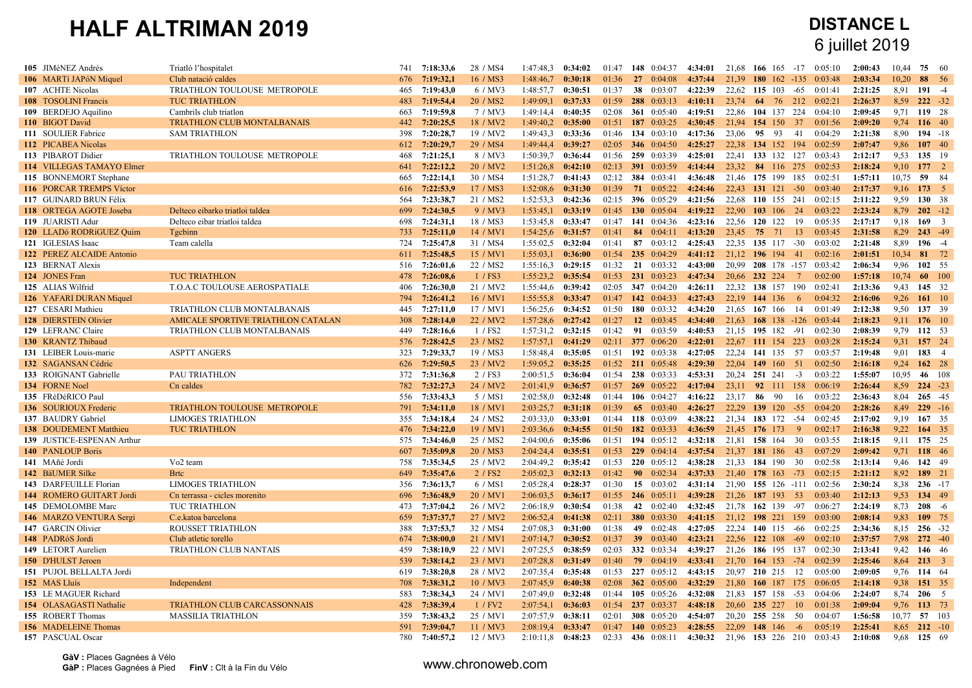| 105 JIMéNEZ Andrés                               | Triatló l'hospitalet                 | 741        | 7:18:33.6              | 28 / MS4             | 1:47:48.3              | 0:34:02            | 01:47          | 148 0:04:37                         | 4:34:01            | 21.68 | 166 165                  | $-17$           | 0.05:10 | 2:00:43            | 10.44      | 75                   | - 60       |
|--------------------------------------------------|--------------------------------------|------------|------------------------|----------------------|------------------------|--------------------|----------------|-------------------------------------|--------------------|-------|--------------------------|-----------------|---------|--------------------|------------|----------------------|------------|
| 106 MARTí JAPóN Miquel                           | Club natació caldes                  | 676        | 7:19:32,1              | 16 / MS3             | 1:48:46.7              | 0:30:18            | 01:36          | 27<br>0.04.08                       | 4:37:44            | 21.39 | <b>180</b><br>-162       | $-135$          | 0.03.48 | 2:03:34            | 10,20      | 88                   | - 56       |
| 107 ACHTE Nicolas                                | TRIATHLON TOULOUSE METROPOLE         | 465        | 7:19:43,0              | 6 / MV3              | 1:48:57.7              | 0:30:51            | 01:37          | 38<br>0:03:07                       | 4:22:39            | 22,62 | 115<br>103               | -65             | 0:01:41 | 2:21:25            | 8,91       | $191 - 4$            |            |
| <b>108</b> TOSOLINI Francis                      | <b>TUC TRIATHLON</b>                 | 483        | 7:19:54,4              | 20 / MS <sub>2</sub> | 1:49:09,1              | 0:37:33            | 01:59          | 288 0:03:13                         | 4:10:11            | 23,74 | 64                       | 76 212          | 0:02:21 | 2:26:37            | 8,59       | $222 - 32$           |            |
| 109 BERDEJO Aquilino                             | Cambrils club triation               | 663        | 7:19:59,8              | 7/MV3                | 1:49:14,4              | 0:40:35            | 02:08          | 361 0:05:40                         | 4:19:51            | 22,86 | 104<br>137               | 224             | 0.04:10 | 2:09:45            | 9,71       | 119 28               |            |
| 110 BIGOT David                                  | <b>TRIATHLON CLUB MONTALBANAIS</b>   | 442        | 7:20:25,5              | 18 / MV2             | $1:49:40,2$ 0:35:00    |                    | 01:51          | 187 $0:03:25$                       | 4:30:45            | 21.94 | 154 150 37               |                 | 0:01:56 | 2:09:20            | 9,74       | 116 40               |            |
| 111 SOULIER Fabrice                              | <b>SAM TRIATHLON</b>                 | 398        | 7:20:28.7              | 19 / MV2             | 1:49:43.3              | 0:33:36            | 01:46          | 134 $0:03:10$                       | 4:17:36            | 23.06 | 95 93                    | -41             | 0:04:29 | 2:21:38            | 8.90       | $194 - 18$           |            |
| 112 PICABEA Nicolas                              |                                      | 612        | 7:20:29.7              | 29 / MS4             | 1:49:44,4              | 0:39:27            | 02:05          | <b>346</b> 0:04:50                  | 4:25:27            | 22,38 | 134 152                  | 194             | 0:02:59 | 2:07:47            | 9,86       | 107 40               |            |
| 113 PIBAROT Didier                               | TRIATHLON TOULOUSE METROPOLE         | 468        | 7:21:25,1              | 8 / MV3              | 1:50:39,7              | 0:36:44            | 01:56          | 259 0:03:39                         | 4:25:01            |       | 22,41 133 132 127        |                 | 0:03:43 | 2:12:17            | 9.53       | 135 19               |            |
| 114 VILLEGAS TAMAYO Elmer                        |                                      | 641        | 7:22:12,2              | 20 / MV2             | 1:51:26,8              | 0:42:10            | 02:13          | $391 \quad 0:03:59$                 | 4:14:44            | 23,32 | 84 116 275               |                 | 0:02:53 | 2:18:24            | 9,10       | $177 \t2$            |            |
| 115 BONNEMORT Stephane                           |                                      | 665        | 7:22:14.1              | 30 / MS4             | 1:51:28,7              | 0:41:43            | 02:12          | 384 0:03:41                         | 4:36:48            | 21.46 | 175 199                  | 185             | 0:02:51 | 1:57:11            | 10.75      | 59                   | - 84       |
| 116 PORCAR TREMPS Victor                         |                                      | 616        | 7:22:53.9              | 17 / MS3             | 1:52:08,6              | 0:31:30            | 01:39          | $71 \quad 0:05:22$                  | 4:24:46            |       | 22,43 131 121 -50        |                 | 0:03:40 | 2:17:37            | 9,16       | $173 \quad 5$        |            |
| 117 GUINARD BRUN Félix                           |                                      | 564        | 7:23:38,7              | 21 / MS2             | 1:52:53,3              | 0:42:36            | 02:15          | 396 0:05:29                         | 4:21:56            | 22,68 | 110 155 241              |                 | 0:02:15 | 2:11:22            | 9.59       | 130 38               |            |
| 118 ORTEGA AGOTE Joseba                          | Delteco eibarko triatloi taldea      | 699        | 7:24:30,5              | 9 / MV3              | 1:53:45,1              | 0:33:19            | 01:45          | 130 0:05:04                         | 4:19:22            | 22,90 | 103 106 24               |                 | 0:03:22 | 2:23:24            | 8,79       | $202 - 12$           |            |
| 119 JUARISTI Adur                                | Delteco eibar triatloi taldea        | 698        | 7:24:31,1              | 18 / MS3             | 1:53:45,8              | 0:33:47            | 01:47          | 141 0:04:36                         | 4:23:16            | 22,56 | 120 122                  | -19             | 0:05:35 | 2:17:17            | 9,18       | $169 - 3$            |            |
| 120 LLADó RODRíGUEZ Quim                         | <b>T</b> gcbinn                      | 733        | 7:25:11,0              | 14 / MV1             | 1:54:25,6              | 0:31:57            | 01:41          | 84 0:04:11                          | 4:13:20            | 23,45 | 75 71                    | 13              | 0.03:45 | 2:31:58            | 8.29       | $243 - 49$           |            |
| 121 IGLESIAS Isaac                               | Team calella                         | 724        | 7:25:47.8              | 31 / MS4             | 1:55:02,5              | 0:32:04            | 01:41          | 87 0:03:12                          | 4:25:43            |       | 22.35 135 117 -30        |                 | 0:03:02 | 2:21:48            | 8,89       | $196 - 4$            |            |
| 122 PEREZ ALCAIDE Antonio                        |                                      | 611        | 7:25:48,5              | 15 / MV1             | 1:55:03,1              | 0:36:00            | 01:54          | 235 0:04:29                         | 4:41:12            |       | 21,12 196 194            | -41             | 0:02:16 | 2:01:51            | 10,34      | 81                   | 72         |
| 123 BERNAT Alexis                                |                                      | 516        | 7:26:01,6              | 22 / MS2             | 1:55:16,3              | 0:29:15            | 01:32          | $21 \quad 0.03:32$                  | 4:43:00            | 20,99 | 208 178 -157 0:03:42     |                 |         | 2:06:34            | 9.96       | 102 55               |            |
| 124 JONES Fran                                   | <b>TUC TRIATHLON</b>                 | 478        | 7:26:08.6              | 1 / FS3              | 1:55:23.2              | 0:35:54            | 01:53          | 231 0:03:23                         | 4:47:34            | 20.66 | 232 224                  | $7\phantom{.0}$ | 0.02:00 | 1:57:18            | 10.74      | -60                  | <b>100</b> |
| 125 ALIAS Wilfrid                                | <b>T.O.A.C TOULOUSE AEROSPATIALE</b> | 406        | 7:26:30.0              | 21 / MV2             | 1:55:44.6              | 0:39:42            | 02:05          | 347 0:04:20                         | 4:26:11            | 22.32 | 138 157 190              |                 | 0.02:41 | 2:13:36            | 9.43       | 145 32               |            |
| 126 YAFARI DURAN Miquel                          |                                      | 794        | 7:26:41,2              | 16 / MV1             | 1:55:55.8              | 0:33:47            | 01:47          | 142 0:04:33                         | 4:27:43            |       | 22,19 144 136            | 6               | 0:04:32 | 2:16:06            | 9.26       | $161 \t10$           |            |
| 127 CESARI Mathieu                               | TRIATHLON CLUB MONTALBANAIS          | 445        | 7:27:11.0              | 17 / MV1             | 1:56:25.6              | 0:34:52            | 01:50          | 180 $0:03:32$                       | 4:34:20            | 21,65 | 167 166                  | 14              | 0:01:49 | 2:12:38            | 9,50       | 137 39               |            |
| 128 DIERSTEIN Olivier                            | AMICALE SPORTIVE TRIATHLON CATALAN   | 308        | 7:28:14,0              | 22 / MV2             | 1:57:28,6              | 0:27:42            | 01:27          | 12 $0:03:45$                        | 4:34:40            | 21,63 | $168$ 138 -126           |                 | 0:03:44 | 2:18:23            | 9,11       | 176 10               |            |
| 129 LEFRANC Claire                               | TRIATHLON CLUB MONTALBANAIS          | 449        | 7:28:16,6              | 1 / FS2              | 1:57:31,2              | 0:32:15            | 01:42          | 0:03:59<br>91                       | 4:40:53            | 21,15 | 195 182                  | -91             | 0:02:30 | 2:08:39            | 9,79       | 112 53               |            |
| 130 KRANTZ Thibaud                               |                                      | 576        | 7:28:42.5              | 23 / MS <sub>2</sub> | 1:57:57,1              | 0:41:29            | 02:11          | 377 0:06:20                         | 4:22:01            |       | 22,67 111 154 223        |                 | 0:03:28 | 2:15:24            | 9.31       | 157 24               |            |
| 131 LEIBER Louis-marie                           | <b>ASPTT ANGERS</b>                  | 323        | 7:29:33.7              | 19 / MS3             | 1:58:48,4              | 0:35:05            | 01:51          | 192 0:03:38                         | 4:27:05            | 22.24 | 141 135                  | 57              | 0:03:57 | 2:19:48            | 9.01       | 183 4                |            |
| 132 SAGANSAN Cédric                              |                                      | 626        | 7:29:50,5              | 23 / MV2             | 1:59:05,2              | 0:35:25            | 01:52          | 211 0:05:48                         | 4:29:30            | 22,04 | 149 160                  | -51             | 0:02:50 | 2:16:18            | 9,24       | 162 28               |            |
| 133 ROIGNANT Gabrielle                           | PAU TRIATHLON                        | 372        | 7:31:36,8              | 2 / FS3              | 2:00:51,5              | 0:36:04            | 01:54          | 238 0:03:33                         | 4:53:31            | 20,24 | 251 241                  | $-3$            | 0:03:22 | 1:55:07            | 10.95      | 46 108               |            |
| 134 FORNE Noel                                   | Cn caldes                            | 782        | 7:32:27.3              | 24 / MV2             | 2:01:41.9              | 0:36:57            | 01:57          | $269$ 0:05:22                       | 4:17:04            | 23.11 | 92 111                   | 158             | 0:06:19 | 2:26:44            | 8,59       | $224 - 23$           |            |
| 135 FRéDéRICO Paul                               |                                      | 556        | 7:33:43,3              | 5 / MS1              | 2:02:58,0              | 0:32:48            | 01:44          | 106 $0:04:27$                       | 4:16:22            | 23,17 | 86<br>- 90               | 16              | 0:03:22 | 2:36:43            | 8.04       | $265 - 45$           |            |
| 136 SOURIOUX Frederic                            | TRIATHLON TOULOUSE METROPOLE         | 791        | 7:34:11.0              | 18 / MV1             | $2:03:25.7$ 0:31:18    |                    | 01:39          | 65 0:03:40                          | 4:26:27            | 22,29 | 139 120                  | $-55$           | 0:04:20 | 2:28:26            | 8,49       | $229 - 16$           |            |
| 137 BAUDRY Gabriel                               | <b>LIMOGES TRIATHLON</b>             | 355        | 7:34:18,4              | 24 / MS2             | 2:03:33.0              | 0:33:01            | 01:44          | 118 0:03:09                         | 4:38:22            | 21,34 | 183 172                  | -54             | 0:02:45 | 2:17:02            | 9,19       | 167 35               |            |
| 138 DOUDEMENT Matthieu                           | <b>TUC TRIATHLON</b>                 | 476        | 7:34:22.0              | 19 / MV1             | 2:03:36,6              | 0:34:55            | 01:50          | 182 0:03:33                         | 4:36:59            | 21,45 | 176 173                  | 9               | 0:02:17 | 2:16:38            | 9,22       | 164 35               |            |
| 139 JUSTICE-ESPENAN Arthur                       |                                      | 575        | 7:34:46,0              | 25 / MS2             | 2:04:00,6              | 0:35:06            | 01:51          | 194 0:05:12                         | 4:32:18            | 21.81 | 158<br>-164              | 30              | 0:03:55 | 2:18:15            | 9.11       | 175 25               |            |
| <b>140 PANLOUP Boris</b>                         |                                      | 607        | 7:35:09,8              | 20 / MS3             | 2:04:24,4              | 0:35:51            | 01:53          | 229 0:04:14                         | 4:37:54            | 21.37 | 181 186                  | 43              | 0:07:29 | 2:09:42            | 9,71       | 118 46               |            |
| 141 MAñé Jordi                                   | Vo <sub>2</sub> team                 | 758        | 7:35:34.5              | 25 / MV2             | 2:04:49.2              | 0:35:42            | 01:53          | $220 \quad 0:05:12$                 | 4:38:28            | 21,33 | 184<br>190               | 30              | 0:02:58 | 2:13:14            | 9.46       | 142 49               |            |
| 142 BäUMER Silke                                 | <b>Brtc</b>                          | 649        | 7:35:47,6              | 2 / FS2              | 2:05:02,3              | 0:32:13            | 01:42          | 90 $0:02:34$                        | 4:37:33            | 21,40 | 178 163                  | $-73$           | 0:02:15 | 2:21:12            | 8.92       | 189 21               |            |
| 143 DARFEUILLE Florian                           | <b>LIMOGES TRIATHLON</b>             | 356        | 7:36:13,7              | 6 / MS1              | 2:05:28,4              | 0:28:37            | 01:30          | 15 $0:03:02$                        | 4:31:14            | 21,90 | 155 126 -111 0:02:56     |                 |         | 2:30:24            | 8,38       | $236 - 17$           |            |
| 144 ROMERO GUITART Jordi                         | Cn terrassa - cicles morenito        | 696        | 7:36:48.9              | 20 / MV1             | 2:06:03.5              | 0:36:17            | 01:55          | $246$ 0:05:11                       | 4:39:28            | 21,26 | 187<br>193               | -53             | 0.03:40 | 2:12:13            | 9.53       | 134 49               |            |
| 145 DEMOLOMBE Marc                               | <b>TUC TRIATHLON</b>                 | 473        | 7:37:04,2              | 26 / MV2             | 2:06:18.9              | 0:30:54            | 01:38          | 42 $0:02:40$                        | 4:32:45            | 21,78 | 162 139                  | -97             | 0:06:27 | 2:24:19            | 8.73       | $208 - 6$            |            |
| 146 MARZO VENTURA Sergi                          | C.e.katoa barcelona                  | 659        | 7:37:37,7              | 27 / MV2             | $2:06:52.4$ 0:41:38    |                    | 02:11          | 380 0:03:30                         | 4:41:15            |       | 21,12 198 221            | 159             | 0.03:00 | 2:08:14            | 9,83       | 109 75               |            |
| 147 GARCIN Olivier                               | <b>ROUSSET TRIATHLON</b>             | 388        | 7:37:53,7              | 32 / MS4             | 2:07:08,3              | 0:31:00            | 01:38          | 49 0:02:48                          | 4:27:05            | 22,24 | 140 115                  | -66             | 0:02:25 | 2:34:36            | 8,15       | $256 - 32$           |            |
| 148 PADRóS Jordi                                 | Club atletic torello                 | 674        | 7:38:00,0              | 21 / MV1             | $2:07:14,7$ 0:30:52    |                    | 01:37          | 39 $0:03:40$                        | 4:23:21            |       | 22,56 122 108 -69        |                 | 0:02:10 | 2:37:57            | 7,98       | $272 - 40$           |            |
| 149 LETORT Aurelien                              |                                      | 459        | 7:38:10.9              | 22 / MV1             | 2:07:25.5              | 0:38:59            | 02:03          | 332 0:03:34                         | 4:39:27            | 21.26 | 186 195                  |                 | 0:02:30 | 2:13:41            | 9.42       | 146 46               |            |
|                                                  | TRIATHLON CLUB NANTAIS               | 539        | 7:38:14,2              | 23 / MV1             | 2:07:28.8 0:31:49      |                    | 01:40          | 79 0:04:19                          | 4:33:41            | 21,70 | 164 153                  | 137<br>$-74$    | 0:02:39 | 2:25:46            | 8,64 213 3 |                      |            |
| 150 D'HULST Jeroen<br>151 PUJOL BELLALTA Jordi   |                                      | 619        | 7:38:20,8              | 28 / MV2             | 2:07:35,4              | 0:35:48            | 01:53          | 227 0:05:12                         | 4:43:15            |       | 20.97 210 215            | 12              | 0:05:00 | 2:09:05            | 9.76       | 114 64               |            |
|                                                  |                                      |            |                        | 10 / MW3             | 2:07:45.9              |                    | 02:08          | 362 0:05:00                         |                    |       | 160 187                  |                 | 0:06:05 |                    | 9.38       | 151 35               |            |
| 152 MAS Lluís                                    | Independent                          | 708<br>583 | 7:38:31,2<br>7:38:34,3 | 24 / MV1             |                        | 0:40:38            |                | 105 0:05:26                         | 4:32:29<br>4:32:08 | 21,80 |                          | 175<br>$-53$    | 0:04:06 | 2:14:18<br>2:24:07 | 8,74 206 5 |                      |            |
| 153 LE MAGUER Richard<br>154 OLASAGASTI Nathalie | <b>TRIATHLON CLUB CARCASSONNAIS</b>  | 428        | 7:38:39.4              | 1 / FV2              | 2:07:49,0<br>2:07:54,1 | 0:32:48<br>0:36:03 | 01:44<br>01:54 | 237 0:03:37                         | 4:48:18            | 20.60 | 21,83 157 158<br>235 227 | 10              | 0:01:38 | 2:09:04            | 9,76       | 113 73               |            |
|                                                  |                                      |            |                        |                      |                        |                    |                |                                     |                    |       |                          |                 |         |                    |            |                      |            |
| 155 ROBERT Thomas                                | <b>MASSILIA TRIATHLON</b>            | 359        | 7:38:43,2              | 25 / MV1<br>11 / MV3 | 2:07:57.9              | 0:38:11            | 02:01          | <b>308</b> 0:05:20<br>140 $0:05:23$ | 4:54:07            | 20.20 | 255 258                  | -50             | 0:04:07 | 1:56:58<br>2:25:41 | 10,77      | 57 103               |            |
| 156 MADELEINE Thomas                             |                                      | 591<br>780 | 7:39:04,7              |                      | $2:08:19,4$ 0:33:47    |                    | 01:47<br>02:33 |                                     | 4:28:55            | 22.09 | 148 146                  | $-6$            | 0.05:19 |                    | 8,65       | $212 - 10$<br>125 69 |            |
| 157 PASCUAL Oscar                                |                                      |            | 7:40:57,2              | 12 / MV3             | 2:10:11,8              | 0:48:23            |                | 436 0:08:11                         | 4:30:32            |       | 21,96 153 226 210        |                 | 0:03:43 | 2:10:08            | 9.68       |                      |            |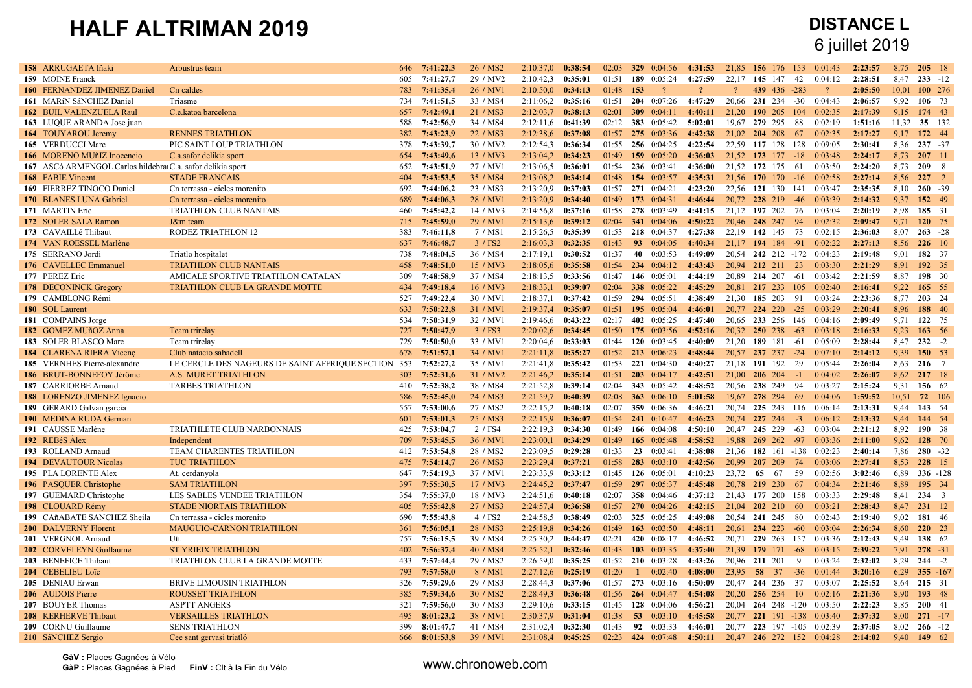| 7:41:27,7<br>2:28:51<br>$233 - 12$<br>605<br>29 / MV2<br>2:10:42,3<br>0:35:01<br>01:51<br>189 0:05:24<br>4:27:59<br>22,17 145 147<br>- 42<br>0:04:12<br>8,47<br>159 MOINE Franck<br>160 FERNANDEZ JIMENEZ Daniel<br>Cn caldes<br>7:41:35,4<br>26 / MV1<br>2:10:50,0<br>0:34:13<br>01:48<br>153<br>$\gamma$<br>$\boldsymbol{\eta}$<br>$\mathcal{P}$<br>439 436 -283<br>$\gamma$<br>2:05:50<br>10.01<br>100 276<br>783<br>734<br>7:41:51,5<br>33 / MS4<br>0:35:16<br>01:51<br>204 0:07:26<br>4:47:29<br>20.66<br>231 234 -30<br>0:04:43<br>9.92<br>106 73<br>161 MARIN SáNCHEZ Daniel<br>Triasme<br>2:11:06,2<br>2:06:57<br>657<br>7:42:49,1<br>309 $0.04:11$<br>190 205 104<br>0:02:35<br>9,15<br>174 43<br>162 BUIL VALENZUELA Raul<br>C.e.katoa barcelona<br>21 / MS3<br>2:12:03.7<br>0:38:13<br>02:01<br>4:40:11<br>21,20<br>2:17:39<br>35 132<br>163 LUQUE ARANDA Jose juan<br>588<br>7:42:56.9<br>34 / MS4<br>2:12:11.6<br>0:41:39<br>02:12<br><b>383</b> 0:05:42<br>5:02:01<br>19.67<br>279 295<br>0.02:19<br>1:51:16<br>11,32<br>-88<br>7:43:23.9<br>172 44<br>164 TOUYAROU Jeremy<br><b>RENNES TRIATHLON</b><br>382<br>22 / MS3<br>2:12:38.6<br>0:37:08<br>01:57<br>275 0:03:36<br>4:42:38<br>21.02<br>204 208<br>- 67<br>0.02:35<br>2:17:27<br>9,17<br>165 VERDUCCI Marc<br>PIC SAINT LOUP TRIATHLON<br>378<br>7:43:39,7<br>30 / MV2<br>2:12:54.3<br>0:36:34<br>01:55<br>256 0:04:25<br>4:22:54<br>22,59<br>117 128<br>128<br>0:09:05<br>2:30:41<br>8.36<br>$237 - 37$<br>7:43:49.6<br>01:49<br>21,52 173 177 -18<br>2:24:17<br>8,73<br>$207 - 11$<br>166 MORENO MUñIZ Inocencio<br>C.a.safor delikia sport<br>654<br>13 / MV3<br>2:13:04,2<br>0:34:23<br>159 0:05:20<br>4:36:03<br>0.03.48<br>7:43:51,9<br>21,52 172 175<br>2:24:20<br>8.73<br>2098<br>167 ASCó ARMENGOL Carlos hildebra C.a. safor delikia sport<br>652<br>27 / MV1<br>2:13:06,5<br>0:36:01<br>01:54<br>236 0:03:41<br>4:36:00<br>0:03:50<br>-61<br>7:43:53,5<br>35 / MS4<br>2:27:14<br>8,56<br>$227 - 2$<br>168 FABIE Vincent<br><b>STADE FRANCAIS</b><br>404<br>2:13:08,2<br>0:34:14<br>01:48<br>154 0:03:57<br>4:35:31<br>21,56 170 170<br>$-16$<br>0:02:58<br>7:44:06.2<br>0:37:03<br>2:35:35<br>$260 - 39$<br>169 FIERREZ TINOCO Daniel<br>Cn terrassa - cicles morenito<br>692<br>23 / MS3<br>2:13:20.9<br>01:57<br>271 0:04:21<br>4:23:20<br>22,56 121 130<br>141<br>0:03:47<br>8.10<br>170 BLANES LUNA Gabriel<br>Cn terrassa - cicles morenito<br>689<br>7:44:06.3<br>28 / MV1<br>2:13:20.9<br>0:34:40<br>01:49<br>173 $0:04:31$<br>4:46:44<br>20,72 228 219<br>0.03:39<br>2:14:32<br>9.37<br>152 49<br>$-46$<br>171 MARTIN Eric<br>TRIATHLON CLUB NANTAIS<br>460<br>7:45:42,2<br>14 / MV3<br>2:14:56,8<br>0:37:16<br>01:58<br>278 0:03:49<br>4:41:15<br>21,12 197 202<br>-76<br>0:03:04<br>2:20:19<br>8.98<br>185 31<br>7:45:59,0<br>29 / MV1<br>341 0:04:06<br>4:50:22<br>20,46 248 247<br>2:09:47<br>9,71<br>120 75<br>172 SOLER SALA Ramon<br>J&m team<br>715<br>2:15:13.6<br>0:39:12<br>02:04<br>- 94<br>0:02:32<br>RODEZ TRIATHLON 12<br>7:46:11,8<br>7 / MS1<br>2:15:26,5<br>0:35:39<br>01:53<br>218 0:04:37<br>4:27:38<br>22,19 142 145<br>2:36:03<br>8,07<br>$263 - 28$<br>173 CAVAILLé Thibaut<br>383<br>73<br>0:02:15<br>3 / FS2<br>2:27:13<br>226 10<br>174 VAN ROESSEL Marlène<br>637<br>7:46:48,7<br>2:16:03.3<br>0:32:35<br>01:43<br>93<br>0:04:05<br>4:40:34<br>21,17 194 184 -91<br>0:02:22<br>8.56<br>7:48:04.5<br>0:30:52<br>01:37<br>4:49:09<br>182 37<br>175 SERRANO Jordi<br>Triatlo hospitalet<br>738<br>36 / MS4<br>2:17:19.1<br>40<br>0:03:53<br>20.54 242 212 -172<br>0:04:23<br>2:19:48<br>9.01<br>192 35<br>176 CAVELLEC Emmanuel<br><b>TRIATHLON CLUB NANTAIS</b><br>458<br>7:48:51.0<br>15 / MV3<br>2:18:05,6<br>0:35:58<br>01:54<br>234 0:04:12<br>4:43:43<br>20.94 212 211<br>23<br>0:03:30<br>2:21:29<br>8.91<br>01:47<br>2:21:59<br>8.87<br>198 30<br>177 PEREZ Eric<br>309<br>7:48:58,9<br>37 / MS4<br>2:18:13.5<br>0:33:56<br>146 0:05:01<br>4:44:19<br>20,89 214 207<br>-61<br>0:03:42<br>AMICALE SPORTIVE TRIATHLON CATALAN<br>178 DECONINCK Gregory<br>7:49:18,4<br>16 / MV3<br>2:18:33,1<br>0:39:07<br>02:04<br>338 0:05:22<br>4:45:29<br>20,81 217 233 105<br>0:02:40<br>2:16:41<br>9,22<br>165 55<br><b>TRIATHLON CLUB LA GRANDE MOTTE</b><br>434<br>7:49:22,4<br>30 / MV1<br>2:18:37,1<br>0:37:42<br>01:59<br>294 0:05:51<br>4:38:49<br>21,30 185 203<br>91<br>0:03:24<br>2:23:36<br>8,77<br>203 24<br>179 CAMBLONG Rémi<br>527<br>7:50:22.8<br>2:20:41<br>188 40<br>180 SOL Laurent<br>633<br>31 / MV1<br>2:19:37,4<br>0:35:07<br>01:51<br>195 0:05:04<br>4:46:01<br>20,77<br>224 220<br>$-25$<br>0:03:29<br>8,96<br>7:50:31.9<br>02:17<br>402 0:05:25<br>0:04:16<br>2:09:49<br>122 75<br>181 COMPAINS Jorge<br>534<br>32 / MV1<br>2:19:46,6<br>0:43:22<br>4:47:40<br>20,65<br>233 256 146<br>9,71<br>727<br>7:50:47.9<br>3 / FS3<br>175 0:03:56<br>20.32 250 238<br>9.23<br>163 56<br>182 GOMEZ MUñOZ Anna<br>Team trirelay<br>2:20:02.6<br>0:34:45<br>01:50<br>4:52:16<br>$-63$<br>0.03.18<br>2:16:33<br>8,47<br>$232 - 2$<br>183 SOLER BLASCO Marc<br>729<br>7:50:50,0<br>33 / MV1<br>2:20:04,6<br>0:33:03<br>01:44<br>120 $0:03:45$<br>4:40:09<br>21,20 189 181<br>0:05:09<br>2:28:44<br>Team trirelay<br>-61<br>Club natacio sabadell<br>7:51:57,1<br>34 / MV1<br>0:35:27<br>01:52<br>213 0:06:23<br>4:48:44<br>20,57 237 237 -24<br>0:07:10<br>2:14:12<br>9,39<br>150 53<br>184 CLARENA RIERA Vicenç<br>678<br>2:21:11.8<br>LE CERCLE DES NAGEURS DE SAINT AFFRIQUE SECTION 353<br>7:52:27,2<br>35 / MV1<br>01:53<br>221 0:04:30<br>4:40:27<br>191 192<br>2:26:04<br>8,63<br>$216 \t 7$<br>185 VERNHES Pierre-alexandre<br>2:21:41,8<br>0:35:42<br>21,18<br>29<br>0:05:44<br>7:52:31,6<br>186 BRUT-BONNEFOY Jérôme<br>A.S. MURET TRIATHLON<br>303<br>31 / MV2<br>2:21:46,2<br>0:35:14<br>01:51<br>$203$ 0:04:17<br>4:42:51<br>21,00<br>206 204<br>$-1$<br>0:04:02<br>2:26:07<br>8,62<br>217 18<br>7:52:38.2<br>343 0:05:42<br>238 249<br>9.31<br>156 62<br>187 CARRIORBE Arnaud<br>410<br>38 / MS4<br>2:21:52.8<br>0:39:14<br>02:04<br>4:48:52<br>20.56<br>94<br>0:03:27<br>2:15:24<br><b>TARBES TRIATHLON</b><br>72 106<br>188 LORENZO JIMENEZ Ignacio<br>586<br>7:52:45.0<br>24 / MS3<br>2:21:59.7<br>0:40:39<br>02:08<br>363 $0.06:10$<br>5:01:58<br>19.67 278 294<br>- 69<br>1:59:52<br>10.51<br>0:04:06<br>189 GERARD Galvan garcia<br>557<br>7:53:00,6<br>27 / MS2<br>2:22:15.2<br>0:40:18<br>02:07<br>359 0:06:36<br>4:46:21<br>20,74 225 243<br>0:06:14<br>2:13:31<br>9.44<br>143 54<br>116<br>190 MEDINA RUDA German<br>7:53:01,3<br>25 / MS3<br>2:22:15.9<br>227 244<br>2:13:32<br>9,44<br>144 54<br>0:36:07<br>01:54<br>241 0:10:47<br>4:46:23<br>20,74<br>0:06:12<br>601<br>$-3$<br>191 CAUSSE Marlène<br>TRIATHLETE CLUB NARBONNAIS<br>425<br>7:53:04,7<br>2 / FS4<br>2:22:19.3<br>0:34:30<br>166 0:04:08<br>4:50:10<br>20,47 245 229<br>$-63$<br>0:03:04<br>2:21:12<br>8,92<br>190 38<br>01:49<br>192 REBéS Alex<br>Independent<br>709<br>7:53:45,5<br>36 / MV1<br>2:23:00,1<br>0:34:29<br>01:49<br>165<br>0:05:48<br>4:58:52<br>19,88<br>269 262<br>$-97$<br>0:03:36<br>2:11:00<br>9.62<br>128 70<br>7:53:54.8<br>0:29:28<br>7,86<br>$280 - 32$<br><b>TEAM CHARENTES TRIATHLON</b><br>412<br>28 / MS2<br>2:23:09.5<br>01:33<br>$23 \quad 0.03:41$<br>4:38:08<br>21,36 182 161 -138<br>0:02:23<br>2:40:14<br>193 ROLLAND Arnaud<br>8.53<br>228 15<br>194 DEVAUTOUR Nicolas<br><b>TUC TRIATHLON</b><br>475<br>7:54:14,7<br>26 / MS3<br>2:23:29,4<br>0:37:21<br>01:58<br><b>283</b> $0:03:10$<br>4:42:56<br>20,99 207 209<br>74<br>0:03:06<br>2:27:41<br>7:54:19,3<br>37 / MV1<br>2:23:33.9<br>0:33:12<br>4:10:23<br>23,72<br>65<br>- 67<br>0:02:56<br>3:02:46<br>6,89<br>$336 - 128$<br>195 PLA LORENTE Alex<br>At. cerdanyola<br>647<br>01:45<br>126 0:05:01<br>-59<br>7:55:30,5<br>2:24:45,2<br>0:37:47<br>297 0:05:37<br>4:45:48<br>20,78 219 230<br>0:04:34<br>2:21:46<br>8,89<br>195 34<br>196 PASQUER Christophe<br><b>SAM TRIATHLON</b><br>397<br>17 / MV3<br>01:59<br>- 67<br>7:55:37,0<br>358 0:04:46<br>2:29:48<br>$234 \quad 3$<br>197 GUEMARD Christophe<br>LES SABLES VENDEE TRIATHLON<br>354<br>18 / MV3<br>2:24:51,6<br>0:40:18<br>02:07<br>4:37:12<br>21,43 177 200<br>158<br>0:03:33<br>8,41<br>7:55:42,8<br>27 / MS3<br>01:57<br>2:28:43<br>8,47<br>231 12<br>198 CLOUARD Rémy<br><b>STADE NIORTAIS TRIATHLON</b><br>405<br>2:24:57.4<br>0:36:58<br>$270$ 0:04:26<br>4:42:15<br>21,04 202 210<br>-60<br>0:03:21<br>7:55:43,8<br>4 / FS2<br>02:03<br>20,54 241 245<br>199 CAñABATE SANCHEZ Sheila<br>Cn terrassa - cicles morenito<br>690<br>2:24:58.5<br>0:38:49<br>325 0:05:25<br>4:49:08<br>-80<br>0:02:43<br>2:19:40<br>9,02<br>181 46<br>200 DALVERNY Florent<br>7:56:05,1<br>28 / MS3<br>01:49<br>0:03:04<br>2:26:34<br>8,60<br>$220 \t 23$<br><b>MAUGUIO-CARNON TRIATHLON</b><br>361<br>2:25:19.8<br>0:34:26<br>163 $0.03:50$<br>4:48:11<br>20,61<br>234 223<br>$-60$<br>138 62<br>Utt<br>757<br>7:56:15.5<br>39 / MS4<br>2:25:30,2<br>0:44:47<br>02:21<br>420 0:08:17<br>4:46:52<br>20,71 229 263 157<br>0:03:36<br>2:12:43<br>9,49<br>201 VERGNOL Arnaud<br>2:39:22<br>7.91<br>$278 - 31$<br>202 CORVELEYN Guillaume<br><b>ST YRIEIX TRIATHLON</b><br>402<br>7:56:37,4<br>40 / MS4<br>2:25:52,1<br>0:32:46<br>01:43<br>103 $0:03:35$<br>4:37:40<br>21,39 179 171<br>$-68$<br>0.03.15<br>433<br>7:57:44,4<br>2:26:59.0<br>01:52<br>210 0:03:28<br>20,96 211 201<br>0:03:24<br>2:32:02<br>8.29<br>$244 - 2$<br>203 BENEFICE Thibaut<br>TRIATHLON CLUB LA GRANDE MOTTE<br>29 / MS2<br>0:35:25<br>4:43:26<br>9<br>7:57:58,0<br>204 CEBELIEU Loïc<br>793<br>8 / MS1<br>2:27:12,6<br>0:25:19<br>01:20<br>0:02:40<br>4:08:00<br>23,95<br>58 37<br>$-36$<br>0:01:44<br>3:20:16<br>6,29<br>$355 - 167$<br>$\mathbf{1}$<br>205 DENIAU Erwan<br><b>BRIVE LIMOUSIN TRIATHLON</b><br>326<br>7:59:29,6<br>29 / MS3<br>2:28:44.3<br>0:37:06<br>01:57<br>273 0:03:16<br>4:50:09<br>20.47 244 236<br>37<br>0:03:07<br>2:25:52<br>8.64<br>215 31<br><b>ROUSSET TRIATHLON</b><br>7:59:34,6<br>30 / MS2<br>2:28:49.3<br>0:36:48<br>01:56<br>264 0:04:47<br>4:54:08<br>20,20<br>256 254<br>0:02:16<br>2:21:36<br>8,90<br>193 48<br><b>206</b> AUDOIS Pierre<br>385<br>10<br><b>ASPTT ANGERS</b><br>321<br>7:59:56,0<br>30 / MS3<br>2:29:10,6<br>0:33:15<br>01:45<br>128 0:04:06<br>20,04 264 248 -120<br>0:03:50<br>2:22:23<br>8,85<br>200 41<br>207 BOUYER Thomas<br>4:56:21<br>$271 - 17$<br>208 KERHERVE Thibaut<br><b>VERSAILLES TRIATHLON</b><br>495<br>8:01:23,2<br>38 / MV1<br>2:30:37,9<br>0:31:04<br>01:38<br>53 <sup>°</sup><br>0:03:10<br>4:45:58<br>20,77 221 191 -138<br>0:03:40<br>2:37:32<br>8.00<br>399<br>8:01:47,7<br>41 / MS4<br>2:31:02,4<br>0:32:30<br>01:43<br>92 0:03:33<br>20,77 223 197 -105 0:02:39<br>2:37:05<br>8,02<br>$266 - 12$<br>209 CORNU Guillaume<br><b>SENS TRIATHLON</b><br>4:46:01<br>02:23<br>210 SáNCHEZ Sergio<br>666<br>8:01:53.8<br>39 / MV1<br>2:31:08.4<br>0:45:25<br>424 0:07:48<br>4:50:11<br>20,47 246 272 152 0:04:28<br>2:14:02<br>9.40<br>$149$ 62<br>Cee sant gervasi triatló | 158 ARRUGAETA Iñaki | Arbustrus team | 646 | 7:41:22.3 | 26 / MS <sub>2</sub> | 2:10:37,0 | 0:38:54 | 02:03 | 329 0:04:56 | 4:31:53 | 21.85 | 156 176 | 153 | 0.01.43 | 2:23:57 | 8.75 | 205 18 |  |
|-------------------------------------------------------------------------------------------------------------------------------------------------------------------------------------------------------------------------------------------------------------------------------------------------------------------------------------------------------------------------------------------------------------------------------------------------------------------------------------------------------------------------------------------------------------------------------------------------------------------------------------------------------------------------------------------------------------------------------------------------------------------------------------------------------------------------------------------------------------------------------------------------------------------------------------------------------------------------------------------------------------------------------------------------------------------------------------------------------------------------------------------------------------------------------------------------------------------------------------------------------------------------------------------------------------------------------------------------------------------------------------------------------------------------------------------------------------------------------------------------------------------------------------------------------------------------------------------------------------------------------------------------------------------------------------------------------------------------------------------------------------------------------------------------------------------------------------------------------------------------------------------------------------------------------------------------------------------------------------------------------------------------------------------------------------------------------------------------------------------------------------------------------------------------------------------------------------------------------------------------------------------------------------------------------------------------------------------------------------------------------------------------------------------------------------------------------------------------------------------------------------------------------------------------------------------------------------------------------------------------------------------------------------------------------------------------------------------------------------------------------------------------------------------------------------------------------------------------------------------------------------------------------------------------------------------------------------------------------------------------------------------------------------------------------------------------------------------------------------------------------------------------------------------------------------------------------------------------------------------------------------------------------------------------------------------------------------------------------------------------------------------------------------------------------------------------------------------------------------------------------------------------------------------------------------------------------------------------------------------------------------------------------------------------------------------------------------------------------------------------------------------------------------------------------------------------------------------------------------------------------------------------------------------------------------------------------------------------------------------------------------------------------------------------------------------------------------------------------------------------------------------------------------------------------------------------------------------------------------------------------------------------------------------------------------------------------------------------------------------------------------------------------------------------------------------------------------------------------------------------------------------------------------------------------------------------------------------------------------------------------------------------------------------------------------------------------------------------------------------------------------------------------------------------------------------------------------------------------------------------------------------------------------------------------------------------------------------------------------------------------------------------------------------------------------------------------------------------------------------------------------------------------------------------------------------------------------------------------------------------------------------------------------------------------------------------------------------------------------------------------------------------------------------------------------------------------------------------------------------------------------------------------------------------------------------------------------------------------------------------------------------------------------------------------------------------------------------------------------------------------------------------------------------------------------------------------------------------------------------------------------------------------------------------------------------------------------------------------------------------------------------------------------------------------------------------------------------------------------------------------------------------------------------------------------------------------------------------------------------------------------------------------------------------------------------------------------------------------------------------------------------------------------------------------------------------------------------------------------------------------------------------------------------------------------------------------------------------------------------------------------------------------------------------------------------------------------------------------------------------------------------------------------------------------------------------------------------------------------------------------------------------------------------------------------------------------------------------------------------------------------------------------------------------------------------------------------------------------------------------------------------------------------------------------------------------------------------------------------------------------------------------------------------------------------------------------------------------------------------------------------------------------------------------------------------------------------------------------------------------------------------------------------------------------------------------------------------------------------------------------------------------------------------------------------------------------------------------------------------------------------------------------------------------------------------------------------------------------------------------------------------------------------------------------------------------------------------------------------------------------------------------------------------------------------------------------------------------------------------------------------------------------------------------------------------------------------------------------------------------------------------------------------------------------------------------------------------------------------------------------------------------------------------------------------------------------------------------------------------------------------------------------------------------------------------------------------------------------------------------------------------------------------------------------------------------------------------------------------------------------------------------------------------------------------------------------------------------------------------------------------------------------------------------------------------------------------------------------------------------------------------------------------------------------------------------------------------------------------------------------------------------------------------------------------------------------------------------------------------------------------------------------------------------------------------------------------------------------------------------------------------------------------------------------------------------------------------------------------------------------------------------------------------------------------------------------------------------------------------------------------------------------------------------------------------------------------------------------------------------------------------------------------------------------------------------------------------------------------------------------------------------------------------------------------------------------------------------------------------------------------------------------------------------------------------------------------------------------------------------------------------------------------------------------------------------------------------------------------------------------------------------------------------------------------------------------------------------------------------------------------------------------------------------------------------------------------------------------------------------------------------------------------------------------------------------------------------------------------------------------------------------------------------------------------------------------------------------------------------------------------------------------------------------------------------------------------------------------------------------------------------------------------------------------------------------------------------------------------------------------------------------------------------------------------------------------------------|---------------------|----------------|-----|-----------|----------------------|-----------|---------|-------|-------------|---------|-------|---------|-----|---------|---------|------|--------|--|
|                                                                                                                                                                                                                                                                                                                                                                                                                                                                                                                                                                                                                                                                                                                                                                                                                                                                                                                                                                                                                                                                                                                                                                                                                                                                                                                                                                                                                                                                                                                                                                                                                                                                                                                                                                                                                                                                                                                                                                                                                                                                                                                                                                                                                                                                                                                                                                                                                                                                                                                                                                                                                                                                                                                                                                                                                                                                                                                                                                                                                                                                                                                                                                                                                                                                                                                                                                                                                                                                                                                                                                                                                                                                                                                                                                                                                                                                                                                                                                                                                                                                                                                                                                                                                                                                                                                                                                                                                                                                                                                                                                                                                                                                                                                                                                                                                                                                                                                                                                                                                                                                                                                                                                                                                                                                                                                                                                                                                                                                                                                                                                                                                                                                                                                                                                                                                                                                                                                                                                                                                                                                                                                                                                                                                                                                                                                                                                                                                                                                                                                                                                                                                                                                                                                                                                                                                                                                                                                                                                                                                                                                                                                                                                                                                                                                                                                                                                                                                                                                                                                                                                                                                                                                                                                                                                                                                                                                                                                                                                                                                                                                                                                                                                                                                                                                                                                                                                                                                                                                                                                                                                                                                                                                                                                                                                                                                                                                                                                                                                                                                                                                                                                                                                                                                                                                                                                                                                                                                                                                                                                                                                                                                                                                                                                                                                                                                                                                                                                                                                                                                                                                                                                                                                                                                                                                                                                                                                                                                                                                                                                                                                                                                                                                                                                                                                                                                                                                                                                                                                                                                                                                                           |                     |                |     |           |                      |           |         |       |             |         |       |         |     |         |         |      |        |  |
|                                                                                                                                                                                                                                                                                                                                                                                                                                                                                                                                                                                                                                                                                                                                                                                                                                                                                                                                                                                                                                                                                                                                                                                                                                                                                                                                                                                                                                                                                                                                                                                                                                                                                                                                                                                                                                                                                                                                                                                                                                                                                                                                                                                                                                                                                                                                                                                                                                                                                                                                                                                                                                                                                                                                                                                                                                                                                                                                                                                                                                                                                                                                                                                                                                                                                                                                                                                                                                                                                                                                                                                                                                                                                                                                                                                                                                                                                                                                                                                                                                                                                                                                                                                                                                                                                                                                                                                                                                                                                                                                                                                                                                                                                                                                                                                                                                                                                                                                                                                                                                                                                                                                                                                                                                                                                                                                                                                                                                                                                                                                                                                                                                                                                                                                                                                                                                                                                                                                                                                                                                                                                                                                                                                                                                                                                                                                                                                                                                                                                                                                                                                                                                                                                                                                                                                                                                                                                                                                                                                                                                                                                                                                                                                                                                                                                                                                                                                                                                                                                                                                                                                                                                                                                                                                                                                                                                                                                                                                                                                                                                                                                                                                                                                                                                                                                                                                                                                                                                                                                                                                                                                                                                                                                                                                                                                                                                                                                                                                                                                                                                                                                                                                                                                                                                                                                                                                                                                                                                                                                                                                                                                                                                                                                                                                                                                                                                                                                                                                                                                                                                                                                                                                                                                                                                                                                                                                                                                                                                                                                                                                                                                                                                                                                                                                                                                                                                                                                                                                                                                                                                                                                           |                     |                |     |           |                      |           |         |       |             |         |       |         |     |         |         |      |        |  |
|                                                                                                                                                                                                                                                                                                                                                                                                                                                                                                                                                                                                                                                                                                                                                                                                                                                                                                                                                                                                                                                                                                                                                                                                                                                                                                                                                                                                                                                                                                                                                                                                                                                                                                                                                                                                                                                                                                                                                                                                                                                                                                                                                                                                                                                                                                                                                                                                                                                                                                                                                                                                                                                                                                                                                                                                                                                                                                                                                                                                                                                                                                                                                                                                                                                                                                                                                                                                                                                                                                                                                                                                                                                                                                                                                                                                                                                                                                                                                                                                                                                                                                                                                                                                                                                                                                                                                                                                                                                                                                                                                                                                                                                                                                                                                                                                                                                                                                                                                                                                                                                                                                                                                                                                                                                                                                                                                                                                                                                                                                                                                                                                                                                                                                                                                                                                                                                                                                                                                                                                                                                                                                                                                                                                                                                                                                                                                                                                                                                                                                                                                                                                                                                                                                                                                                                                                                                                                                                                                                                                                                                                                                                                                                                                                                                                                                                                                                                                                                                                                                                                                                                                                                                                                                                                                                                                                                                                                                                                                                                                                                                                                                                                                                                                                                                                                                                                                                                                                                                                                                                                                                                                                                                                                                                                                                                                                                                                                                                                                                                                                                                                                                                                                                                                                                                                                                                                                                                                                                                                                                                                                                                                                                                                                                                                                                                                                                                                                                                                                                                                                                                                                                                                                                                                                                                                                                                                                                                                                                                                                                                                                                                                                                                                                                                                                                                                                                                                                                                                                                                                                                                                                           |                     |                |     |           |                      |           |         |       |             |         |       |         |     |         |         |      |        |  |
|                                                                                                                                                                                                                                                                                                                                                                                                                                                                                                                                                                                                                                                                                                                                                                                                                                                                                                                                                                                                                                                                                                                                                                                                                                                                                                                                                                                                                                                                                                                                                                                                                                                                                                                                                                                                                                                                                                                                                                                                                                                                                                                                                                                                                                                                                                                                                                                                                                                                                                                                                                                                                                                                                                                                                                                                                                                                                                                                                                                                                                                                                                                                                                                                                                                                                                                                                                                                                                                                                                                                                                                                                                                                                                                                                                                                                                                                                                                                                                                                                                                                                                                                                                                                                                                                                                                                                                                                                                                                                                                                                                                                                                                                                                                                                                                                                                                                                                                                                                                                                                                                                                                                                                                                                                                                                                                                                                                                                                                                                                                                                                                                                                                                                                                                                                                                                                                                                                                                                                                                                                                                                                                                                                                                                                                                                                                                                                                                                                                                                                                                                                                                                                                                                                                                                                                                                                                                                                                                                                                                                                                                                                                                                                                                                                                                                                                                                                                                                                                                                                                                                                                                                                                                                                                                                                                                                                                                                                                                                                                                                                                                                                                                                                                                                                                                                                                                                                                                                                                                                                                                                                                                                                                                                                                                                                                                                                                                                                                                                                                                                                                                                                                                                                                                                                                                                                                                                                                                                                                                                                                                                                                                                                                                                                                                                                                                                                                                                                                                                                                                                                                                                                                                                                                                                                                                                                                                                                                                                                                                                                                                                                                                                                                                                                                                                                                                                                                                                                                                                                                                                                                                                           |                     |                |     |           |                      |           |         |       |             |         |       |         |     |         |         |      |        |  |
|                                                                                                                                                                                                                                                                                                                                                                                                                                                                                                                                                                                                                                                                                                                                                                                                                                                                                                                                                                                                                                                                                                                                                                                                                                                                                                                                                                                                                                                                                                                                                                                                                                                                                                                                                                                                                                                                                                                                                                                                                                                                                                                                                                                                                                                                                                                                                                                                                                                                                                                                                                                                                                                                                                                                                                                                                                                                                                                                                                                                                                                                                                                                                                                                                                                                                                                                                                                                                                                                                                                                                                                                                                                                                                                                                                                                                                                                                                                                                                                                                                                                                                                                                                                                                                                                                                                                                                                                                                                                                                                                                                                                                                                                                                                                                                                                                                                                                                                                                                                                                                                                                                                                                                                                                                                                                                                                                                                                                                                                                                                                                                                                                                                                                                                                                                                                                                                                                                                                                                                                                                                                                                                                                                                                                                                                                                                                                                                                                                                                                                                                                                                                                                                                                                                                                                                                                                                                                                                                                                                                                                                                                                                                                                                                                                                                                                                                                                                                                                                                                                                                                                                                                                                                                                                                                                                                                                                                                                                                                                                                                                                                                                                                                                                                                                                                                                                                                                                                                                                                                                                                                                                                                                                                                                                                                                                                                                                                                                                                                                                                                                                                                                                                                                                                                                                                                                                                                                                                                                                                                                                                                                                                                                                                                                                                                                                                                                                                                                                                                                                                                                                                                                                                                                                                                                                                                                                                                                                                                                                                                                                                                                                                                                                                                                                                                                                                                                                                                                                                                                                                                                                                                           |                     |                |     |           |                      |           |         |       |             |         |       |         |     |         |         |      |        |  |
|                                                                                                                                                                                                                                                                                                                                                                                                                                                                                                                                                                                                                                                                                                                                                                                                                                                                                                                                                                                                                                                                                                                                                                                                                                                                                                                                                                                                                                                                                                                                                                                                                                                                                                                                                                                                                                                                                                                                                                                                                                                                                                                                                                                                                                                                                                                                                                                                                                                                                                                                                                                                                                                                                                                                                                                                                                                                                                                                                                                                                                                                                                                                                                                                                                                                                                                                                                                                                                                                                                                                                                                                                                                                                                                                                                                                                                                                                                                                                                                                                                                                                                                                                                                                                                                                                                                                                                                                                                                                                                                                                                                                                                                                                                                                                                                                                                                                                                                                                                                                                                                                                                                                                                                                                                                                                                                                                                                                                                                                                                                                                                                                                                                                                                                                                                                                                                                                                                                                                                                                                                                                                                                                                                                                                                                                                                                                                                                                                                                                                                                                                                                                                                                                                                                                                                                                                                                                                                                                                                                                                                                                                                                                                                                                                                                                                                                                                                                                                                                                                                                                                                                                                                                                                                                                                                                                                                                                                                                                                                                                                                                                                                                                                                                                                                                                                                                                                                                                                                                                                                                                                                                                                                                                                                                                                                                                                                                                                                                                                                                                                                                                                                                                                                                                                                                                                                                                                                                                                                                                                                                                                                                                                                                                                                                                                                                                                                                                                                                                                                                                                                                                                                                                                                                                                                                                                                                                                                                                                                                                                                                                                                                                                                                                                                                                                                                                                                                                                                                                                                                                                                                                                           |                     |                |     |           |                      |           |         |       |             |         |       |         |     |         |         |      |        |  |
|                                                                                                                                                                                                                                                                                                                                                                                                                                                                                                                                                                                                                                                                                                                                                                                                                                                                                                                                                                                                                                                                                                                                                                                                                                                                                                                                                                                                                                                                                                                                                                                                                                                                                                                                                                                                                                                                                                                                                                                                                                                                                                                                                                                                                                                                                                                                                                                                                                                                                                                                                                                                                                                                                                                                                                                                                                                                                                                                                                                                                                                                                                                                                                                                                                                                                                                                                                                                                                                                                                                                                                                                                                                                                                                                                                                                                                                                                                                                                                                                                                                                                                                                                                                                                                                                                                                                                                                                                                                                                                                                                                                                                                                                                                                                                                                                                                                                                                                                                                                                                                                                                                                                                                                                                                                                                                                                                                                                                                                                                                                                                                                                                                                                                                                                                                                                                                                                                                                                                                                                                                                                                                                                                                                                                                                                                                                                                                                                                                                                                                                                                                                                                                                                                                                                                                                                                                                                                                                                                                                                                                                                                                                                                                                                                                                                                                                                                                                                                                                                                                                                                                                                                                                                                                                                                                                                                                                                                                                                                                                                                                                                                                                                                                                                                                                                                                                                                                                                                                                                                                                                                                                                                                                                                                                                                                                                                                                                                                                                                                                                                                                                                                                                                                                                                                                                                                                                                                                                                                                                                                                                                                                                                                                                                                                                                                                                                                                                                                                                                                                                                                                                                                                                                                                                                                                                                                                                                                                                                                                                                                                                                                                                                                                                                                                                                                                                                                                                                                                                                                                                                                                                                           |                     |                |     |           |                      |           |         |       |             |         |       |         |     |         |         |      |        |  |
|                                                                                                                                                                                                                                                                                                                                                                                                                                                                                                                                                                                                                                                                                                                                                                                                                                                                                                                                                                                                                                                                                                                                                                                                                                                                                                                                                                                                                                                                                                                                                                                                                                                                                                                                                                                                                                                                                                                                                                                                                                                                                                                                                                                                                                                                                                                                                                                                                                                                                                                                                                                                                                                                                                                                                                                                                                                                                                                                                                                                                                                                                                                                                                                                                                                                                                                                                                                                                                                                                                                                                                                                                                                                                                                                                                                                                                                                                                                                                                                                                                                                                                                                                                                                                                                                                                                                                                                                                                                                                                                                                                                                                                                                                                                                                                                                                                                                                                                                                                                                                                                                                                                                                                                                                                                                                                                                                                                                                                                                                                                                                                                                                                                                                                                                                                                                                                                                                                                                                                                                                                                                                                                                                                                                                                                                                                                                                                                                                                                                                                                                                                                                                                                                                                                                                                                                                                                                                                                                                                                                                                                                                                                                                                                                                                                                                                                                                                                                                                                                                                                                                                                                                                                                                                                                                                                                                                                                                                                                                                                                                                                                                                                                                                                                                                                                                                                                                                                                                                                                                                                                                                                                                                                                                                                                                                                                                                                                                                                                                                                                                                                                                                                                                                                                                                                                                                                                                                                                                                                                                                                                                                                                                                                                                                                                                                                                                                                                                                                                                                                                                                                                                                                                                                                                                                                                                                                                                                                                                                                                                                                                                                                                                                                                                                                                                                                                                                                                                                                                                                                                                                                                                           |                     |                |     |           |                      |           |         |       |             |         |       |         |     |         |         |      |        |  |
|                                                                                                                                                                                                                                                                                                                                                                                                                                                                                                                                                                                                                                                                                                                                                                                                                                                                                                                                                                                                                                                                                                                                                                                                                                                                                                                                                                                                                                                                                                                                                                                                                                                                                                                                                                                                                                                                                                                                                                                                                                                                                                                                                                                                                                                                                                                                                                                                                                                                                                                                                                                                                                                                                                                                                                                                                                                                                                                                                                                                                                                                                                                                                                                                                                                                                                                                                                                                                                                                                                                                                                                                                                                                                                                                                                                                                                                                                                                                                                                                                                                                                                                                                                                                                                                                                                                                                                                                                                                                                                                                                                                                                                                                                                                                                                                                                                                                                                                                                                                                                                                                                                                                                                                                                                                                                                                                                                                                                                                                                                                                                                                                                                                                                                                                                                                                                                                                                                                                                                                                                                                                                                                                                                                                                                                                                                                                                                                                                                                                                                                                                                                                                                                                                                                                                                                                                                                                                                                                                                                                                                                                                                                                                                                                                                                                                                                                                                                                                                                                                                                                                                                                                                                                                                                                                                                                                                                                                                                                                                                                                                                                                                                                                                                                                                                                                                                                                                                                                                                                                                                                                                                                                                                                                                                                                                                                                                                                                                                                                                                                                                                                                                                                                                                                                                                                                                                                                                                                                                                                                                                                                                                                                                                                                                                                                                                                                                                                                                                                                                                                                                                                                                                                                                                                                                                                                                                                                                                                                                                                                                                                                                                                                                                                                                                                                                                                                                                                                                                                                                                                                                                                                           |                     |                |     |           |                      |           |         |       |             |         |       |         |     |         |         |      |        |  |
|                                                                                                                                                                                                                                                                                                                                                                                                                                                                                                                                                                                                                                                                                                                                                                                                                                                                                                                                                                                                                                                                                                                                                                                                                                                                                                                                                                                                                                                                                                                                                                                                                                                                                                                                                                                                                                                                                                                                                                                                                                                                                                                                                                                                                                                                                                                                                                                                                                                                                                                                                                                                                                                                                                                                                                                                                                                                                                                                                                                                                                                                                                                                                                                                                                                                                                                                                                                                                                                                                                                                                                                                                                                                                                                                                                                                                                                                                                                                                                                                                                                                                                                                                                                                                                                                                                                                                                                                                                                                                                                                                                                                                                                                                                                                                                                                                                                                                                                                                                                                                                                                                                                                                                                                                                                                                                                                                                                                                                                                                                                                                                                                                                                                                                                                                                                                                                                                                                                                                                                                                                                                                                                                                                                                                                                                                                                                                                                                                                                                                                                                                                                                                                                                                                                                                                                                                                                                                                                                                                                                                                                                                                                                                                                                                                                                                                                                                                                                                                                                                                                                                                                                                                                                                                                                                                                                                                                                                                                                                                                                                                                                                                                                                                                                                                                                                                                                                                                                                                                                                                                                                                                                                                                                                                                                                                                                                                                                                                                                                                                                                                                                                                                                                                                                                                                                                                                                                                                                                                                                                                                                                                                                                                                                                                                                                                                                                                                                                                                                                                                                                                                                                                                                                                                                                                                                                                                                                                                                                                                                                                                                                                                                                                                                                                                                                                                                                                                                                                                                                                                                                                                                                           |                     |                |     |           |                      |           |         |       |             |         |       |         |     |         |         |      |        |  |
|                                                                                                                                                                                                                                                                                                                                                                                                                                                                                                                                                                                                                                                                                                                                                                                                                                                                                                                                                                                                                                                                                                                                                                                                                                                                                                                                                                                                                                                                                                                                                                                                                                                                                                                                                                                                                                                                                                                                                                                                                                                                                                                                                                                                                                                                                                                                                                                                                                                                                                                                                                                                                                                                                                                                                                                                                                                                                                                                                                                                                                                                                                                                                                                                                                                                                                                                                                                                                                                                                                                                                                                                                                                                                                                                                                                                                                                                                                                                                                                                                                                                                                                                                                                                                                                                                                                                                                                                                                                                                                                                                                                                                                                                                                                                                                                                                                                                                                                                                                                                                                                                                                                                                                                                                                                                                                                                                                                                                                                                                                                                                                                                                                                                                                                                                                                                                                                                                                                                                                                                                                                                                                                                                                                                                                                                                                                                                                                                                                                                                                                                                                                                                                                                                                                                                                                                                                                                                                                                                                                                                                                                                                                                                                                                                                                                                                                                                                                                                                                                                                                                                                                                                                                                                                                                                                                                                                                                                                                                                                                                                                                                                                                                                                                                                                                                                                                                                                                                                                                                                                                                                                                                                                                                                                                                                                                                                                                                                                                                                                                                                                                                                                                                                                                                                                                                                                                                                                                                                                                                                                                                                                                                                                                                                                                                                                                                                                                                                                                                                                                                                                                                                                                                                                                                                                                                                                                                                                                                                                                                                                                                                                                                                                                                                                                                                                                                                                                                                                                                                                                                                                                                                           |                     |                |     |           |                      |           |         |       |             |         |       |         |     |         |         |      |        |  |
|                                                                                                                                                                                                                                                                                                                                                                                                                                                                                                                                                                                                                                                                                                                                                                                                                                                                                                                                                                                                                                                                                                                                                                                                                                                                                                                                                                                                                                                                                                                                                                                                                                                                                                                                                                                                                                                                                                                                                                                                                                                                                                                                                                                                                                                                                                                                                                                                                                                                                                                                                                                                                                                                                                                                                                                                                                                                                                                                                                                                                                                                                                                                                                                                                                                                                                                                                                                                                                                                                                                                                                                                                                                                                                                                                                                                                                                                                                                                                                                                                                                                                                                                                                                                                                                                                                                                                                                                                                                                                                                                                                                                                                                                                                                                                                                                                                                                                                                                                                                                                                                                                                                                                                                                                                                                                                                                                                                                                                                                                                                                                                                                                                                                                                                                                                                                                                                                                                                                                                                                                                                                                                                                                                                                                                                                                                                                                                                                                                                                                                                                                                                                                                                                                                                                                                                                                                                                                                                                                                                                                                                                                                                                                                                                                                                                                                                                                                                                                                                                                                                                                                                                                                                                                                                                                                                                                                                                                                                                                                                                                                                                                                                                                                                                                                                                                                                                                                                                                                                                                                                                                                                                                                                                                                                                                                                                                                                                                                                                                                                                                                                                                                                                                                                                                                                                                                                                                                                                                                                                                                                                                                                                                                                                                                                                                                                                                                                                                                                                                                                                                                                                                                                                                                                                                                                                                                                                                                                                                                                                                                                                                                                                                                                                                                                                                                                                                                                                                                                                                                                                                                                                                           |                     |                |     |           |                      |           |         |       |             |         |       |         |     |         |         |      |        |  |
|                                                                                                                                                                                                                                                                                                                                                                                                                                                                                                                                                                                                                                                                                                                                                                                                                                                                                                                                                                                                                                                                                                                                                                                                                                                                                                                                                                                                                                                                                                                                                                                                                                                                                                                                                                                                                                                                                                                                                                                                                                                                                                                                                                                                                                                                                                                                                                                                                                                                                                                                                                                                                                                                                                                                                                                                                                                                                                                                                                                                                                                                                                                                                                                                                                                                                                                                                                                                                                                                                                                                                                                                                                                                                                                                                                                                                                                                                                                                                                                                                                                                                                                                                                                                                                                                                                                                                                                                                                                                                                                                                                                                                                                                                                                                                                                                                                                                                                                                                                                                                                                                                                                                                                                                                                                                                                                                                                                                                                                                                                                                                                                                                                                                                                                                                                                                                                                                                                                                                                                                                                                                                                                                                                                                                                                                                                                                                                                                                                                                                                                                                                                                                                                                                                                                                                                                                                                                                                                                                                                                                                                                                                                                                                                                                                                                                                                                                                                                                                                                                                                                                                                                                                                                                                                                                                                                                                                                                                                                                                                                                                                                                                                                                                                                                                                                                                                                                                                                                                                                                                                                                                                                                                                                                                                                                                                                                                                                                                                                                                                                                                                                                                                                                                                                                                                                                                                                                                                                                                                                                                                                                                                                                                                                                                                                                                                                                                                                                                                                                                                                                                                                                                                                                                                                                                                                                                                                                                                                                                                                                                                                                                                                                                                                                                                                                                                                                                                                                                                                                                                                                                                                                           |                     |                |     |           |                      |           |         |       |             |         |       |         |     |         |         |      |        |  |
|                                                                                                                                                                                                                                                                                                                                                                                                                                                                                                                                                                                                                                                                                                                                                                                                                                                                                                                                                                                                                                                                                                                                                                                                                                                                                                                                                                                                                                                                                                                                                                                                                                                                                                                                                                                                                                                                                                                                                                                                                                                                                                                                                                                                                                                                                                                                                                                                                                                                                                                                                                                                                                                                                                                                                                                                                                                                                                                                                                                                                                                                                                                                                                                                                                                                                                                                                                                                                                                                                                                                                                                                                                                                                                                                                                                                                                                                                                                                                                                                                                                                                                                                                                                                                                                                                                                                                                                                                                                                                                                                                                                                                                                                                                                                                                                                                                                                                                                                                                                                                                                                                                                                                                                                                                                                                                                                                                                                                                                                                                                                                                                                                                                                                                                                                                                                                                                                                                                                                                                                                                                                                                                                                                                                                                                                                                                                                                                                                                                                                                                                                                                                                                                                                                                                                                                                                                                                                                                                                                                                                                                                                                                                                                                                                                                                                                                                                                                                                                                                                                                                                                                                                                                                                                                                                                                                                                                                                                                                                                                                                                                                                                                                                                                                                                                                                                                                                                                                                                                                                                                                                                                                                                                                                                                                                                                                                                                                                                                                                                                                                                                                                                                                                                                                                                                                                                                                                                                                                                                                                                                                                                                                                                                                                                                                                                                                                                                                                                                                                                                                                                                                                                                                                                                                                                                                                                                                                                                                                                                                                                                                                                                                                                                                                                                                                                                                                                                                                                                                                                                                                                                                                           |                     |                |     |           |                      |           |         |       |             |         |       |         |     |         |         |      |        |  |
|                                                                                                                                                                                                                                                                                                                                                                                                                                                                                                                                                                                                                                                                                                                                                                                                                                                                                                                                                                                                                                                                                                                                                                                                                                                                                                                                                                                                                                                                                                                                                                                                                                                                                                                                                                                                                                                                                                                                                                                                                                                                                                                                                                                                                                                                                                                                                                                                                                                                                                                                                                                                                                                                                                                                                                                                                                                                                                                                                                                                                                                                                                                                                                                                                                                                                                                                                                                                                                                                                                                                                                                                                                                                                                                                                                                                                                                                                                                                                                                                                                                                                                                                                                                                                                                                                                                                                                                                                                                                                                                                                                                                                                                                                                                                                                                                                                                                                                                                                                                                                                                                                                                                                                                                                                                                                                                                                                                                                                                                                                                                                                                                                                                                                                                                                                                                                                                                                                                                                                                                                                                                                                                                                                                                                                                                                                                                                                                                                                                                                                                                                                                                                                                                                                                                                                                                                                                                                                                                                                                                                                                                                                                                                                                                                                                                                                                                                                                                                                                                                                                                                                                                                                                                                                                                                                                                                                                                                                                                                                                                                                                                                                                                                                                                                                                                                                                                                                                                                                                                                                                                                                                                                                                                                                                                                                                                                                                                                                                                                                                                                                                                                                                                                                                                                                                                                                                                                                                                                                                                                                                                                                                                                                                                                                                                                                                                                                                                                                                                                                                                                                                                                                                                                                                                                                                                                                                                                                                                                                                                                                                                                                                                                                                                                                                                                                                                                                                                                                                                                                                                                                                                                           |                     |                |     |           |                      |           |         |       |             |         |       |         |     |         |         |      |        |  |
|                                                                                                                                                                                                                                                                                                                                                                                                                                                                                                                                                                                                                                                                                                                                                                                                                                                                                                                                                                                                                                                                                                                                                                                                                                                                                                                                                                                                                                                                                                                                                                                                                                                                                                                                                                                                                                                                                                                                                                                                                                                                                                                                                                                                                                                                                                                                                                                                                                                                                                                                                                                                                                                                                                                                                                                                                                                                                                                                                                                                                                                                                                                                                                                                                                                                                                                                                                                                                                                                                                                                                                                                                                                                                                                                                                                                                                                                                                                                                                                                                                                                                                                                                                                                                                                                                                                                                                                                                                                                                                                                                                                                                                                                                                                                                                                                                                                                                                                                                                                                                                                                                                                                                                                                                                                                                                                                                                                                                                                                                                                                                                                                                                                                                                                                                                                                                                                                                                                                                                                                                                                                                                                                                                                                                                                                                                                                                                                                                                                                                                                                                                                                                                                                                                                                                                                                                                                                                                                                                                                                                                                                                                                                                                                                                                                                                                                                                                                                                                                                                                                                                                                                                                                                                                                                                                                                                                                                                                                                                                                                                                                                                                                                                                                                                                                                                                                                                                                                                                                                                                                                                                                                                                                                                                                                                                                                                                                                                                                                                                                                                                                                                                                                                                                                                                                                                                                                                                                                                                                                                                                                                                                                                                                                                                                                                                                                                                                                                                                                                                                                                                                                                                                                                                                                                                                                                                                                                                                                                                                                                                                                                                                                                                                                                                                                                                                                                                                                                                                                                                                                                                                                                           |                     |                |     |           |                      |           |         |       |             |         |       |         |     |         |         |      |        |  |
|                                                                                                                                                                                                                                                                                                                                                                                                                                                                                                                                                                                                                                                                                                                                                                                                                                                                                                                                                                                                                                                                                                                                                                                                                                                                                                                                                                                                                                                                                                                                                                                                                                                                                                                                                                                                                                                                                                                                                                                                                                                                                                                                                                                                                                                                                                                                                                                                                                                                                                                                                                                                                                                                                                                                                                                                                                                                                                                                                                                                                                                                                                                                                                                                                                                                                                                                                                                                                                                                                                                                                                                                                                                                                                                                                                                                                                                                                                                                                                                                                                                                                                                                                                                                                                                                                                                                                                                                                                                                                                                                                                                                                                                                                                                                                                                                                                                                                                                                                                                                                                                                                                                                                                                                                                                                                                                                                                                                                                                                                                                                                                                                                                                                                                                                                                                                                                                                                                                                                                                                                                                                                                                                                                                                                                                                                                                                                                                                                                                                                                                                                                                                                                                                                                                                                                                                                                                                                                                                                                                                                                                                                                                                                                                                                                                                                                                                                                                                                                                                                                                                                                                                                                                                                                                                                                                                                                                                                                                                                                                                                                                                                                                                                                                                                                                                                                                                                                                                                                                                                                                                                                                                                                                                                                                                                                                                                                                                                                                                                                                                                                                                                                                                                                                                                                                                                                                                                                                                                                                                                                                                                                                                                                                                                                                                                                                                                                                                                                                                                                                                                                                                                                                                                                                                                                                                                                                                                                                                                                                                                                                                                                                                                                                                                                                                                                                                                                                                                                                                                                                                                                                                                           |                     |                |     |           |                      |           |         |       |             |         |       |         |     |         |         |      |        |  |
|                                                                                                                                                                                                                                                                                                                                                                                                                                                                                                                                                                                                                                                                                                                                                                                                                                                                                                                                                                                                                                                                                                                                                                                                                                                                                                                                                                                                                                                                                                                                                                                                                                                                                                                                                                                                                                                                                                                                                                                                                                                                                                                                                                                                                                                                                                                                                                                                                                                                                                                                                                                                                                                                                                                                                                                                                                                                                                                                                                                                                                                                                                                                                                                                                                                                                                                                                                                                                                                                                                                                                                                                                                                                                                                                                                                                                                                                                                                                                                                                                                                                                                                                                                                                                                                                                                                                                                                                                                                                                                                                                                                                                                                                                                                                                                                                                                                                                                                                                                                                                                                                                                                                                                                                                                                                                                                                                                                                                                                                                                                                                                                                                                                                                                                                                                                                                                                                                                                                                                                                                                                                                                                                                                                                                                                                                                                                                                                                                                                                                                                                                                                                                                                                                                                                                                                                                                                                                                                                                                                                                                                                                                                                                                                                                                                                                                                                                                                                                                                                                                                                                                                                                                                                                                                                                                                                                                                                                                                                                                                                                                                                                                                                                                                                                                                                                                                                                                                                                                                                                                                                                                                                                                                                                                                                                                                                                                                                                                                                                                                                                                                                                                                                                                                                                                                                                                                                                                                                                                                                                                                                                                                                                                                                                                                                                                                                                                                                                                                                                                                                                                                                                                                                                                                                                                                                                                                                                                                                                                                                                                                                                                                                                                                                                                                                                                                                                                                                                                                                                                                                                                                                                           |                     |                |     |           |                      |           |         |       |             |         |       |         |     |         |         |      |        |  |
|                                                                                                                                                                                                                                                                                                                                                                                                                                                                                                                                                                                                                                                                                                                                                                                                                                                                                                                                                                                                                                                                                                                                                                                                                                                                                                                                                                                                                                                                                                                                                                                                                                                                                                                                                                                                                                                                                                                                                                                                                                                                                                                                                                                                                                                                                                                                                                                                                                                                                                                                                                                                                                                                                                                                                                                                                                                                                                                                                                                                                                                                                                                                                                                                                                                                                                                                                                                                                                                                                                                                                                                                                                                                                                                                                                                                                                                                                                                                                                                                                                                                                                                                                                                                                                                                                                                                                                                                                                                                                                                                                                                                                                                                                                                                                                                                                                                                                                                                                                                                                                                                                                                                                                                                                                                                                                                                                                                                                                                                                                                                                                                                                                                                                                                                                                                                                                                                                                                                                                                                                                                                                                                                                                                                                                                                                                                                                                                                                                                                                                                                                                                                                                                                                                                                                                                                                                                                                                                                                                                                                                                                                                                                                                                                                                                                                                                                                                                                                                                                                                                                                                                                                                                                                                                                                                                                                                                                                                                                                                                                                                                                                                                                                                                                                                                                                                                                                                                                                                                                                                                                                                                                                                                                                                                                                                                                                                                                                                                                                                                                                                                                                                                                                                                                                                                                                                                                                                                                                                                                                                                                                                                                                                                                                                                                                                                                                                                                                                                                                                                                                                                                                                                                                                                                                                                                                                                                                                                                                                                                                                                                                                                                                                                                                                                                                                                                                                                                                                                                                                                                                                                                                           |                     |                |     |           |                      |           |         |       |             |         |       |         |     |         |         |      |        |  |
|                                                                                                                                                                                                                                                                                                                                                                                                                                                                                                                                                                                                                                                                                                                                                                                                                                                                                                                                                                                                                                                                                                                                                                                                                                                                                                                                                                                                                                                                                                                                                                                                                                                                                                                                                                                                                                                                                                                                                                                                                                                                                                                                                                                                                                                                                                                                                                                                                                                                                                                                                                                                                                                                                                                                                                                                                                                                                                                                                                                                                                                                                                                                                                                                                                                                                                                                                                                                                                                                                                                                                                                                                                                                                                                                                                                                                                                                                                                                                                                                                                                                                                                                                                                                                                                                                                                                                                                                                                                                                                                                                                                                                                                                                                                                                                                                                                                                                                                                                                                                                                                                                                                                                                                                                                                                                                                                                                                                                                                                                                                                                                                                                                                                                                                                                                                                                                                                                                                                                                                                                                                                                                                                                                                                                                                                                                                                                                                                                                                                                                                                                                                                                                                                                                                                                                                                                                                                                                                                                                                                                                                                                                                                                                                                                                                                                                                                                                                                                                                                                                                                                                                                                                                                                                                                                                                                                                                                                                                                                                                                                                                                                                                                                                                                                                                                                                                                                                                                                                                                                                                                                                                                                                                                                                                                                                                                                                                                                                                                                                                                                                                                                                                                                                                                                                                                                                                                                                                                                                                                                                                                                                                                                                                                                                                                                                                                                                                                                                                                                                                                                                                                                                                                                                                                                                                                                                                                                                                                                                                                                                                                                                                                                                                                                                                                                                                                                                                                                                                                                                                                                                                                                           |                     |                |     |           |                      |           |         |       |             |         |       |         |     |         |         |      |        |  |
|                                                                                                                                                                                                                                                                                                                                                                                                                                                                                                                                                                                                                                                                                                                                                                                                                                                                                                                                                                                                                                                                                                                                                                                                                                                                                                                                                                                                                                                                                                                                                                                                                                                                                                                                                                                                                                                                                                                                                                                                                                                                                                                                                                                                                                                                                                                                                                                                                                                                                                                                                                                                                                                                                                                                                                                                                                                                                                                                                                                                                                                                                                                                                                                                                                                                                                                                                                                                                                                                                                                                                                                                                                                                                                                                                                                                                                                                                                                                                                                                                                                                                                                                                                                                                                                                                                                                                                                                                                                                                                                                                                                                                                                                                                                                                                                                                                                                                                                                                                                                                                                                                                                                                                                                                                                                                                                                                                                                                                                                                                                                                                                                                                                                                                                                                                                                                                                                                                                                                                                                                                                                                                                                                                                                                                                                                                                                                                                                                                                                                                                                                                                                                                                                                                                                                                                                                                                                                                                                                                                                                                                                                                                                                                                                                                                                                                                                                                                                                                                                                                                                                                                                                                                                                                                                                                                                                                                                                                                                                                                                                                                                                                                                                                                                                                                                                                                                                                                                                                                                                                                                                                                                                                                                                                                                                                                                                                                                                                                                                                                                                                                                                                                                                                                                                                                                                                                                                                                                                                                                                                                                                                                                                                                                                                                                                                                                                                                                                                                                                                                                                                                                                                                                                                                                                                                                                                                                                                                                                                                                                                                                                                                                                                                                                                                                                                                                                                                                                                                                                                                                                                                                                           |                     |                |     |           |                      |           |         |       |             |         |       |         |     |         |         |      |        |  |
|                                                                                                                                                                                                                                                                                                                                                                                                                                                                                                                                                                                                                                                                                                                                                                                                                                                                                                                                                                                                                                                                                                                                                                                                                                                                                                                                                                                                                                                                                                                                                                                                                                                                                                                                                                                                                                                                                                                                                                                                                                                                                                                                                                                                                                                                                                                                                                                                                                                                                                                                                                                                                                                                                                                                                                                                                                                                                                                                                                                                                                                                                                                                                                                                                                                                                                                                                                                                                                                                                                                                                                                                                                                                                                                                                                                                                                                                                                                                                                                                                                                                                                                                                                                                                                                                                                                                                                                                                                                                                                                                                                                                                                                                                                                                                                                                                                                                                                                                                                                                                                                                                                                                                                                                                                                                                                                                                                                                                                                                                                                                                                                                                                                                                                                                                                                                                                                                                                                                                                                                                                                                                                                                                                                                                                                                                                                                                                                                                                                                                                                                                                                                                                                                                                                                                                                                                                                                                                                                                                                                                                                                                                                                                                                                                                                                                                                                                                                                                                                                                                                                                                                                                                                                                                                                                                                                                                                                                                                                                                                                                                                                                                                                                                                                                                                                                                                                                                                                                                                                                                                                                                                                                                                                                                                                                                                                                                                                                                                                                                                                                                                                                                                                                                                                                                                                                                                                                                                                                                                                                                                                                                                                                                                                                                                                                                                                                                                                                                                                                                                                                                                                                                                                                                                                                                                                                                                                                                                                                                                                                                                                                                                                                                                                                                                                                                                                                                                                                                                                                                                                                                                                                           |                     |                |     |           |                      |           |         |       |             |         |       |         |     |         |         |      |        |  |
|                                                                                                                                                                                                                                                                                                                                                                                                                                                                                                                                                                                                                                                                                                                                                                                                                                                                                                                                                                                                                                                                                                                                                                                                                                                                                                                                                                                                                                                                                                                                                                                                                                                                                                                                                                                                                                                                                                                                                                                                                                                                                                                                                                                                                                                                                                                                                                                                                                                                                                                                                                                                                                                                                                                                                                                                                                                                                                                                                                                                                                                                                                                                                                                                                                                                                                                                                                                                                                                                                                                                                                                                                                                                                                                                                                                                                                                                                                                                                                                                                                                                                                                                                                                                                                                                                                                                                                                                                                                                                                                                                                                                                                                                                                                                                                                                                                                                                                                                                                                                                                                                                                                                                                                                                                                                                                                                                                                                                                                                                                                                                                                                                                                                                                                                                                                                                                                                                                                                                                                                                                                                                                                                                                                                                                                                                                                                                                                                                                                                                                                                                                                                                                                                                                                                                                                                                                                                                                                                                                                                                                                                                                                                                                                                                                                                                                                                                                                                                                                                                                                                                                                                                                                                                                                                                                                                                                                                                                                                                                                                                                                                                                                                                                                                                                                                                                                                                                                                                                                                                                                                                                                                                                                                                                                                                                                                                                                                                                                                                                                                                                                                                                                                                                                                                                                                                                                                                                                                                                                                                                                                                                                                                                                                                                                                                                                                                                                                                                                                                                                                                                                                                                                                                                                                                                                                                                                                                                                                                                                                                                                                                                                                                                                                                                                                                                                                                                                                                                                                                                                                                                                                                           |                     |                |     |           |                      |           |         |       |             |         |       |         |     |         |         |      |        |  |
|                                                                                                                                                                                                                                                                                                                                                                                                                                                                                                                                                                                                                                                                                                                                                                                                                                                                                                                                                                                                                                                                                                                                                                                                                                                                                                                                                                                                                                                                                                                                                                                                                                                                                                                                                                                                                                                                                                                                                                                                                                                                                                                                                                                                                                                                                                                                                                                                                                                                                                                                                                                                                                                                                                                                                                                                                                                                                                                                                                                                                                                                                                                                                                                                                                                                                                                                                                                                                                                                                                                                                                                                                                                                                                                                                                                                                                                                                                                                                                                                                                                                                                                                                                                                                                                                                                                                                                                                                                                                                                                                                                                                                                                                                                                                                                                                                                                                                                                                                                                                                                                                                                                                                                                                                                                                                                                                                                                                                                                                                                                                                                                                                                                                                                                                                                                                                                                                                                                                                                                                                                                                                                                                                                                                                                                                                                                                                                                                                                                                                                                                                                                                                                                                                                                                                                                                                                                                                                                                                                                                                                                                                                                                                                                                                                                                                                                                                                                                                                                                                                                                                                                                                                                                                                                                                                                                                                                                                                                                                                                                                                                                                                                                                                                                                                                                                                                                                                                                                                                                                                                                                                                                                                                                                                                                                                                                                                                                                                                                                                                                                                                                                                                                                                                                                                                                                                                                                                                                                                                                                                                                                                                                                                                                                                                                                                                                                                                                                                                                                                                                                                                                                                                                                                                                                                                                                                                                                                                                                                                                                                                                                                                                                                                                                                                                                                                                                                                                                                                                                                                                                                                                                           |                     |                |     |           |                      |           |         |       |             |         |       |         |     |         |         |      |        |  |
|                                                                                                                                                                                                                                                                                                                                                                                                                                                                                                                                                                                                                                                                                                                                                                                                                                                                                                                                                                                                                                                                                                                                                                                                                                                                                                                                                                                                                                                                                                                                                                                                                                                                                                                                                                                                                                                                                                                                                                                                                                                                                                                                                                                                                                                                                                                                                                                                                                                                                                                                                                                                                                                                                                                                                                                                                                                                                                                                                                                                                                                                                                                                                                                                                                                                                                                                                                                                                                                                                                                                                                                                                                                                                                                                                                                                                                                                                                                                                                                                                                                                                                                                                                                                                                                                                                                                                                                                                                                                                                                                                                                                                                                                                                                                                                                                                                                                                                                                                                                                                                                                                                                                                                                                                                                                                                                                                                                                                                                                                                                                                                                                                                                                                                                                                                                                                                                                                                                                                                                                                                                                                                                                                                                                                                                                                                                                                                                                                                                                                                                                                                                                                                                                                                                                                                                                                                                                                                                                                                                                                                                                                                                                                                                                                                                                                                                                                                                                                                                                                                                                                                                                                                                                                                                                                                                                                                                                                                                                                                                                                                                                                                                                                                                                                                                                                                                                                                                                                                                                                                                                                                                                                                                                                                                                                                                                                                                                                                                                                                                                                                                                                                                                                                                                                                                                                                                                                                                                                                                                                                                                                                                                                                                                                                                                                                                                                                                                                                                                                                                                                                                                                                                                                                                                                                                                                                                                                                                                                                                                                                                                                                                                                                                                                                                                                                                                                                                                                                                                                                                                                                                                                           |                     |                |     |           |                      |           |         |       |             |         |       |         |     |         |         |      |        |  |
|                                                                                                                                                                                                                                                                                                                                                                                                                                                                                                                                                                                                                                                                                                                                                                                                                                                                                                                                                                                                                                                                                                                                                                                                                                                                                                                                                                                                                                                                                                                                                                                                                                                                                                                                                                                                                                                                                                                                                                                                                                                                                                                                                                                                                                                                                                                                                                                                                                                                                                                                                                                                                                                                                                                                                                                                                                                                                                                                                                                                                                                                                                                                                                                                                                                                                                                                                                                                                                                                                                                                                                                                                                                                                                                                                                                                                                                                                                                                                                                                                                                                                                                                                                                                                                                                                                                                                                                                                                                                                                                                                                                                                                                                                                                                                                                                                                                                                                                                                                                                                                                                                                                                                                                                                                                                                                                                                                                                                                                                                                                                                                                                                                                                                                                                                                                                                                                                                                                                                                                                                                                                                                                                                                                                                                                                                                                                                                                                                                                                                                                                                                                                                                                                                                                                                                                                                                                                                                                                                                                                                                                                                                                                                                                                                                                                                                                                                                                                                                                                                                                                                                                                                                                                                                                                                                                                                                                                                                                                                                                                                                                                                                                                                                                                                                                                                                                                                                                                                                                                                                                                                                                                                                                                                                                                                                                                                                                                                                                                                                                                                                                                                                                                                                                                                                                                                                                                                                                                                                                                                                                                                                                                                                                                                                                                                                                                                                                                                                                                                                                                                                                                                                                                                                                                                                                                                                                                                                                                                                                                                                                                                                                                                                                                                                                                                                                                                                                                                                                                                                                                                                                                                           |                     |                |     |           |                      |           |         |       |             |         |       |         |     |         |         |      |        |  |
|                                                                                                                                                                                                                                                                                                                                                                                                                                                                                                                                                                                                                                                                                                                                                                                                                                                                                                                                                                                                                                                                                                                                                                                                                                                                                                                                                                                                                                                                                                                                                                                                                                                                                                                                                                                                                                                                                                                                                                                                                                                                                                                                                                                                                                                                                                                                                                                                                                                                                                                                                                                                                                                                                                                                                                                                                                                                                                                                                                                                                                                                                                                                                                                                                                                                                                                                                                                                                                                                                                                                                                                                                                                                                                                                                                                                                                                                                                                                                                                                                                                                                                                                                                                                                                                                                                                                                                                                                                                                                                                                                                                                                                                                                                                                                                                                                                                                                                                                                                                                                                                                                                                                                                                                                                                                                                                                                                                                                                                                                                                                                                                                                                                                                                                                                                                                                                                                                                                                                                                                                                                                                                                                                                                                                                                                                                                                                                                                                                                                                                                                                                                                                                                                                                                                                                                                                                                                                                                                                                                                                                                                                                                                                                                                                                                                                                                                                                                                                                                                                                                                                                                                                                                                                                                                                                                                                                                                                                                                                                                                                                                                                                                                                                                                                                                                                                                                                                                                                                                                                                                                                                                                                                                                                                                                                                                                                                                                                                                                                                                                                                                                                                                                                                                                                                                                                                                                                                                                                                                                                                                                                                                                                                                                                                                                                                                                                                                                                                                                                                                                                                                                                                                                                                                                                                                                                                                                                                                                                                                                                                                                                                                                                                                                                                                                                                                                                                                                                                                                                                                                                                                                                           |                     |                |     |           |                      |           |         |       |             |         |       |         |     |         |         |      |        |  |
|                                                                                                                                                                                                                                                                                                                                                                                                                                                                                                                                                                                                                                                                                                                                                                                                                                                                                                                                                                                                                                                                                                                                                                                                                                                                                                                                                                                                                                                                                                                                                                                                                                                                                                                                                                                                                                                                                                                                                                                                                                                                                                                                                                                                                                                                                                                                                                                                                                                                                                                                                                                                                                                                                                                                                                                                                                                                                                                                                                                                                                                                                                                                                                                                                                                                                                                                                                                                                                                                                                                                                                                                                                                                                                                                                                                                                                                                                                                                                                                                                                                                                                                                                                                                                                                                                                                                                                                                                                                                                                                                                                                                                                                                                                                                                                                                                                                                                                                                                                                                                                                                                                                                                                                                                                                                                                                                                                                                                                                                                                                                                                                                                                                                                                                                                                                                                                                                                                                                                                                                                                                                                                                                                                                                                                                                                                                                                                                                                                                                                                                                                                                                                                                                                                                                                                                                                                                                                                                                                                                                                                                                                                                                                                                                                                                                                                                                                                                                                                                                                                                                                                                                                                                                                                                                                                                                                                                                                                                                                                                                                                                                                                                                                                                                                                                                                                                                                                                                                                                                                                                                                                                                                                                                                                                                                                                                                                                                                                                                                                                                                                                                                                                                                                                                                                                                                                                                                                                                                                                                                                                                                                                                                                                                                                                                                                                                                                                                                                                                                                                                                                                                                                                                                                                                                                                                                                                                                                                                                                                                                                                                                                                                                                                                                                                                                                                                                                                                                                                                                                                                                                                                                           |                     |                |     |           |                      |           |         |       |             |         |       |         |     |         |         |      |        |  |
|                                                                                                                                                                                                                                                                                                                                                                                                                                                                                                                                                                                                                                                                                                                                                                                                                                                                                                                                                                                                                                                                                                                                                                                                                                                                                                                                                                                                                                                                                                                                                                                                                                                                                                                                                                                                                                                                                                                                                                                                                                                                                                                                                                                                                                                                                                                                                                                                                                                                                                                                                                                                                                                                                                                                                                                                                                                                                                                                                                                                                                                                                                                                                                                                                                                                                                                                                                                                                                                                                                                                                                                                                                                                                                                                                                                                                                                                                                                                                                                                                                                                                                                                                                                                                                                                                                                                                                                                                                                                                                                                                                                                                                                                                                                                                                                                                                                                                                                                                                                                                                                                                                                                                                                                                                                                                                                                                                                                                                                                                                                                                                                                                                                                                                                                                                                                                                                                                                                                                                                                                                                                                                                                                                                                                                                                                                                                                                                                                                                                                                                                                                                                                                                                                                                                                                                                                                                                                                                                                                                                                                                                                                                                                                                                                                                                                                                                                                                                                                                                                                                                                                                                                                                                                                                                                                                                                                                                                                                                                                                                                                                                                                                                                                                                                                                                                                                                                                                                                                                                                                                                                                                                                                                                                                                                                                                                                                                                                                                                                                                                                                                                                                                                                                                                                                                                                                                                                                                                                                                                                                                                                                                                                                                                                                                                                                                                                                                                                                                                                                                                                                                                                                                                                                                                                                                                                                                                                                                                                                                                                                                                                                                                                                                                                                                                                                                                                                                                                                                                                                                                                                                                                           |                     |                |     |           |                      |           |         |       |             |         |       |         |     |         |         |      |        |  |
|                                                                                                                                                                                                                                                                                                                                                                                                                                                                                                                                                                                                                                                                                                                                                                                                                                                                                                                                                                                                                                                                                                                                                                                                                                                                                                                                                                                                                                                                                                                                                                                                                                                                                                                                                                                                                                                                                                                                                                                                                                                                                                                                                                                                                                                                                                                                                                                                                                                                                                                                                                                                                                                                                                                                                                                                                                                                                                                                                                                                                                                                                                                                                                                                                                                                                                                                                                                                                                                                                                                                                                                                                                                                                                                                                                                                                                                                                                                                                                                                                                                                                                                                                                                                                                                                                                                                                                                                                                                                                                                                                                                                                                                                                                                                                                                                                                                                                                                                                                                                                                                                                                                                                                                                                                                                                                                                                                                                                                                                                                                                                                                                                                                                                                                                                                                                                                                                                                                                                                                                                                                                                                                                                                                                                                                                                                                                                                                                                                                                                                                                                                                                                                                                                                                                                                                                                                                                                                                                                                                                                                                                                                                                                                                                                                                                                                                                                                                                                                                                                                                                                                                                                                                                                                                                                                                                                                                                                                                                                                                                                                                                                                                                                                                                                                                                                                                                                                                                                                                                                                                                                                                                                                                                                                                                                                                                                                                                                                                                                                                                                                                                                                                                                                                                                                                                                                                                                                                                                                                                                                                                                                                                                                                                                                                                                                                                                                                                                                                                                                                                                                                                                                                                                                                                                                                                                                                                                                                                                                                                                                                                                                                                                                                                                                                                                                                                                                                                                                                                                                                                                                                                                           |                     |                |     |           |                      |           |         |       |             |         |       |         |     |         |         |      |        |  |
|                                                                                                                                                                                                                                                                                                                                                                                                                                                                                                                                                                                                                                                                                                                                                                                                                                                                                                                                                                                                                                                                                                                                                                                                                                                                                                                                                                                                                                                                                                                                                                                                                                                                                                                                                                                                                                                                                                                                                                                                                                                                                                                                                                                                                                                                                                                                                                                                                                                                                                                                                                                                                                                                                                                                                                                                                                                                                                                                                                                                                                                                                                                                                                                                                                                                                                                                                                                                                                                                                                                                                                                                                                                                                                                                                                                                                                                                                                                                                                                                                                                                                                                                                                                                                                                                                                                                                                                                                                                                                                                                                                                                                                                                                                                                                                                                                                                                                                                                                                                                                                                                                                                                                                                                                                                                                                                                                                                                                                                                                                                                                                                                                                                                                                                                                                                                                                                                                                                                                                                                                                                                                                                                                                                                                                                                                                                                                                                                                                                                                                                                                                                                                                                                                                                                                                                                                                                                                                                                                                                                                                                                                                                                                                                                                                                                                                                                                                                                                                                                                                                                                                                                                                                                                                                                                                                                                                                                                                                                                                                                                                                                                                                                                                                                                                                                                                                                                                                                                                                                                                                                                                                                                                                                                                                                                                                                                                                                                                                                                                                                                                                                                                                                                                                                                                                                                                                                                                                                                                                                                                                                                                                                                                                                                                                                                                                                                                                                                                                                                                                                                                                                                                                                                                                                                                                                                                                                                                                                                                                                                                                                                                                                                                                                                                                                                                                                                                                                                                                                                                                                                                                                                           |                     |                |     |           |                      |           |         |       |             |         |       |         |     |         |         |      |        |  |
|                                                                                                                                                                                                                                                                                                                                                                                                                                                                                                                                                                                                                                                                                                                                                                                                                                                                                                                                                                                                                                                                                                                                                                                                                                                                                                                                                                                                                                                                                                                                                                                                                                                                                                                                                                                                                                                                                                                                                                                                                                                                                                                                                                                                                                                                                                                                                                                                                                                                                                                                                                                                                                                                                                                                                                                                                                                                                                                                                                                                                                                                                                                                                                                                                                                                                                                                                                                                                                                                                                                                                                                                                                                                                                                                                                                                                                                                                                                                                                                                                                                                                                                                                                                                                                                                                                                                                                                                                                                                                                                                                                                                                                                                                                                                                                                                                                                                                                                                                                                                                                                                                                                                                                                                                                                                                                                                                                                                                                                                                                                                                                                                                                                                                                                                                                                                                                                                                                                                                                                                                                                                                                                                                                                                                                                                                                                                                                                                                                                                                                                                                                                                                                                                                                                                                                                                                                                                                                                                                                                                                                                                                                                                                                                                                                                                                                                                                                                                                                                                                                                                                                                                                                                                                                                                                                                                                                                                                                                                                                                                                                                                                                                                                                                                                                                                                                                                                                                                                                                                                                                                                                                                                                                                                                                                                                                                                                                                                                                                                                                                                                                                                                                                                                                                                                                                                                                                                                                                                                                                                                                                                                                                                                                                                                                                                                                                                                                                                                                                                                                                                                                                                                                                                                                                                                                                                                                                                                                                                                                                                                                                                                                                                                                                                                                                                                                                                                                                                                                                                                                                                                                                                           |                     |                |     |           |                      |           |         |       |             |         |       |         |     |         |         |      |        |  |
|                                                                                                                                                                                                                                                                                                                                                                                                                                                                                                                                                                                                                                                                                                                                                                                                                                                                                                                                                                                                                                                                                                                                                                                                                                                                                                                                                                                                                                                                                                                                                                                                                                                                                                                                                                                                                                                                                                                                                                                                                                                                                                                                                                                                                                                                                                                                                                                                                                                                                                                                                                                                                                                                                                                                                                                                                                                                                                                                                                                                                                                                                                                                                                                                                                                                                                                                                                                                                                                                                                                                                                                                                                                                                                                                                                                                                                                                                                                                                                                                                                                                                                                                                                                                                                                                                                                                                                                                                                                                                                                                                                                                                                                                                                                                                                                                                                                                                                                                                                                                                                                                                                                                                                                                                                                                                                                                                                                                                                                                                                                                                                                                                                                                                                                                                                                                                                                                                                                                                                                                                                                                                                                                                                                                                                                                                                                                                                                                                                                                                                                                                                                                                                                                                                                                                                                                                                                                                                                                                                                                                                                                                                                                                                                                                                                                                                                                                                                                                                                                                                                                                                                                                                                                                                                                                                                                                                                                                                                                                                                                                                                                                                                                                                                                                                                                                                                                                                                                                                                                                                                                                                                                                                                                                                                                                                                                                                                                                                                                                                                                                                                                                                                                                                                                                                                                                                                                                                                                                                                                                                                                                                                                                                                                                                                                                                                                                                                                                                                                                                                                                                                                                                                                                                                                                                                                                                                                                                                                                                                                                                                                                                                                                                                                                                                                                                                                                                                                                                                                                                                                                                                                                           |                     |                |     |           |                      |           |         |       |             |         |       |         |     |         |         |      |        |  |
|                                                                                                                                                                                                                                                                                                                                                                                                                                                                                                                                                                                                                                                                                                                                                                                                                                                                                                                                                                                                                                                                                                                                                                                                                                                                                                                                                                                                                                                                                                                                                                                                                                                                                                                                                                                                                                                                                                                                                                                                                                                                                                                                                                                                                                                                                                                                                                                                                                                                                                                                                                                                                                                                                                                                                                                                                                                                                                                                                                                                                                                                                                                                                                                                                                                                                                                                                                                                                                                                                                                                                                                                                                                                                                                                                                                                                                                                                                                                                                                                                                                                                                                                                                                                                                                                                                                                                                                                                                                                                                                                                                                                                                                                                                                                                                                                                                                                                                                                                                                                                                                                                                                                                                                                                                                                                                                                                                                                                                                                                                                                                                                                                                                                                                                                                                                                                                                                                                                                                                                                                                                                                                                                                                                                                                                                                                                                                                                                                                                                                                                                                                                                                                                                                                                                                                                                                                                                                                                                                                                                                                                                                                                                                                                                                                                                                                                                                                                                                                                                                                                                                                                                                                                                                                                                                                                                                                                                                                                                                                                                                                                                                                                                                                                                                                                                                                                                                                                                                                                                                                                                                                                                                                                                                                                                                                                                                                                                                                                                                                                                                                                                                                                                                                                                                                                                                                                                                                                                                                                                                                                                                                                                                                                                                                                                                                                                                                                                                                                                                                                                                                                                                                                                                                                                                                                                                                                                                                                                                                                                                                                                                                                                                                                                                                                                                                                                                                                                                                                                                                                                                                                                                           |                     |                |     |           |                      |           |         |       |             |         |       |         |     |         |         |      |        |  |
|                                                                                                                                                                                                                                                                                                                                                                                                                                                                                                                                                                                                                                                                                                                                                                                                                                                                                                                                                                                                                                                                                                                                                                                                                                                                                                                                                                                                                                                                                                                                                                                                                                                                                                                                                                                                                                                                                                                                                                                                                                                                                                                                                                                                                                                                                                                                                                                                                                                                                                                                                                                                                                                                                                                                                                                                                                                                                                                                                                                                                                                                                                                                                                                                                                                                                                                                                                                                                                                                                                                                                                                                                                                                                                                                                                                                                                                                                                                                                                                                                                                                                                                                                                                                                                                                                                                                                                                                                                                                                                                                                                                                                                                                                                                                                                                                                                                                                                                                                                                                                                                                                                                                                                                                                                                                                                                                                                                                                                                                                                                                                                                                                                                                                                                                                                                                                                                                                                                                                                                                                                                                                                                                                                                                                                                                                                                                                                                                                                                                                                                                                                                                                                                                                                                                                                                                                                                                                                                                                                                                                                                                                                                                                                                                                                                                                                                                                                                                                                                                                                                                                                                                                                                                                                                                                                                                                                                                                                                                                                                                                                                                                                                                                                                                                                                                                                                                                                                                                                                                                                                                                                                                                                                                                                                                                                                                                                                                                                                                                                                                                                                                                                                                                                                                                                                                                                                                                                                                                                                                                                                                                                                                                                                                                                                                                                                                                                                                                                                                                                                                                                                                                                                                                                                                                                                                                                                                                                                                                                                                                                                                                                                                                                                                                                                                                                                                                                                                                                                                                                                                                                                                                           |                     |                |     |           |                      |           |         |       |             |         |       |         |     |         |         |      |        |  |
|                                                                                                                                                                                                                                                                                                                                                                                                                                                                                                                                                                                                                                                                                                                                                                                                                                                                                                                                                                                                                                                                                                                                                                                                                                                                                                                                                                                                                                                                                                                                                                                                                                                                                                                                                                                                                                                                                                                                                                                                                                                                                                                                                                                                                                                                                                                                                                                                                                                                                                                                                                                                                                                                                                                                                                                                                                                                                                                                                                                                                                                                                                                                                                                                                                                                                                                                                                                                                                                                                                                                                                                                                                                                                                                                                                                                                                                                                                                                                                                                                                                                                                                                                                                                                                                                                                                                                                                                                                                                                                                                                                                                                                                                                                                                                                                                                                                                                                                                                                                                                                                                                                                                                                                                                                                                                                                                                                                                                                                                                                                                                                                                                                                                                                                                                                                                                                                                                                                                                                                                                                                                                                                                                                                                                                                                                                                                                                                                                                                                                                                                                                                                                                                                                                                                                                                                                                                                                                                                                                                                                                                                                                                                                                                                                                                                                                                                                                                                                                                                                                                                                                                                                                                                                                                                                                                                                                                                                                                                                                                                                                                                                                                                                                                                                                                                                                                                                                                                                                                                                                                                                                                                                                                                                                                                                                                                                                                                                                                                                                                                                                                                                                                                                                                                                                                                                                                                                                                                                                                                                                                                                                                                                                                                                                                                                                                                                                                                                                                                                                                                                                                                                                                                                                                                                                                                                                                                                                                                                                                                                                                                                                                                                                                                                                                                                                                                                                                                                                                                                                                                                                                                                           |                     |                |     |           |                      |           |         |       |             |         |       |         |     |         |         |      |        |  |
|                                                                                                                                                                                                                                                                                                                                                                                                                                                                                                                                                                                                                                                                                                                                                                                                                                                                                                                                                                                                                                                                                                                                                                                                                                                                                                                                                                                                                                                                                                                                                                                                                                                                                                                                                                                                                                                                                                                                                                                                                                                                                                                                                                                                                                                                                                                                                                                                                                                                                                                                                                                                                                                                                                                                                                                                                                                                                                                                                                                                                                                                                                                                                                                                                                                                                                                                                                                                                                                                                                                                                                                                                                                                                                                                                                                                                                                                                                                                                                                                                                                                                                                                                                                                                                                                                                                                                                                                                                                                                                                                                                                                                                                                                                                                                                                                                                                                                                                                                                                                                                                                                                                                                                                                                                                                                                                                                                                                                                                                                                                                                                                                                                                                                                                                                                                                                                                                                                                                                                                                                                                                                                                                                                                                                                                                                                                                                                                                                                                                                                                                                                                                                                                                                                                                                                                                                                                                                                                                                                                                                                                                                                                                                                                                                                                                                                                                                                                                                                                                                                                                                                                                                                                                                                                                                                                                                                                                                                                                                                                                                                                                                                                                                                                                                                                                                                                                                                                                                                                                                                                                                                                                                                                                                                                                                                                                                                                                                                                                                                                                                                                                                                                                                                                                                                                                                                                                                                                                                                                                                                                                                                                                                                                                                                                                                                                                                                                                                                                                                                                                                                                                                                                                                                                                                                                                                                                                                                                                                                                                                                                                                                                                                                                                                                                                                                                                                                                                                                                                                                                                                                                                                           |                     |                |     |           |                      |           |         |       |             |         |       |         |     |         |         |      |        |  |
|                                                                                                                                                                                                                                                                                                                                                                                                                                                                                                                                                                                                                                                                                                                                                                                                                                                                                                                                                                                                                                                                                                                                                                                                                                                                                                                                                                                                                                                                                                                                                                                                                                                                                                                                                                                                                                                                                                                                                                                                                                                                                                                                                                                                                                                                                                                                                                                                                                                                                                                                                                                                                                                                                                                                                                                                                                                                                                                                                                                                                                                                                                                                                                                                                                                                                                                                                                                                                                                                                                                                                                                                                                                                                                                                                                                                                                                                                                                                                                                                                                                                                                                                                                                                                                                                                                                                                                                                                                                                                                                                                                                                                                                                                                                                                                                                                                                                                                                                                                                                                                                                                                                                                                                                                                                                                                                                                                                                                                                                                                                                                                                                                                                                                                                                                                                                                                                                                                                                                                                                                                                                                                                                                                                                                                                                                                                                                                                                                                                                                                                                                                                                                                                                                                                                                                                                                                                                                                                                                                                                                                                                                                                                                                                                                                                                                                                                                                                                                                                                                                                                                                                                                                                                                                                                                                                                                                                                                                                                                                                                                                                                                                                                                                                                                                                                                                                                                                                                                                                                                                                                                                                                                                                                                                                                                                                                                                                                                                                                                                                                                                                                                                                                                                                                                                                                                                                                                                                                                                                                                                                                                                                                                                                                                                                                                                                                                                                                                                                                                                                                                                                                                                                                                                                                                                                                                                                                                                                                                                                                                                                                                                                                                                                                                                                                                                                                                                                                                                                                                                                                                                                                                           |                     |                |     |           |                      |           |         |       |             |         |       |         |     |         |         |      |        |  |
|                                                                                                                                                                                                                                                                                                                                                                                                                                                                                                                                                                                                                                                                                                                                                                                                                                                                                                                                                                                                                                                                                                                                                                                                                                                                                                                                                                                                                                                                                                                                                                                                                                                                                                                                                                                                                                                                                                                                                                                                                                                                                                                                                                                                                                                                                                                                                                                                                                                                                                                                                                                                                                                                                                                                                                                                                                                                                                                                                                                                                                                                                                                                                                                                                                                                                                                                                                                                                                                                                                                                                                                                                                                                                                                                                                                                                                                                                                                                                                                                                                                                                                                                                                                                                                                                                                                                                                                                                                                                                                                                                                                                                                                                                                                                                                                                                                                                                                                                                                                                                                                                                                                                                                                                                                                                                                                                                                                                                                                                                                                                                                                                                                                                                                                                                                                                                                                                                                                                                                                                                                                                                                                                                                                                                                                                                                                                                                                                                                                                                                                                                                                                                                                                                                                                                                                                                                                                                                                                                                                                                                                                                                                                                                                                                                                                                                                                                                                                                                                                                                                                                                                                                                                                                                                                                                                                                                                                                                                                                                                                                                                                                                                                                                                                                                                                                                                                                                                                                                                                                                                                                                                                                                                                                                                                                                                                                                                                                                                                                                                                                                                                                                                                                                                                                                                                                                                                                                                                                                                                                                                                                                                                                                                                                                                                                                                                                                                                                                                                                                                                                                                                                                                                                                                                                                                                                                                                                                                                                                                                                                                                                                                                                                                                                                                                                                                                                                                                                                                                                                                                                                                                                           |                     |                |     |           |                      |           |         |       |             |         |       |         |     |         |         |      |        |  |
|                                                                                                                                                                                                                                                                                                                                                                                                                                                                                                                                                                                                                                                                                                                                                                                                                                                                                                                                                                                                                                                                                                                                                                                                                                                                                                                                                                                                                                                                                                                                                                                                                                                                                                                                                                                                                                                                                                                                                                                                                                                                                                                                                                                                                                                                                                                                                                                                                                                                                                                                                                                                                                                                                                                                                                                                                                                                                                                                                                                                                                                                                                                                                                                                                                                                                                                                                                                                                                                                                                                                                                                                                                                                                                                                                                                                                                                                                                                                                                                                                                                                                                                                                                                                                                                                                                                                                                                                                                                                                                                                                                                                                                                                                                                                                                                                                                                                                                                                                                                                                                                                                                                                                                                                                                                                                                                                                                                                                                                                                                                                                                                                                                                                                                                                                                                                                                                                                                                                                                                                                                                                                                                                                                                                                                                                                                                                                                                                                                                                                                                                                                                                                                                                                                                                                                                                                                                                                                                                                                                                                                                                                                                                                                                                                                                                                                                                                                                                                                                                                                                                                                                                                                                                                                                                                                                                                                                                                                                                                                                                                                                                                                                                                                                                                                                                                                                                                                                                                                                                                                                                                                                                                                                                                                                                                                                                                                                                                                                                                                                                                                                                                                                                                                                                                                                                                                                                                                                                                                                                                                                                                                                                                                                                                                                                                                                                                                                                                                                                                                                                                                                                                                                                                                                                                                                                                                                                                                                                                                                                                                                                                                                                                                                                                                                                                                                                                                                                                                                                                                                                                                                                                           |                     |                |     |           |                      |           |         |       |             |         |       |         |     |         |         |      |        |  |
|                                                                                                                                                                                                                                                                                                                                                                                                                                                                                                                                                                                                                                                                                                                                                                                                                                                                                                                                                                                                                                                                                                                                                                                                                                                                                                                                                                                                                                                                                                                                                                                                                                                                                                                                                                                                                                                                                                                                                                                                                                                                                                                                                                                                                                                                                                                                                                                                                                                                                                                                                                                                                                                                                                                                                                                                                                                                                                                                                                                                                                                                                                                                                                                                                                                                                                                                                                                                                                                                                                                                                                                                                                                                                                                                                                                                                                                                                                                                                                                                                                                                                                                                                                                                                                                                                                                                                                                                                                                                                                                                                                                                                                                                                                                                                                                                                                                                                                                                                                                                                                                                                                                                                                                                                                                                                                                                                                                                                                                                                                                                                                                                                                                                                                                                                                                                                                                                                                                                                                                                                                                                                                                                                                                                                                                                                                                                                                                                                                                                                                                                                                                                                                                                                                                                                                                                                                                                                                                                                                                                                                                                                                                                                                                                                                                                                                                                                                                                                                                                                                                                                                                                                                                                                                                                                                                                                                                                                                                                                                                                                                                                                                                                                                                                                                                                                                                                                                                                                                                                                                                                                                                                                                                                                                                                                                                                                                                                                                                                                                                                                                                                                                                                                                                                                                                                                                                                                                                                                                                                                                                                                                                                                                                                                                                                                                                                                                                                                                                                                                                                                                                                                                                                                                                                                                                                                                                                                                                                                                                                                                                                                                                                                                                                                                                                                                                                                                                                                                                                                                                                                                                                                           |                     |                |     |           |                      |           |         |       |             |         |       |         |     |         |         |      |        |  |
|                                                                                                                                                                                                                                                                                                                                                                                                                                                                                                                                                                                                                                                                                                                                                                                                                                                                                                                                                                                                                                                                                                                                                                                                                                                                                                                                                                                                                                                                                                                                                                                                                                                                                                                                                                                                                                                                                                                                                                                                                                                                                                                                                                                                                                                                                                                                                                                                                                                                                                                                                                                                                                                                                                                                                                                                                                                                                                                                                                                                                                                                                                                                                                                                                                                                                                                                                                                                                                                                                                                                                                                                                                                                                                                                                                                                                                                                                                                                                                                                                                                                                                                                                                                                                                                                                                                                                                                                                                                                                                                                                                                                                                                                                                                                                                                                                                                                                                                                                                                                                                                                                                                                                                                                                                                                                                                                                                                                                                                                                                                                                                                                                                                                                                                                                                                                                                                                                                                                                                                                                                                                                                                                                                                                                                                                                                                                                                                                                                                                                                                                                                                                                                                                                                                                                                                                                                                                                                                                                                                                                                                                                                                                                                                                                                                                                                                                                                                                                                                                                                                                                                                                                                                                                                                                                                                                                                                                                                                                                                                                                                                                                                                                                                                                                                                                                                                                                                                                                                                                                                                                                                                                                                                                                                                                                                                                                                                                                                                                                                                                                                                                                                                                                                                                                                                                                                                                                                                                                                                                                                                                                                                                                                                                                                                                                                                                                                                                                                                                                                                                                                                                                                                                                                                                                                                                                                                                                                                                                                                                                                                                                                                                                                                                                                                                                                                                                                                                                                                                                                                                                                                                                           |                     |                |     |           |                      |           |         |       |             |         |       |         |     |         |         |      |        |  |
|                                                                                                                                                                                                                                                                                                                                                                                                                                                                                                                                                                                                                                                                                                                                                                                                                                                                                                                                                                                                                                                                                                                                                                                                                                                                                                                                                                                                                                                                                                                                                                                                                                                                                                                                                                                                                                                                                                                                                                                                                                                                                                                                                                                                                                                                                                                                                                                                                                                                                                                                                                                                                                                                                                                                                                                                                                                                                                                                                                                                                                                                                                                                                                                                                                                                                                                                                                                                                                                                                                                                                                                                                                                                                                                                                                                                                                                                                                                                                                                                                                                                                                                                                                                                                                                                                                                                                                                                                                                                                                                                                                                                                                                                                                                                                                                                                                                                                                                                                                                                                                                                                                                                                                                                                                                                                                                                                                                                                                                                                                                                                                                                                                                                                                                                                                                                                                                                                                                                                                                                                                                                                                                                                                                                                                                                                                                                                                                                                                                                                                                                                                                                                                                                                                                                                                                                                                                                                                                                                                                                                                                                                                                                                                                                                                                                                                                                                                                                                                                                                                                                                                                                                                                                                                                                                                                                                                                                                                                                                                                                                                                                                                                                                                                                                                                                                                                                                                                                                                                                                                                                                                                                                                                                                                                                                                                                                                                                                                                                                                                                                                                                                                                                                                                                                                                                                                                                                                                                                                                                                                                                                                                                                                                                                                                                                                                                                                                                                                                                                                                                                                                                                                                                                                                                                                                                                                                                                                                                                                                                                                                                                                                                                                                                                                                                                                                                                                                                                                                                                                                                                                                                                           |                     |                |     |           |                      |           |         |       |             |         |       |         |     |         |         |      |        |  |
|                                                                                                                                                                                                                                                                                                                                                                                                                                                                                                                                                                                                                                                                                                                                                                                                                                                                                                                                                                                                                                                                                                                                                                                                                                                                                                                                                                                                                                                                                                                                                                                                                                                                                                                                                                                                                                                                                                                                                                                                                                                                                                                                                                                                                                                                                                                                                                                                                                                                                                                                                                                                                                                                                                                                                                                                                                                                                                                                                                                                                                                                                                                                                                                                                                                                                                                                                                                                                                                                                                                                                                                                                                                                                                                                                                                                                                                                                                                                                                                                                                                                                                                                                                                                                                                                                                                                                                                                                                                                                                                                                                                                                                                                                                                                                                                                                                                                                                                                                                                                                                                                                                                                                                                                                                                                                                                                                                                                                                                                                                                                                                                                                                                                                                                                                                                                                                                                                                                                                                                                                                                                                                                                                                                                                                                                                                                                                                                                                                                                                                                                                                                                                                                                                                                                                                                                                                                                                                                                                                                                                                                                                                                                                                                                                                                                                                                                                                                                                                                                                                                                                                                                                                                                                                                                                                                                                                                                                                                                                                                                                                                                                                                                                                                                                                                                                                                                                                                                                                                                                                                                                                                                                                                                                                                                                                                                                                                                                                                                                                                                                                                                                                                                                                                                                                                                                                                                                                                                                                                                                                                                                                                                                                                                                                                                                                                                                                                                                                                                                                                                                                                                                                                                                                                                                                                                                                                                                                                                                                                                                                                                                                                                                                                                                                                                                                                                                                                                                                                                                                                                                                                                                           |                     |                |     |           |                      |           |         |       |             |         |       |         |     |         |         |      |        |  |
|                                                                                                                                                                                                                                                                                                                                                                                                                                                                                                                                                                                                                                                                                                                                                                                                                                                                                                                                                                                                                                                                                                                                                                                                                                                                                                                                                                                                                                                                                                                                                                                                                                                                                                                                                                                                                                                                                                                                                                                                                                                                                                                                                                                                                                                                                                                                                                                                                                                                                                                                                                                                                                                                                                                                                                                                                                                                                                                                                                                                                                                                                                                                                                                                                                                                                                                                                                                                                                                                                                                                                                                                                                                                                                                                                                                                                                                                                                                                                                                                                                                                                                                                                                                                                                                                                                                                                                                                                                                                                                                                                                                                                                                                                                                                                                                                                                                                                                                                                                                                                                                                                                                                                                                                                                                                                                                                                                                                                                                                                                                                                                                                                                                                                                                                                                                                                                                                                                                                                                                                                                                                                                                                                                                                                                                                                                                                                                                                                                                                                                                                                                                                                                                                                                                                                                                                                                                                                                                                                                                                                                                                                                                                                                                                                                                                                                                                                                                                                                                                                                                                                                                                                                                                                                                                                                                                                                                                                                                                                                                                                                                                                                                                                                                                                                                                                                                                                                                                                                                                                                                                                                                                                                                                                                                                                                                                                                                                                                                                                                                                                                                                                                                                                                                                                                                                                                                                                                                                                                                                                                                                                                                                                                                                                                                                                                                                                                                                                                                                                                                                                                                                                                                                                                                                                                                                                                                                                                                                                                                                                                                                                                                                                                                                                                                                                                                                                                                                                                                                                                                                                                                                                           |                     |                |     |           |                      |           |         |       |             |         |       |         |     |         |         |      |        |  |
|                                                                                                                                                                                                                                                                                                                                                                                                                                                                                                                                                                                                                                                                                                                                                                                                                                                                                                                                                                                                                                                                                                                                                                                                                                                                                                                                                                                                                                                                                                                                                                                                                                                                                                                                                                                                                                                                                                                                                                                                                                                                                                                                                                                                                                                                                                                                                                                                                                                                                                                                                                                                                                                                                                                                                                                                                                                                                                                                                                                                                                                                                                                                                                                                                                                                                                                                                                                                                                                                                                                                                                                                                                                                                                                                                                                                                                                                                                                                                                                                                                                                                                                                                                                                                                                                                                                                                                                                                                                                                                                                                                                                                                                                                                                                                                                                                                                                                                                                                                                                                                                                                                                                                                                                                                                                                                                                                                                                                                                                                                                                                                                                                                                                                                                                                                                                                                                                                                                                                                                                                                                                                                                                                                                                                                                                                                                                                                                                                                                                                                                                                                                                                                                                                                                                                                                                                                                                                                                                                                                                                                                                                                                                                                                                                                                                                                                                                                                                                                                                                                                                                                                                                                                                                                                                                                                                                                                                                                                                                                                                                                                                                                                                                                                                                                                                                                                                                                                                                                                                                                                                                                                                                                                                                                                                                                                                                                                                                                                                                                                                                                                                                                                                                                                                                                                                                                                                                                                                                                                                                                                                                                                                                                                                                                                                                                                                                                                                                                                                                                                                                                                                                                                                                                                                                                                                                                                                                                                                                                                                                                                                                                                                                                                                                                                                                                                                                                                                                                                                                                                                                                                                                           |                     |                |     |           |                      |           |         |       |             |         |       |         |     |         |         |      |        |  |
|                                                                                                                                                                                                                                                                                                                                                                                                                                                                                                                                                                                                                                                                                                                                                                                                                                                                                                                                                                                                                                                                                                                                                                                                                                                                                                                                                                                                                                                                                                                                                                                                                                                                                                                                                                                                                                                                                                                                                                                                                                                                                                                                                                                                                                                                                                                                                                                                                                                                                                                                                                                                                                                                                                                                                                                                                                                                                                                                                                                                                                                                                                                                                                                                                                                                                                                                                                                                                                                                                                                                                                                                                                                                                                                                                                                                                                                                                                                                                                                                                                                                                                                                                                                                                                                                                                                                                                                                                                                                                                                                                                                                                                                                                                                                                                                                                                                                                                                                                                                                                                                                                                                                                                                                                                                                                                                                                                                                                                                                                                                                                                                                                                                                                                                                                                                                                                                                                                                                                                                                                                                                                                                                                                                                                                                                                                                                                                                                                                                                                                                                                                                                                                                                                                                                                                                                                                                                                                                                                                                                                                                                                                                                                                                                                                                                                                                                                                                                                                                                                                                                                                                                                                                                                                                                                                                                                                                                                                                                                                                                                                                                                                                                                                                                                                                                                                                                                                                                                                                                                                                                                                                                                                                                                                                                                                                                                                                                                                                                                                                                                                                                                                                                                                                                                                                                                                                                                                                                                                                                                                                                                                                                                                                                                                                                                                                                                                                                                                                                                                                                                                                                                                                                                                                                                                                                                                                                                                                                                                                                                                                                                                                                                                                                                                                                                                                                                                                                                                                                                                                                                                                                                           |                     |                |     |           |                      |           |         |       |             |         |       |         |     |         |         |      |        |  |
|                                                                                                                                                                                                                                                                                                                                                                                                                                                                                                                                                                                                                                                                                                                                                                                                                                                                                                                                                                                                                                                                                                                                                                                                                                                                                                                                                                                                                                                                                                                                                                                                                                                                                                                                                                                                                                                                                                                                                                                                                                                                                                                                                                                                                                                                                                                                                                                                                                                                                                                                                                                                                                                                                                                                                                                                                                                                                                                                                                                                                                                                                                                                                                                                                                                                                                                                                                                                                                                                                                                                                                                                                                                                                                                                                                                                                                                                                                                                                                                                                                                                                                                                                                                                                                                                                                                                                                                                                                                                                                                                                                                                                                                                                                                                                                                                                                                                                                                                                                                                                                                                                                                                                                                                                                                                                                                                                                                                                                                                                                                                                                                                                                                                                                                                                                                                                                                                                                                                                                                                                                                                                                                                                                                                                                                                                                                                                                                                                                                                                                                                                                                                                                                                                                                                                                                                                                                                                                                                                                                                                                                                                                                                                                                                                                                                                                                                                                                                                                                                                                                                                                                                                                                                                                                                                                                                                                                                                                                                                                                                                                                                                                                                                                                                                                                                                                                                                                                                                                                                                                                                                                                                                                                                                                                                                                                                                                                                                                                                                                                                                                                                                                                                                                                                                                                                                                                                                                                                                                                                                                                                                                                                                                                                                                                                                                                                                                                                                                                                                                                                                                                                                                                                                                                                                                                                                                                                                                                                                                                                                                                                                                                                                                                                                                                                                                                                                                                                                                                                                                                                                                                                                           |                     |                |     |           |                      |           |         |       |             |         |       |         |     |         |         |      |        |  |
|                                                                                                                                                                                                                                                                                                                                                                                                                                                                                                                                                                                                                                                                                                                                                                                                                                                                                                                                                                                                                                                                                                                                                                                                                                                                                                                                                                                                                                                                                                                                                                                                                                                                                                                                                                                                                                                                                                                                                                                                                                                                                                                                                                                                                                                                                                                                                                                                                                                                                                                                                                                                                                                                                                                                                                                                                                                                                                                                                                                                                                                                                                                                                                                                                                                                                                                                                                                                                                                                                                                                                                                                                                                                                                                                                                                                                                                                                                                                                                                                                                                                                                                                                                                                                                                                                                                                                                                                                                                                                                                                                                                                                                                                                                                                                                                                                                                                                                                                                                                                                                                                                                                                                                                                                                                                                                                                                                                                                                                                                                                                                                                                                                                                                                                                                                                                                                                                                                                                                                                                                                                                                                                                                                                                                                                                                                                                                                                                                                                                                                                                                                                                                                                                                                                                                                                                                                                                                                                                                                                                                                                                                                                                                                                                                                                                                                                                                                                                                                                                                                                                                                                                                                                                                                                                                                                                                                                                                                                                                                                                                                                                                                                                                                                                                                                                                                                                                                                                                                                                                                                                                                                                                                                                                                                                                                                                                                                                                                                                                                                                                                                                                                                                                                                                                                                                                                                                                                                                                                                                                                                                                                                                                                                                                                                                                                                                                                                                                                                                                                                                                                                                                                                                                                                                                                                                                                                                                                                                                                                                                                                                                                                                                                                                                                                                                                                                                                                                                                                                                                                                                                                                                           |                     |                |     |           |                      |           |         |       |             |         |       |         |     |         |         |      |        |  |
|                                                                                                                                                                                                                                                                                                                                                                                                                                                                                                                                                                                                                                                                                                                                                                                                                                                                                                                                                                                                                                                                                                                                                                                                                                                                                                                                                                                                                                                                                                                                                                                                                                                                                                                                                                                                                                                                                                                                                                                                                                                                                                                                                                                                                                                                                                                                                                                                                                                                                                                                                                                                                                                                                                                                                                                                                                                                                                                                                                                                                                                                                                                                                                                                                                                                                                                                                                                                                                                                                                                                                                                                                                                                                                                                                                                                                                                                                                                                                                                                                                                                                                                                                                                                                                                                                                                                                                                                                                                                                                                                                                                                                                                                                                                                                                                                                                                                                                                                                                                                                                                                                                                                                                                                                                                                                                                                                                                                                                                                                                                                                                                                                                                                                                                                                                                                                                                                                                                                                                                                                                                                                                                                                                                                                                                                                                                                                                                                                                                                                                                                                                                                                                                                                                                                                                                                                                                                                                                                                                                                                                                                                                                                                                                                                                                                                                                                                                                                                                                                                                                                                                                                                                                                                                                                                                                                                                                                                                                                                                                                                                                                                                                                                                                                                                                                                                                                                                                                                                                                                                                                                                                                                                                                                                                                                                                                                                                                                                                                                                                                                                                                                                                                                                                                                                                                                                                                                                                                                                                                                                                                                                                                                                                                                                                                                                                                                                                                                                                                                                                                                                                                                                                                                                                                                                                                                                                                                                                                                                                                                                                                                                                                                                                                                                                                                                                                                                                                                                                                                                                                                                                                                           |                     |                |     |           |                      |           |         |       |             |         |       |         |     |         |         |      |        |  |
|                                                                                                                                                                                                                                                                                                                                                                                                                                                                                                                                                                                                                                                                                                                                                                                                                                                                                                                                                                                                                                                                                                                                                                                                                                                                                                                                                                                                                                                                                                                                                                                                                                                                                                                                                                                                                                                                                                                                                                                                                                                                                                                                                                                                                                                                                                                                                                                                                                                                                                                                                                                                                                                                                                                                                                                                                                                                                                                                                                                                                                                                                                                                                                                                                                                                                                                                                                                                                                                                                                                                                                                                                                                                                                                                                                                                                                                                                                                                                                                                                                                                                                                                                                                                                                                                                                                                                                                                                                                                                                                                                                                                                                                                                                                                                                                                                                                                                                                                                                                                                                                                                                                                                                                                                                                                                                                                                                                                                                                                                                                                                                                                                                                                                                                                                                                                                                                                                                                                                                                                                                                                                                                                                                                                                                                                                                                                                                                                                                                                                                                                                                                                                                                                                                                                                                                                                                                                                                                                                                                                                                                                                                                                                                                                                                                                                                                                                                                                                                                                                                                                                                                                                                                                                                                                                                                                                                                                                                                                                                                                                                                                                                                                                                                                                                                                                                                                                                                                                                                                                                                                                                                                                                                                                                                                                                                                                                                                                                                                                                                                                                                                                                                                                                                                                                                                                                                                                                                                                                                                                                                                                                                                                                                                                                                                                                                                                                                                                                                                                                                                                                                                                                                                                                                                                                                                                                                                                                                                                                                                                                                                                                                                                                                                                                                                                                                                                                                                                                                                                                                                                                                                                           |                     |                |     |           |                      |           |         |       |             |         |       |         |     |         |         |      |        |  |
|                                                                                                                                                                                                                                                                                                                                                                                                                                                                                                                                                                                                                                                                                                                                                                                                                                                                                                                                                                                                                                                                                                                                                                                                                                                                                                                                                                                                                                                                                                                                                                                                                                                                                                                                                                                                                                                                                                                                                                                                                                                                                                                                                                                                                                                                                                                                                                                                                                                                                                                                                                                                                                                                                                                                                                                                                                                                                                                                                                                                                                                                                                                                                                                                                                                                                                                                                                                                                                                                                                                                                                                                                                                                                                                                                                                                                                                                                                                                                                                                                                                                                                                                                                                                                                                                                                                                                                                                                                                                                                                                                                                                                                                                                                                                                                                                                                                                                                                                                                                                                                                                                                                                                                                                                                                                                                                                                                                                                                                                                                                                                                                                                                                                                                                                                                                                                                                                                                                                                                                                                                                                                                                                                                                                                                                                                                                                                                                                                                                                                                                                                                                                                                                                                                                                                                                                                                                                                                                                                                                                                                                                                                                                                                                                                                                                                                                                                                                                                                                                                                                                                                                                                                                                                                                                                                                                                                                                                                                                                                                                                                                                                                                                                                                                                                                                                                                                                                                                                                                                                                                                                                                                                                                                                                                                                                                                                                                                                                                                                                                                                                                                                                                                                                                                                                                                                                                                                                                                                                                                                                                                                                                                                                                                                                                                                                                                                                                                                                                                                                                                                                                                                                                                                                                                                                                                                                                                                                                                                                                                                                                                                                                                                                                                                                                                                                                                                                                                                                                                                                                                                                                                                           |                     |                |     |           |                      |           |         |       |             |         |       |         |     |         |         |      |        |  |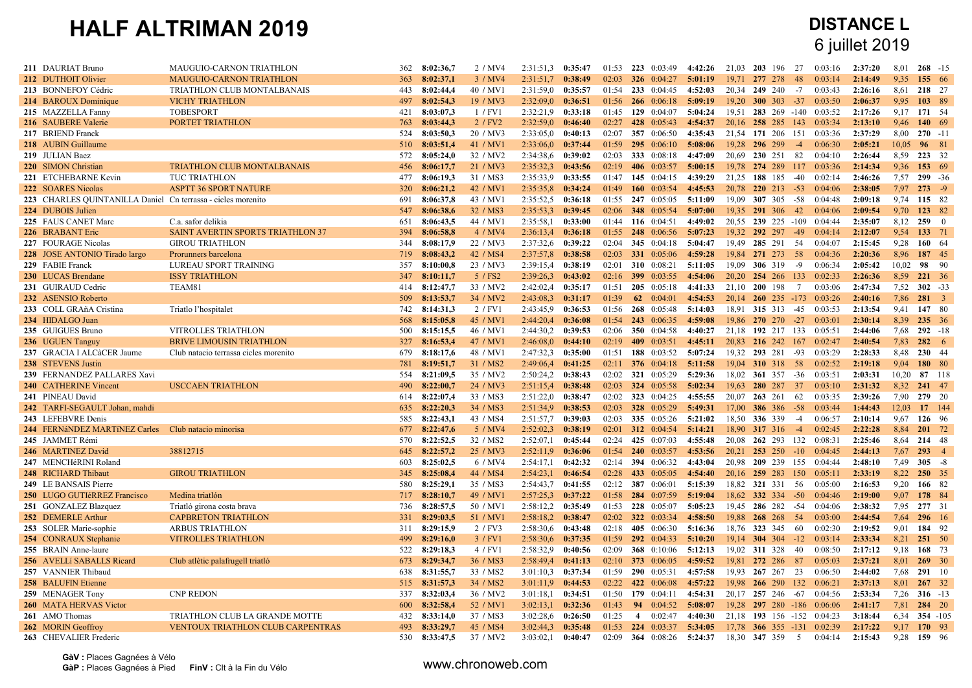| 211 DAURIAT Bruno                                            | MAUGUIO-CARNON TRIATHLON                 | 362 | 8:02:36,7     | 2 / MV4  | 2:31:51.3           | 0:35:47 | 01:53 | 223 0:03:49               | 4:42:26 | 21,03 | 203<br>- 196               | 27    | 0:03:16 | 2:37:20 | 8,01  | $268 - 15$     |  |
|--------------------------------------------------------------|------------------------------------------|-----|---------------|----------|---------------------|---------|-------|---------------------------|---------|-------|----------------------------|-------|---------|---------|-------|----------------|--|
| 212 DUTHOIT Olivier                                          | <b>MAUGUIO-CARNON TRIATHLON</b>          | 363 | 8:02:37,1     | 3 / MV4  | 2:31:51.7           | 0:38:49 | 02:03 | 326 $0:04:27$             | 5:01:19 |       | 19.71 277 278              | -48   | 0.03.14 | 2:14:49 | 9.35  | 155 66         |  |
| 213 BONNEFOY Cédric                                          | TRIATHLON CLUB MONTALBANAIS              | 443 | 8:02:44,4     | 40 / MV1 | 2:31:59.0           | 0:35:57 | 01:54 | 233 0:04:45               | 4:52:03 | 20.34 | 249 240                    | $-7$  | 0:03:43 | 2:26:16 | 8,61  | 218 27         |  |
| 214 BAROUX Dominique                                         | <b>VICHY TRIATHLON</b>                   | 497 | 8:02:54,3     | 19 / MV3 | 2:32:09,0           | 0:36:51 | 01:56 | $266$ 0:06:18             | 5:09:19 | 19,20 | $300 \t 303 \t -37$        |       | 0:03:50 | 2:06:37 | 9,95  | 103 89         |  |
| 215 MAZZELLA Fanny                                           | <b>TOBESPORT</b>                         | 421 | 8:03:07.3     | 1 / FV1  | 2:32:21.9           | 0:33:18 | 01:45 | 129 0:04:07               | 5:04:24 | 19.51 | 283 269 -140               |       | 0:03:52 | 2:17:26 | 9.17  | 171 54         |  |
| 216 SAUBERE Valerie                                          | <b>PORTET TRIATHLON</b>                  | 763 | 8:03:44,3     | 2 / FV2  | 2:32:59.0           | 0:46:40 | 02:27 | 428 0:05:43               | 4:54:37 |       | 20,16 258 285 143          |       | 0:03:34 | 2:13:10 | 9.46  | 140 69         |  |
| 217 BRIEND Franck                                            |                                          | 524 | 8:03:50,3     | 20 / MV3 | 2:33:05.0           | 0:40:13 | 02:07 | 357 0:06:50               | 4:35:43 |       | 21,54 171 206              | 151   | 0:03:36 | 2:37:29 | 8,00  | $270 - 11$     |  |
| 218 AUBIN Guillaume                                          |                                          | 510 | 8:03:51,4     | 41 / MV1 | 2:33:06.0           | 0:37:44 | 01:59 | 295 0:06:10               | 5:08:06 | 19,28 | 296 299                    | $-4$  | 0:06:30 | 2:05:21 | 10,05 | 96 81          |  |
| 219 JULIAN Baez                                              |                                          | 572 | 8:05:24,0     | 32 / MV2 | 2:34:38,6 0:39:02   |         | 02:03 | <b>333</b> 0:08:18        | 4:47:09 | 20,69 | 230 251                    | 82    | 0:04:10 | 2:26:44 | 8,59  | 223 32         |  |
| 220 SIMON Christian                                          | <b>TRIATHLON CLUB MONTALBANAIS</b>       | 456 | 8:06:17.7     | 21 / MV3 | 2:35:32.3           | 0:43:56 | 02:19 | 406 0:03:57               | 5:00:15 |       | 19,78 274 289 117          |       | 0:03:36 | 2:14:34 | 9.36  | 153 69         |  |
| 221 ETCHEBARNE Kevin                                         | TUC TRIATHLON                            | 477 | 8:06:19.3     | 31 / MS3 | 2:35:33.9           | 0:33:55 | 01:47 | 145 0:04:15               | 4:39:29 | 21,25 | 188 185                    | $-40$ | 0.02:14 | 2:46:26 | 7,57  | $299 - 36$     |  |
| 222 SOARES Nicolas                                           | <b>ASPTT 36 SPORT NATURE</b>             | 320 | 8:06:21,2     | 42 / MV1 | 2:35:35,8 0:34:24   |         | 01:49 | 160 $0:03:54$             | 4:45:53 |       | 20,78 220 213 -53          |       | 0:04:06 | 2:38:05 | 7.97  | $273 - 9$      |  |
| 223 CHARLES QUINTANILLA Daniel Cn terrassa - cicles morenito |                                          | 691 | 8:06:37.8     | 43 / MV1 | 2:35:52,5           | 0:36:18 | 01:55 | 247 0:05:05               | 5:11:09 | 19.09 | 307 305                    | -58   | 0:04:48 | 2:09:18 | 9.74  | 115 82         |  |
| 224 DUBOIS Julien                                            |                                          |     | 547 8:06:38,6 | 32 / MS3 | 2:35:53.3           | 0:39:45 | 02:06 | <b>348</b> 0:05:54        | 5:07:00 | 19.35 | 291 306                    | 42    | 0:04:06 | 2:09:54 | 9,70  | 123 82         |  |
| 225 FAUS CANET Marc                                          | C.a. safor delikia                       | 651 | 8:06:43,5     | 44 / MV1 | 2:35:58,1           | 0:33:00 | 01:44 | 116 0:04:51               | 4:49:02 | 20,55 | 239 225 -109               |       | 0:04:44 | 2:35:07 | 8,12  | 2590           |  |
| 226 BRABANT Eric                                             | <b>SAINT AVERTIN SPORTS TRIATHLON 37</b> | 394 | 8:06:58,8     | 4 / MV4  | $2:36:13,4$ 0:36:18 |         | 01:55 | 248 0:06:56               | 5:07:23 |       | 19,32 292 297 -49          |       | 0:04:14 | 2:12:07 | 9,54  | 133 71         |  |
| 227 FOURAGE Nicolas                                          | <b>GIROU TRIATHLON</b>                   | 344 | 8:08:17.9     | 22 / MV3 | 2:37:32.6           | 0:39:22 | 02:04 | 345 $0:04:18$             | 5:04:47 | 19.49 | 285 291                    | -54   | 0:04:07 | 2:15:45 | 9.28  | 160 64         |  |
| 228 JOSE ANTONIO Tirado largo                                | Prorunners barcelona                     | 719 | 8:08:43.2     | 42 / MS4 | 2:37:57,8           | 0:38:58 | 02:03 | <b>331</b> 0:05:06        | 4:59:28 | 19.84 | 271 273                    | - 58  | 0.04:36 | 2:20:36 | 8.96  | 187 45         |  |
| 229 FABIE Franck                                             | LUREAU SPORT TRAINING                    | 357 | 8:10:00.8     | 23 / MV3 | 2:39:15,4 0:38:19   |         | 02:01 | 310 0:08:21               | 5:11:05 | 19,09 | 306 319                    | -9    | 0:06:34 | 2:05:42 | 10,02 | 98 90          |  |
| 230 LUCAS Brendane                                           | <b>ISSY TRIATHLON</b>                    | 347 | 8:10:11,7     | 5 / FS2  | 2:39:26,3           | 0:43:02 | 02:16 | 399 0:03:55               | 4:54:06 | 20,20 | 254 266                    | 133   | 0:02:33 | 2:26:36 | 8,59  | 221 36         |  |
| 231 GUIRAUD Cedric                                           | TEAM81                                   | 414 | 8:12:47,7     | 33 / MV2 | 2:42:02,4           | 0:35:17 | 01:51 | $205 \quad 0.05:18$       | 4:41:33 | 21.10 | 200 198                    | 7     | 0:03:06 | 2:47:34 | 7,52  | $302 - 33$     |  |
| 232 ASENSIO Roberto                                          |                                          | 509 | 8:13:53,7     | 34 / MV2 | 2:43:08.3           | 0:31:17 | 01:39 | 62 $0:04:01$              | 4:54:53 | 20.14 | $260$ 235 -173 0:03:26     |       |         | 2:40:16 | 7.86  | $281 \quad 3$  |  |
| 233 COLL GRAñA Cristina                                      | Triatlo l'hospitalet                     | 742 | 8:14:31,3     | 2 / FV1  | 2:43:45.9           | 0:36:53 | 01:56 | 268 0:05:48               | 5:14:03 |       | 18.91 315 313              | -45   | 0:03:53 | 2:13:54 | 9,41  | 147 80         |  |
| 234 HIDALGO Juan                                             |                                          | 568 | 8:15:05,8     | 45 / MV1 | 2:44:20,4           | 0:36:08 | 01:54 | 243 0:06:35               | 4:59:08 | 19,86 | $270$ $270$ $-27$          |       | 0:03:01 | 2:30:14 | 8.39  | 235 36         |  |
| 235 GUIGUES Bruno                                            | <b>VITROLLES TRIATHLON</b>               | 500 | 8:15:15.5     | 46 / MV1 | 2:44:30.2           | 0:39:53 | 02:06 | 350 0:04:58               | 4:40:27 | 21.18 | 192 217 133                |       | 0:05:51 | 2:44:06 | 7.68  | $292 - 18$     |  |
| 236 UGUEN Tanguy                                             | <b>BRIVE LIMOUSIN TRIATHLON</b>          | 327 | 8:16:53,4     | 47 / MV1 | $2:46:08,0$ 0:44:10 |         | 02:19 | 409 0:03:51               | 4:45:11 |       | 20,83 216 242 167          |       | 0:02:47 | 2:40:54 | 7,83  | $282 \t 6$     |  |
| 237 GRACIA I ALCàCER Jaume                                   | Club natacio terrassa cicles morenito    | 679 | 8:18:17,6     | 48 / MV1 | 2:47:32.3           | 0:35:00 | 01:51 | 188 0:03:52               | 5:07:24 | 19.32 | 293 281                    | $-93$ | 0:03:29 | 2:28:33 | 8,48  | 230 44         |  |
| 238 STEVENS Justin                                           |                                          | 781 | 8:19:51,7     | 31 / MS2 | 2:49:06,4           | 0:41:25 | 02:11 | 376 $0.04:18$             | 5:11:58 | 19,04 | 310 318 58                 |       | 0:02:52 | 2:19:18 | 9,04  | 180 80         |  |
| 239 FERNANDEZ PALLARES Xavi                                  |                                          | 554 | 8:21:09,5     | 35 / MV2 | 2:50:24,2           | 0:38:43 | 02:02 | 321 0:05:29               | 5:29:36 | 18.02 | 361 357 -36                |       | 0:03:51 | 2:03:31 | 10.20 | 87 118         |  |
| 240 CATHERINE Vincent                                        | <b>USCCAEN TRIATHLON</b>                 | 490 | 8:22:00,7     | 24 / MV3 | 2:51:15,4           | 0:38:48 | 02:03 | 324 0:05:58               | 5:02:34 | 19,63 | 280 287                    | 37    | 0:03:10 | 2:31:32 | 8,32  | 241 47         |  |
| 241 PINEAU David                                             |                                          | 614 | 8:22:07,4     | 33 / MS3 | 2:51:22.0           | 0:38:47 | 02:02 | 323 0:04:25               | 4:55:55 | 20,07 | 263 261                    | 62    | 0:03:35 | 2:39:26 | 7,90  | 279 20         |  |
| 242 TARFI-SEGAULT Johan, mahdi                               |                                          | 635 | 8:22:20,3     | 34 / MS3 | 2:51:34.9           | 0:38:53 | 02:03 | <b>328</b> 0:05:29        | 5:49:31 | 17.00 | <b>386</b> 386             | $-58$ | 0.03:44 | 1:44:43 | 12,03 | 17 144         |  |
| 243 LEFEBVRE Denis                                           |                                          | 585 | 8:22:43.1     | 43 / MS4 | 2:51:57.7           | 0:39:03 | 02:03 | 335 0:05:26               | 5:21:02 | 18.50 | 336 339                    | $-4$  | 0:06:57 | 2:10:14 | 9.67  | 126 96         |  |
| 244 FERNáNDEZ MARTÍNEZ Carles Club natacio minorisa          |                                          | 677 | 8:22:47.6     | 5 / MV4  | 2:52:02,3           | 0:38:19 | 02:01 | 312 0:04:54               | 5:14:21 | 18.90 | 317 316                    | $-4$  | 0:02:45 | 2:22:28 | 8,84  | 201 72         |  |
| 245 JAMMET Rémi                                              |                                          | 570 | 8:22:52,5     | 32 / MS2 | 2:52:07,1           | 0:45:44 | 02:24 | 425 0:07:03               | 4:55:48 | 20,08 | 262 293                    | 132   | 0:08:31 | 2:25:46 | 8,64  | 214 48         |  |
| 246 MARTINEZ David                                           | 38812715                                 |     | 645 8:22:57,2 | 25 / MV3 | 2:52:11,9           | 0:36:06 | 01:54 | 240 0:03:57               | 4:53:56 | 20,21 | 253 250                    | $-10$ | 0:04:45 | 2:44:13 | 7,67  | $293 \t 4$     |  |
| 247 MENCHéRINI Roland                                        |                                          | 603 | 8:25:02,5     | 6 / MV4  | 2:54:17.1           | 0:42:32 | 02:14 | 394 0:06:32               | 4:43:04 | 20.98 | 209 239                    | 155   | 0:04:44 | 2:48:10 | 7.49  | $305 - 8$      |  |
| 248 RICHARD Thibaut                                          | <b>GIROU TRIATHLON</b>                   | 345 | 8:25:08,4     | 44 / MS4 | 2:54:23.1           | 0:46:54 | 02:28 | 433 0:05:05               | 4:54:40 |       | 20,16 259 283              | -150  | 0.05:11 | 2:33:19 | 8,22  | 250 35         |  |
| 249 LE BANSAIS Pierre                                        |                                          | 580 | 8:25:29,1     | 35 / MS3 | 2:54:43.7           | 0:41:55 | 02:12 | 387 0:06:01               | 5:15:39 |       | 18,82 321 331              | 56    | 0:05:00 | 2:16:53 | 9,20  | 166 82         |  |
| 250 LUGO GUTIéRREZ Francisco                                 | Medina triatlón                          |     | 717 8:28:10,7 | 49 / MV1 | 2:57:25,3           | 0:37:22 | 01:58 | 284 0:07:59               | 5:19:04 |       | 18,62 332 334              | $-50$ | 0.04:46 | 2:19:00 | 9,07  | 178 84         |  |
| 251 GONZALEZ Blazquez                                        | Triatló girona costa brava               | 736 | 8:28:57,5     | 50 / MV1 | 2:58:12.2           | 0:35:49 | 01:53 | 228 0:05:07               | 5:05:23 |       | 19.45 286 282 -54          |       | 0:04:06 | 2:38:32 | 7,95  | 277 31         |  |
| 252 DEMERLE Arthur                                           | <b>CAPBRETON TRIATHLON</b>               | 331 | 8:29:03,5     | 51 / MV1 | 2:58:18.2           | 0:38:47 | 02:02 | 322 0:03:34               | 4:58:50 | 19,88 | 268 268                    | 54    | 0:03:00 | 2:44:54 | 7,64  | 296 16         |  |
| 253 SOLER Marie-sophie                                       | <b>ARBUS TRIATHLON</b>                   | 311 | 8:29:15,9     | 2 / FV3  | 2:58:30,6 0:43:48   |         | 02:18 | 405 0:06:30               | 5:16:36 |       | 18,76 323 345              | -60   | 0:02:30 | 2:19:52 | 9,01  | 184 92         |  |
| 254 CONRAUX Stephanie                                        | <b>VITROLLES TRIATHLON</b>               | 499 | 8:29:16,0     | 3 / FV1  | 2:58:30,6 0:37:35   |         | 01:59 | 292 0:04:33               | 5:10:20 |       | $19,14$ 304 304 -12        |       | 0:03:14 | 2:33:34 | 8.21  | 251 50         |  |
| 255 BRAIN Anne-laure                                         |                                          | 522 | 8:29:18.3     | 4 / FV1  | 2:58:32.9           | 0:40:56 | 02:09 | <b>368</b> 0:10:06        | 5:12:13 |       | 19,02 311 328              | 40    | 0:08:50 | 2:17:12 | 9.18  | 168 73         |  |
| 256 AVELLi SABALLS Ricard                                    | Club atlètic palafrugell triatló         | 673 | 8:29:34,7     | 36 / MS3 | 2:58:49.4 0:41:13   |         | 02:10 | 373 0:06:05               | 4:59:52 | 19.81 | 272 286                    | 87    | 0:05:03 | 2:37:21 | 8,01  | 269 30         |  |
| 257 VANNIER Thibaud                                          |                                          | 638 | 8:31:55,7     | 33 / MS2 | 3:01:10.3           | 0:37:34 | 01:59 | 290 0:05:31               | 4:57:58 | 19.93 | 267 267                    | 23    | 0:06:50 | 2:44:02 | 7,68  | 291 10         |  |
| 258 BALUFIN Etienne                                          |                                          |     | 515 8:31:57,3 | 34 / MS2 | 3:01:11,9           | 0:44:53 | 02:22 | 422 0:06:08               | 4:57:22 | 19,98 | 266 290                    | 132   | 0:06:21 | 2:37:13 | 8,01  | $267 \quad 32$ |  |
| 259 MENAGER Tony                                             | <b>CNP REDON</b>                         | 337 | 8:32:03,4     | 36 / MV2 | 3:01:18,1           | 0:34:51 | 01:50 | 179 0:04:11               | 4:54:31 | 20.17 | 257 246                    | -67   | 0:04:56 | 2:53:34 | 7.26  | $316 - 13$     |  |
| <b>260 MATA HERVAS Victor</b>                                |                                          | 600 | 8:32:58,4     | 52 / MV1 | 3:02:13.1           | 0:32:36 | 01:43 | 94 0:04:52                | 5:08:07 |       | 19,28 297 280 -186         |       | 0:06:06 | 2:41:17 | 7,81  | 284 20         |  |
| 261 AMO Thomas                                               | TRIATHLON CLUB LA GRANDE MOTTE           | 432 | 8:33:14,0     | 37 / MS3 | 3:02:28,6           | 0:26:50 | 01:25 | $\overline{4}$<br>0:02:47 | 4:40:30 |       | 21,18 193 156 -152 0:04:23 |       |         | 3:18:44 | 6.34  | 354 -105       |  |
| 262 MORIN Geoffroy                                           | <b>VENTOUX TRIATHLON CLUB CARPENTRAS</b> | 493 | 8:33:29.7     | 45 / MS4 | 3:02:44.3           | 0:35:48 | 01:53 | 224 0:03:37               | 5:34:05 |       | 17,78 366 355 -131 0:02:39 |       |         | 2:17:22 | 9.17  | 170 93         |  |
| 263 CHEVALIER Frederic                                       |                                          | 530 | 8:33:47,5     | 37 / MV2 | 3:03:02.1           | 0:40:47 | 02:09 | <b>364</b> 0:08:26        | 5:24:37 |       | 18,30 347 359              | 5     | 0:04:14 | 2:15:43 | 9,28  | 159 96         |  |
|                                                              |                                          |     |               |          |                     |         |       |                           |         |       |                            |       |         |         |       |                |  |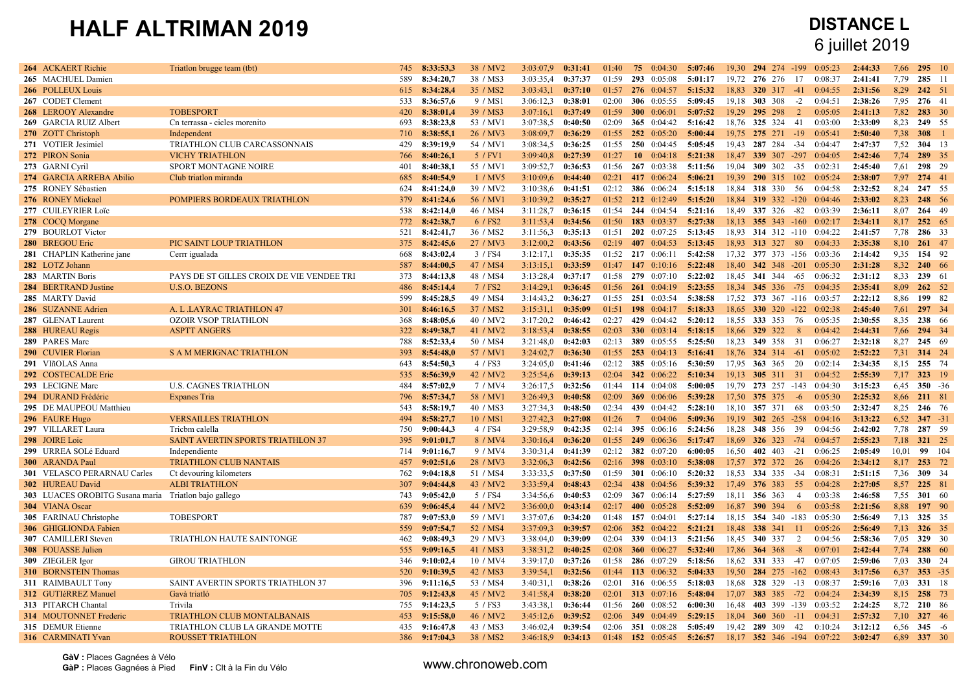| 264 ACKAERT Richie                                    | Triation brugge team (tbt)                | 745 | 8:33:53.3     | 38 / MV2             | 3:03:07.9 | 0:31:41 | 01:40 | 75<br>0:04:30          | 5:07:46 | 19.30 | 294 274            | $-199$<br>0:05:23          | 2:44:33 | 7.66  | $295 \t10$    |  |
|-------------------------------------------------------|-------------------------------------------|-----|---------------|----------------------|-----------|---------|-------|------------------------|---------|-------|--------------------|----------------------------|---------|-------|---------------|--|
| 265 MACHUEL Damien                                    |                                           | 589 | 8:34:20,7     | 38 / MS3             | 3:03:35.4 | 0:37:37 | 01:59 | 293 0:05:08            | 5:01:17 |       | 19,72 276 276      | 17<br>0:08:37              | 2:41:41 | 7,79  | 285 11        |  |
| 266 POLLEUX Louis                                     |                                           | 615 | 8:34:28,4     | 35 / MS2             | 3:03:43,1 | 0:37:10 | 01:57 | 276 0:04:57            | 5:15:32 | 18,83 | 320 317            | $-41$<br>0:04:55           | 2:31:56 | 8.29  | 242 51        |  |
| 267 CODET Clement                                     |                                           | 533 | 8:36:57,6     | 9 / MS1              | 3:06:12.3 | 0:38:01 | 02:00 | 306 $0:05:55$          | 5:09:45 |       | 19,18 303 308      | $-2$<br>0:04:51            | 2:38:26 | 7.95  | 276 41        |  |
| 268 LEROOY Alexandre                                  | <b>TOBESPORT</b>                          | 420 | 8:38:01.4     | 39 / MS3             | 3:07:16.1 | 0:37:49 | 01:59 | 300 $0:06:01$          | 5:07:52 | 19.29 | 295 298            | $\overline{2}$<br>0:05:05  | 2:41:13 | 7,82  | 283 30        |  |
| 269 GARCIA RUIZ Albert                                | Cn terrassa - cicles morenito             | 693 | 8:38:23.8     | 53 / MV1             | 3:07:38.5 | 0:40:50 | 02:09 | 365 $0.04:42$          | 5:16:42 | 18.76 | 325 324            | 0:03:00<br>-41             | 2:33:09 | 8.23  | 249 55        |  |
| 270 ZOTT Christoph                                    | Independent                               | 710 | 8:38:55.1     | 26 / MV3             | 3:08:09.7 | 0:36:29 | 01:55 | 252 0:05:20            | 5:00:44 |       | 19.75 275 271      | 0:05:41<br>$-19$           | 2:50:40 | 7,38  | $308 \quad 1$ |  |
| 271 VOTIER Jesimiel                                   | TRIATHLON CLUB CARCASSONNAIS              | 429 | 8:39:19.9     | 54 / MV1             | 3:08:34.5 | 0:36:25 | 01:55 | 250 0:04:45            | 5:05:45 | 19.43 | 287 284            | $-34$<br>0:04:47           | 2:47:37 | 7,52  | 304 13        |  |
| 272 PIRON Sonia                                       | <b>VICHY TRIATHLON</b>                    | 766 | 8:40:26,1     | 5 / FV1              | 3:09:40,8 | 0:27:39 | 01:27 | $10 \quad 0.04:18$     | 5:21:38 | 18,47 | 339 307 -297       | 0:04:05                    | 2:42:46 | 7,74  | 289 35        |  |
| 273 GARNI Cyril                                       | SPORT MONTAGNE NOIRE                      | 401 | 8:40:38,1     | 55 / MV1             | 3:09:52,7 | 0:36:53 | 01:56 | 267 0:03:38            | 5:11:56 | 19.04 | 309 302            | 0:02:31<br>$-35$           | 2:45:40 | 7,61  | 298 29        |  |
| 274 GARCIA ARREBA Abilio                              | Club triatlon miranda                     | 685 | 8:40:54,9     | 1 / MV5              | 3:10:09,6 | 0:44:40 | 02:21 | 417 0:06:24            | 5:06:21 | 19.39 | 290 315            | 102<br>0:05:24             | 2:38:07 | 7,97  | 274 41        |  |
| 275 RONEY Sébastien                                   |                                           | 624 | 8:41:24,0     | 39 / MV2             | 3:10:38,6 | 0:41:51 | 02:12 | <b>386</b> 0:06:24     | 5:15:18 | 18,84 | 318 330            | - 56<br>0:04:58            | 2:32:52 | 8,24  | 247 55        |  |
| 276 RONEY Mickael                                     | POMPIERS BORDEAUX TRIATHLON               | 379 | 8:41:24,6     | 56 / MV1             | 3:10:39.2 | 0:35:27 | 01:52 | 212 0:12:49            | 5:15:20 | 18.84 | $319$ 332 -120     | 0:04:46                    | 2:33:02 | 8.23  | 248 56        |  |
| 277 CUILEYRIER Loïc                                   |                                           | 538 | 8:42:14.0     | 46 / MS4             | 3:11:28,7 | 0:36:15 | 01:54 | 244 0:04:54            | 5:21:16 |       | 18.49 337 326      | -82<br>0:03:39             | 2:36:11 | 8.07  | 264 49        |  |
| 278 COCQ Morgane                                      |                                           | 772 | 8:42:38.7     | 6 / FS2              | 3:11:53,4 | 0:34:56 | 01:50 | 183 0:03:37            | 5:27:38 | 18.13 | 355 343 -160       | 0:02:17                    | 2:34:11 | 8,17  | 252 65        |  |
| 279 BOURLOT Victor                                    |                                           | 521 | 8:42:41,7     | 36 / MS2             | 3:11:56.3 | 0:35:13 | 01:51 | 202 0:07:25            | 5:13:45 | 18.93 | 314 312 -110       | 0:04:22                    | 2:41:57 | 7,78  | 286 33        |  |
| 280 BREGOU Eric                                       | PIC SAINT LOUP TRIATHLON                  | 375 | 8:42:45.6     | 27 / MV3             | 3:12:00,2 | 0:43:56 | 02:19 | 407 0:04:53            | 5:13:45 |       | 18.93 313 327      | - 80<br>0:04:33            | 2:35:38 | 8,10  | $261$ 47      |  |
| 281 CHAPLIN Katherine jane                            | Cerrr igualada                            | 668 | 8:43:02,4     | 3 / FS4              | 3:12:17.1 | 0:35:35 | 01:52 | 217 0:06:11            | 5:42:58 | 17,32 | 377 373 -156       | 0:03:36                    | 2:14:42 | 9,35  | 154 92        |  |
| 282 LOTZ Johann                                       |                                           | 587 | 8:44:00,5     | 47 / MS4             | 3:13:15.1 | 0:33:59 | 01:47 | 147 $0:10:16$          | 5:22:48 | 18,40 | 342 348 -201       | 0:05:30                    | 2:31:28 | 8,32  | 240 66        |  |
|                                                       |                                           |     |               |                      |           |         | 01:58 | 279 0:07:10            | 5:22:02 | 18,45 | 341 344            | 0:06:32                    | 2:31:12 | 8.33  | 239 61        |  |
| 283 MARTIN Boris                                      | PAYS DE ST GILLES CROIX DE VIE VENDEE TRI | 373 | 8:44:13,8     | 48 / MS4             | 3:13:28,4 | 0:37:17 |       |                        |         |       |                    | -65                        |         |       |               |  |
| 284 BERTRAND Justine                                  | <b>U.S.O. BEZONS</b>                      | 486 | 8:45:14.4     | 7 / FS2              | 3:14:29.1 | 0:36:45 | 01:56 | $261 \quad 0.04:19$    | 5:23:55 | 18.34 | 345 336 -75        | 0:04:35                    | 2:35:41 | 8.09  | $262 \t 52$   |  |
| 285 MARTY David                                       |                                           | 599 | 8:45:28.5     | 49 / MS4             | 3:14:43.2 | 0:36:27 | 01:55 | 251 0:03:54            | 5:38:58 | 17.52 |                    | 373 367 -116 0:03:57       | 2:22:12 | 8.86  | 199 82        |  |
| 286 SUZANNE Adrien                                    | A. L.LAYRAC TRIATHLON 47                  | 301 | 8:46:16.5     | 37 / MS2             | 3:15:31,1 | 0:35:09 | 01:51 | 198 0:04:17            | 5:18:33 | 18,65 | $330$ $320$ $-122$ | 0:02:38                    | 2:45:40 | 7,61  | 297 34        |  |
| 287 GLENAT Laurent                                    | <b>OZOIR VSOP TRIATHLON</b>               | 368 | 8:48:05,6     | 40 / MV2             | 3:17:20,2 | 0:46:42 | 02:27 | 429 0:04:42            | 5:20:12 |       | 18,55 333 353      | 76<br>0:05:35              | 2:30:55 | 8.35  | 238 66        |  |
| 288 HUREAU Regis                                      | <b>ASPTT ANGERS</b>                       | 322 | 8:49:38,7     | 41 / MV2             | 3:18:53,4 | 0:38:55 | 02:03 | 330 $0:03:14$          | 5:18:15 | 18,66 | 329 322            | 0:04:42<br>8               | 2:44:31 | 7,66  | 294 34        |  |
| 289 PARES Marc                                        |                                           | 788 | 8:52:33,4     | 50 / MS4             | 3:21:48,0 | 0:42:03 | 02:13 | 389 0:05:55            | 5:25:50 | 18,23 | 349 358            | 31<br>0:06:27              | 2:32:18 | 8,27  | 245 69        |  |
| 290 CUVIER Florian                                    | <b>S A M MERIGNAC TRIATHLON</b>           | 393 | 8:54:48,0     | 57 / MV1             | 3:24:02,7 | 0:36:30 | 01:55 | 253 0:04:13            | 5:16:41 | 18,76 | $324$ 314 $-61$    | 0:05:02                    | 2:52:22 | 7,31  | 314 24        |  |
| 291 VIñOLAS Anna                                      |                                           | 643 | 8:54:50,3     | 4 / FS3              | 3:24:05.0 | 0:41:46 | 02:12 | <b>385</b> 0:05:16     | 5:30:59 | 17,95 | <b>363</b> 365     | 0:02:14<br>20              | 2:34:35 | 8,15  | 255 74        |  |
| 292 COSTECALDE Eric                                   |                                           | 535 | 8:56:39.9     | 42 / MV2             | 3:25:54.6 | 0:39:13 | 02:04 | 342 0:06:22            | 5:10:34 | 19.13 | 305 311            | 31<br>0:04:52              | 2:55:39 | 7.17  | 323 19        |  |
| 293 LECIGNE Marc                                      | <b>U.S. CAGNES TRIATHLON</b>              | 484 | 8:57:02,9     | 7 / MV4              | 3:26:17,5 | 0:32:56 | 01:44 | 114 0:04:08            | 5:00:05 | 19.79 | 273 257 -143       | 0:04:30                    | 3:15:23 | 6.45  | $350 - 36$    |  |
| 294 DURAND Frédéric                                   | Expanes Tria                              | 796 | 8:57:34.7     | 58 / MV1             | 3:26:49.3 | 0:40:58 | 02:09 | 369 0:06:06            | 5:39:28 | 17.50 | 375 375            | 0:05:30<br>$-6$            | 2:25:32 | 8,66  | 211 81        |  |
| 295 DE MAUPEOU Matthieu                               |                                           | 543 | 8:58:19,7     | 40 / MS3             | 3:27:34.3 | 0:48:50 | 02:34 | 439 0:04:42            | 5:28:10 | 18.10 | 357 371            | 68<br>0:03:50              | 2:32:47 | 8.25  | 246 76        |  |
| 296 FAURE Hugo                                        | <b>VERSAILLES TRIATHLON</b>               | 494 | 8:58:27,7     | 10 / MS1             | 3:27:42.3 | 0:27:08 | 01:26 | $7^{\circ}$<br>0:04:06 | 5:09:36 |       | 19,19 302 265 -258 | 0:04:16                    | 3:13:22 | 6,52  | $347 - 31$    |  |
| 297 VILLARET Laura                                    | Tricbm calella                            | 750 | 9:00:44,3     | 4 / FS4              | 3:29:58.9 | 0:42:35 | 02:14 | 395 0:06:16            | 5:24:56 | 18,28 | 348 356 39         | 0:04:56                    | 2:42:02 | 7,78  | 287 59        |  |
| 298 JOIRE Loic                                        | SAINT AVERTIN SPORTS TRIATHLON 37         | 395 | 9:01:01,7     | 8 / MV4              | 3:30:16,4 | 0:36:20 | 01:55 | 249 0:06:36            | 5:17:47 | 18,69 | 326 323            | 0:04:57<br>$-74$           | 2:55:23 | 7,18  | 321 25        |  |
| 299 URREA SOLé Eduard                                 | Independiente                             | 714 | 9:01:16,7     | 9 / MV4              | 3:30:31,4 | 0:41:39 | 02:12 | <b>382</b> 0:07:20     | 6:00:05 | 16,50 | 402 403            | $-21$<br>0:06:25           | 2:05:49 | 10,01 | 99 104        |  |
| 300 ARANDA Paul                                       | <b>TRIATHLON CLUB NANTAIS</b>             | 457 | 9:02:51,6     | 28 / MV3             | 3:32:06,3 | 0:42:56 | 02:16 | 398 $0:03:10$          | 5:38:08 | 17.57 | 372 372            | - 26<br>0:04:26            | 2:34:12 | 8,17  | 253 72        |  |
| 301 VELASCO PERARNAU Carles                           | Ct devouring kilometers                   | 762 | 9:04:18.8     | 51 / MS4             | 3:33:33,5 | 0:37:50 | 01:59 | <b>301</b> 0:06:10     | 5:20:32 | 18.53 | 334 335            | $-34$<br>0:08:31           | 2:51:15 | 7.36  | 309 34        |  |
| 302 HUREAU David                                      | <b>ALBI TRIATHLON</b>                     | 307 | 9:04:44,8     | 43 / MV2             | 3:33:59.4 | 0:48:43 | 02:34 | 438 0:04:56            | 5:39:32 | 17.49 | 376 383            | 0:04:28<br>- 55            | 2:27:05 | 8,57  | 225 81        |  |
| 303 LUACES OROBITG Susana maria Triatlon bajo gallego |                                           | 743 | 9:05:42,0     | 5 / FS4              | 3:34:56,6 | 0:40:53 | 02:09 | 367 0:06:14            | 5:27:59 | 18,11 | 356 363            | 0:03:38<br>-4              | 2:46:58 | 7,55  | 301 60        |  |
| 304 VIANA Oscar                                       |                                           | 639 | 9:06:45.4     | 44 / MV2             | 3:36:00,0 | 0:43:14 | 02:17 | 400 0:05:28            | 5:52:09 | 16.87 | 390 394            | 0:03:58<br>6               | 2:21:56 | 8,88  | 197 90        |  |
| 305 FARINAU Christophe                                | <b>TOBESPORT</b>                          | 787 | 9:07:53.0     | 59 / MV1             | 3:37:07,6 | 0:34:20 | 01:48 | 157 0:04:01            | 5:27:14 | 18.15 | 354 340 -183       | 0:05:30                    | 2:56:49 | 7,13  | 325 35        |  |
| 306 GHIGLIONDA Fabien                                 |                                           | 559 | 9:07:54,7     | 52 / MS4             | 3:37:09.3 | 0:39:57 | 02:06 | 352 0:04:22            | 5:21:21 | 18,48 | 338 341            | 0:05:26<br>-11             | 2:56:49 | 7,13  | 326 35        |  |
| 307 CAMILLERI Steven                                  | <b>TRIATHLON HAUTE SAINTONGE</b>          |     | 462 9:08:49,3 | 29 / MV3             | 3:38:04,0 | 0:39:09 | 02:04 | <b>339</b> 0:04:13     | 5:21:56 |       | 18,45 340 337      | 2<br>0:04:56               | 2:58:36 | 7,05  | 329 30        |  |
| 308 FOUASSE Julien                                    |                                           | 555 | 9:09:16,5     | 41 / MS3             | 3:38:31,2 | 0:40:25 | 02:08 | 360 $0:06:27$          | 5:32:40 | 17,86 | <b>364</b> 368     | 0:07:01<br>$-8$            | 2:42:44 | 7,74  | 288 60        |  |
| 309 ZIEGLER Igor                                      | <b>GIROU TRIATHLON</b>                    | 346 | 9:10:02.4     | 10 / MV4             | 3:39:17.0 | 0:37:26 | 01:58 | 286 0:07:29            | 5:18:56 | 18.62 | 331 333            | -47<br>0:07:05             | 2:59:06 | 7,03  | 330 24        |  |
| <b>310 BORNSTEIN Thomas</b>                           |                                           | 520 | 9:10:39.5     | 42 / MS3             | 3:39:54,1 | 0:32:56 | 01:44 | 113 0:06:32            | 5:04:33 | 19.50 |                    | 284 275 -162 0:08:43       | 3:17:56 | 6,37  | $353 - 35$    |  |
| 311 RAIMBAULT Tony                                    | SAINT AVERTIN SPORTS TRIATHLON 37         | 396 | 9:11:16,5     | 53 / MS4             | 3:40:31.1 | 0:38:26 | 02:01 | 316 0:06:55            | 5:18:03 |       | 18.68 328 329      | 0:08:37<br>$-13$           | 2:59:16 | 7.03  | 331 18        |  |
| 312 GUTIéRREZ Manuel                                  | Gavà triatló                              | 705 | 9:12:43.8     | 45 / MV2             | 3:41:58,4 | 0:38:20 | 02:01 | 313 $0:07:16$          | 5:48:04 | 17,07 | 383 385            | $-72$<br>0:04:24           | 2:34:39 | 8,15  | 258 73        |  |
| 313 PITARCH Chantal                                   | Trivila                                   | 755 | 9:14:23,5     | 5 / FS3              | 3:43:38,1 | 0:36:44 | 01:56 | $260$ 0:08:52          | 6:00:30 | 16,48 | 403 399 -139       | 0:03:52                    | 2:24:25 | 8,72  | 210 86        |  |
| <b>314 MOUTONNET Frederic</b>                         | <b>TRIATHLON CLUB MONTALBANAIS</b>        |     | 453 9:15:58,0 | 46 / MV2             | 3:45:12,6 | 0:39:52 | 02:06 | 349 0:04:49            | 5:29:15 | 18,04 | <b>360</b> 360     | $-11$<br>0:04:31           | 2:57:32 | 7,10  | 327 46        |  |
| 315 DEMUR Etienne                                     | TRIATHLON CLUB LA GRANDE MOTTE            | 435 | 9:16:47,8     | 43 / MS3             | 3:46:02,4 | 0:39:54 | 02:06 | 351 0:08:28            | 5:05:49 | 19.42 | 289 309            | 42<br>0:10:24              | 3:12:12 | 6.56  | $345 - 6$     |  |
| 316 CARMINATI Yvan                                    | <b>ROUSSET TRIATHLON</b>                  |     | 386 9:17:04.3 | 38 / MS <sub>2</sub> | 3:46:18.9 | 0:34:13 | 01:48 | 152 0:05:45            | 5:26:57 |       |                    | 18.17 352 346 -194 0:07:22 | 3:02:47 | 6.89  | 337 30        |  |
|                                                       |                                           |     |               |                      |           |         |       |                        |         |       |                    |                            |         |       |               |  |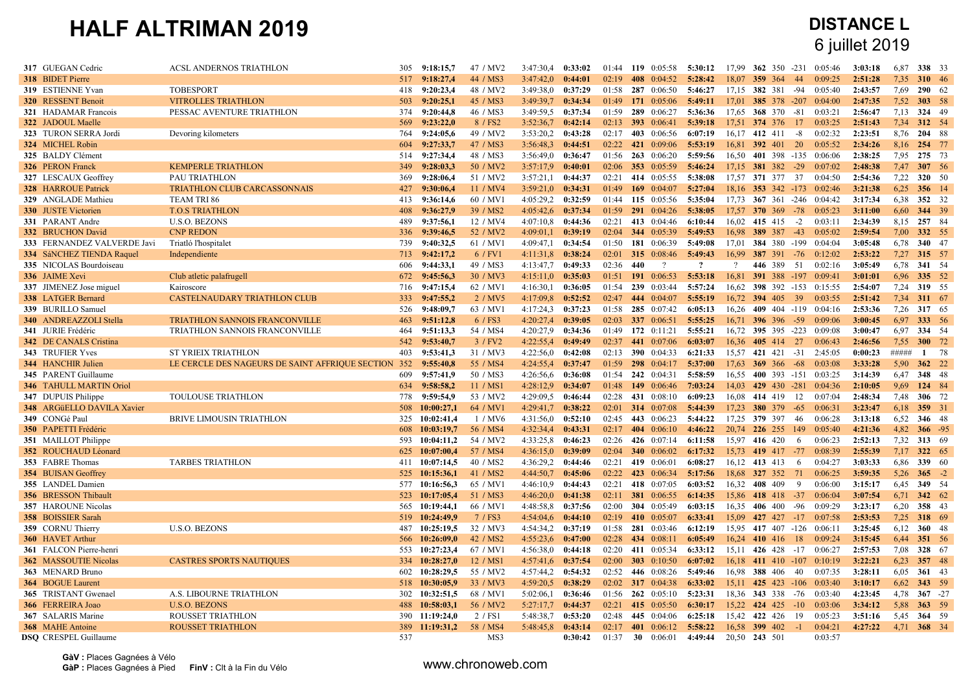| 317 GUEGAN Cedric              | ACSL ANDERNOS TRIATHLON                                       | 305 | 9:18:15.7      | 47 / MV2             | 3:47:30.4             | 0:33:02 | 01:44 | 119 0:05:58         | 5:30:12 | 17.99    |                   | 362 350 -231 | 0:05:46                    | 3:03:18 | 6.87        | 338 33       |      |
|--------------------------------|---------------------------------------------------------------|-----|----------------|----------------------|-----------------------|---------|-------|---------------------|---------|----------|-------------------|--------------|----------------------------|---------|-------------|--------------|------|
| <b>318</b> BIDET Pierre        |                                                               |     | 517 9:18:27,4  | 44 / MS3             | 3:47:42,0             | 0:44:01 | 02:19 | 408 0:04:52         | 5:28:42 | 18.07    | 359 364           | 44           | 0.09.25                    | 2:51:28 | 7.35        | 310 46       |      |
| 319 ESTIENNE Yvan              | <b>TOBESPORT</b>                                              | 418 | 9:20:23,4      | 48 / MV2             | 3:49:38.0             | 0:37:29 | 01:58 | 287 0:06:50         | 5:46:27 | 17,15    | 382 381           | -94          | 0:05:40                    | 2:43:57 | 7,69        | 290 62       |      |
| 320 RESSENT Benoit             | <b>VITROLLES TRIATHLON</b>                                    | 503 | 9:20:25,1      | 45 / MS3             | 3:49:39.7 0:34:34     |         | 01:49 | 171 0:05:06         | 5:49:11 | 17,01    |                   | 385 378 -207 | 0:04:00                    | 2:47:35 | 7,52        | 303 58       |      |
| 321 HADAMAR Francois           | PESSAC AVENTURE TRIATHLON                                     | 374 | 9:20:44.8      | 46 / MS3             | 3:49:59.5             | 0:37:34 | 01:59 | 289 0:06:27         | 5:36:36 | 17.65    | 368 370           | -81          | 0.03:21                    | 2:56:47 | 7.13        | 324 49       |      |
| 322 JADOUL Maelle              |                                                               | 569 | 9:23:22.0      | 8 / FS2              | 3:52:36.7             | 0:42:14 | 02:13 | 393 0:06:41         | 5:39:18 | 17,51    | 374 376           | -17          | 0:03:25                    | 2:51:43 | 7,34        | 312 54       |      |
| 323 TURON SERRA Jordi          | Devoring kilometers                                           | 764 | 9:24:05,6      | 49 / MV2             | 3:53:20,2             | 0:43:28 | 02:17 | 403 0:06:56         | 6:07:19 |          | 16.17 412 411     | $-8$         | 0:02:32                    | 2:23:51 | 8,76        | 204 88       |      |
| 324 MICHEL Robin               |                                                               | 604 | 9:27:33,7      | 47 / MS3             | 3:56:48,3             | 0:44:51 | 02:22 | 421<br>0:09:06      | 5:53:19 | 16,81    | 392 401           | 20           | 0:05:52                    | 2:34:26 | 8,16        | 254 77       |      |
| 325 BALDY Clément              |                                                               | 514 | 9:27:34,4      | 48 / MS3             | 3:56:49.0             | 0:36:47 | 01:56 | $263$ 0:06:20       | 5:59:56 | 16,50    |                   |              | 401 398 -135 0:06:06       | 2:38:25 | 7.95        | 275 73       |      |
| 326 PERON Franck               | <b>KEMPERLE TRIATHLON</b>                                     | 349 | 9:28:03.3      | 50 / MV2             | 3:57:17.9             | 0:40:01 | 02:06 | 353 0:05:59         | 5:46:24 | 17.15    | 381 382           | $-29$        | 0:07:02                    | 2:48:38 | 7.47        | 307 56       |      |
| 327 LESCAUX Geoffrey           | PAU TRIATHLON                                                 | 369 | 9:28:06,4      | 51 / MV2             | 3:57:21.1             | 0:44:37 | 02:21 | 414 0:05:55         | 5:38:08 | 17,57    | 371 377           | 37           | 0:04:50                    | 2:54:36 | 7,22        | 320 50       |      |
| 328 HARROUE Patrick            | TRIATHLON CLUB CARCASSONNAIS                                  | 427 | 9:30:06,4      | 11 / MV4             | $3:59:21,0$ 0:34:31   |         | 01:49 | 169 $0:04:07$       | 5:27:04 |          |                   |              | 18,16 353 342 -173 0:02:46 | 3:21:38 | 6,25        | 356 14       |      |
| 329 ANGLADE Mathieu            | TEAM TRI 86                                                   | 413 | 9:36:14.6      | 60 / MV1             | 4:05:29.2             | 0:32:59 | 01:44 | 115 0:05:56         | 5:35:04 | 17.73    |                   | 367 361 -246 | 0:04:42                    | 3:17:34 | 6,38        | 352 32       |      |
| 330 JUSTE Victorien            | <b>T.O.S TRIATHLON</b>                                        | 408 | 9:36:27,9      | 39 / MS2             | 4:05:42,6             | 0:37:34 | 01:59 | 291 0:04:26         | 5:38:05 | 17,57    | $370, 369, -78$   |              | 0:05:23                    | 3:11:00 | 6,60        | 344 39       |      |
| 331 PARANT Andre               | <b>U.S.O. BEZONS</b>                                          | 489 | 9:37:56,1      | 12 / MV4             | 4:07:10,8             | 0:44:36 | 02:21 | 413 0:04:46         | 6:10:44 | 16,02    | 415 415           | $-2$         | 0:03:11                    | 2:34:39 | 8,15        | 257 84       |      |
| 332 BRUCHON David              | <b>CNP REDON</b>                                              | 336 | 9:39:46,5      | 52 / MV2             | 4:09:01,1             | 0:39:19 | 02:04 | 344 0:05:39         | 5:49:53 | 16.98    | 389 387           | $-43$        | 0:05:02                    | 2:59:54 | 7,00        | 332 55       |      |
| 333 FERNANDEZ VALVERDE Javi    | Triatló l'hospitalet                                          | 739 | 9:40:32.5      | 61 / MV1             | 4:09:47.1             | 0:34:54 | 01:50 | 181 0:06:39         | 5:49:08 | 17.01    |                   |              | 384 380 -199 0:04:04       | 3:05:48 | 6.78        | 340 47       |      |
| 334 SáNCHEZ TIENDA Raquel      | Independiente                                                 | 713 | 9:42:17,2      | 6 / FV1              | 4:11:31,8             | 0:38:24 | 02:01 | 315 0:08:46         | 5:49:43 | 16,99    | 387 391           | $-76$        | 0:12:02                    | 2:53:22 | 7,27        | 315 57       |      |
| 335 NICOLAS Bourdoiseau        |                                                               | 606 | 9:44:33,1      | 49 / MS3             | 4:13:47.7             | 0:49:33 | 02:36 | 440<br>$\gamma$     | $\cdot$ | $\gamma$ | 446 389           | 51           | 0:02:16                    | 3:05:49 | 6,78        | 341 54       |      |
| 336 JAIME Xevi                 | Club atletic palafrugell                                      | 672 | 9:45:56.3      | 30 / MV3             | 4:15:11.0             | 0:35:03 | 01:51 | 191 0:06:53         | 5:53:18 | 16.81    |                   |              | 391 388 -197 0:09:41       | 3:01:01 | 6,96        | 335 52       |      |
| 337 JIMENEZ Jose miguel        | Kairoscore                                                    | 716 | 9:47:15,4      | 62 / MV1             | 4:16:30,1             | 0:36:05 | 01:54 | 239 0:03:44         | 5:57:24 | 16.62    |                   |              | 398 392 -153 0:15:55       | 2:54:07 | 7,24        | 319 55       |      |
| <b>338</b> LATGER Bernard      | CASTELNAUDARY TRIATHLON CLUB                                  | 333 | 9:47:55,2      | 2 / MV5              | 4:17:09.8             | 0:52:52 | 02:47 | 444 0:04:07         | 5:55:19 | 16.72    | 394 405 39        |              | 0.03:55                    | 2:51:42 | 7,34        | 311 67       |      |
| 339 BURILLO Samuel             |                                                               | 526 | 9:48:09,7      | 63 / MV1             | 4:17:24.3             | 0:37:23 | 01:58 | 285 0:07:42         | 6:05:13 | 16,26    |                   |              | 409 404 -119 0:04:16       | 2:53:36 | 7,26        | 317 65       |      |
| 340 ANDREAZZOLI Stella         | <b>TRIATHLON SANNOIS FRANCONVILLE</b>                         | 463 | 9:51:12,8      | 6 / FS3              | 4:20:27,4             | 0:39:05 | 02:03 | 337 0:06:51         | 5:55:25 | 16,71    | 396 396 -59       |              | 0:09:06                    | 3:00:45 | 6,97        | 333 56       |      |
| 341 JURIE Frédéric             | TRIATHLON SANNOIS FRANCONVILLE                                | 464 | 9:51:13.3      | 54 / MS4             | 4:20:27.9             | 0:34:36 | 01:49 | 172 $0:11:21$       | 5:55:21 | 16.72    |                   | 395 395 -223 | 0:09:08                    | 3:00:47 | 6.97        | 334 54       |      |
| 342 DE CANALS Cristina         |                                                               |     | 542 9:53:40,7  | 3 / FV2              | 4:22:55,4             | 0:49:49 | 02:37 | 441 0:07:06         | 6:03:07 | 16,36    | 405 414 27        |              | 0:06:43                    | 2:46:56 | 7,55        | 300 72       |      |
| 343 TRUFIER Yves               | <b>ST YRIEIX TRIATHLON</b>                                    | 403 | 9:53:41.3      | 31 / MV3             | 4:22:56.0             | 0:42:08 | 02:13 | 390 0:04:33         | 6:21:33 | 15.57    | 421 421           | $-31$        | 2:45:05                    | 0:00:23 | #####       | $\mathbf{1}$ | - 78 |
| 344 HANCHIR Julien             | LE CERCLE DES NAGEURS DE SAINT AFFRIQUE SECTION 352 9:55:40,8 |     |                | 55 / MS4             | 4:24:55,4             | 0:37:47 | 01:59 | $298$ 0:04:17       | 5:37:00 | 17,63    | 369 366           | $-68$        | 0:03:08                    | 3:33:28 | 5.90        | 362 22       |      |
| 345 PARENT Guillaume           |                                                               | 609 | 9:57:41.9      | 50 / MS3             | 4:26:56,6             | 0:36:08 | 01:54 | 242 0:04:31         | 5:58:59 | 16.55    |                   |              | 400 393 -151 0:03:25       | 3:14:39 | 6,47        | 348 48       |      |
| <b>346 TAHULL MARTIN Oriol</b> |                                                               | 634 | 9:58:58,2      | 11 / MS1             | 4:28:12.9             | 0:34:07 | 01:48 | 149 0:06:46         | 7:03:24 | 14,03    |                   | 429 430 -281 | 0:04:36                    | 2:10:05 | 9,69        | 124 84       |      |
| 347 DUPUIS Philippe            | TOULOUSE TRIATHLON                                            | 778 | 9:59:54,9      | 53 / MV2             | 4:29:09,5             | 0:46:44 | 02:28 | 431 0:08:10         | 6:09:23 | 16,08    | 414 419           | 12           | 0:07:04                    | 2:48:34 | 7,48        | 306 72       |      |
| 348 ARGüELLO DAVILA Xavier     |                                                               | 508 | 10:00:27.1     | 64 / MV1             | 4:29:41.7             | 0:38:22 | 02:01 | 314 0:07:08         | 5:44:39 | 17.23    | 380 379           | $-65$        | 0:06:31                    | 3:23:47 | 6.18        | 359 31       |      |
| 349 CONGé Paul                 | BRIVE LIMOUSIN TRIATHLON                                      |     | 325 10:02:41,4 | 1/MV6                | 4:31:56,0             | 0:52:10 | 02:45 | 443 0:06:23         | 5:44:22 | 17,25    | 379 397           | 46           | 0:06:28                    | 3:13:18 | 6,52        | 346 48       |      |
| 350 PAPETTI Frédéric           |                                                               |     | 608 10:03:19,7 | 56 / MS4             | 4:32:34,4 0:43:31     |         | 02:17 | 404 0:06:10         | 4:46:22 |          | 20,74 226 255 149 |              | 0:05:40                    | 4:21:36 | 4,82        | $366 - 95$   |      |
| 351 MAILLOT Philippe           |                                                               | 593 | 10:04:11,2     | 54 / MV2             | 4:33:25.8             | 0:46:23 | 02:26 | 426 0:07:14         | 6:11:58 | 15.97    | 416 420           | -6           | 0:06:23                    | 2:52:13 | 7,32        | 313 69       |      |
| 352 ROUCHAUD Léonard           |                                                               |     | 625 10:07:00,4 | 57 / MS4             | 4:36:15,0             | 0:39:09 | 02:04 | <b>340</b> 0:06:02  | 6:17:32 | 15,73    | 419 417 -77       |              | 0:08:39                    | 2:55:39 | 7,17        | 322 65       |      |
| 353 FABRE Thomas               | <b>TARBES TRIATHLON</b>                                       |     | 411 10:07:14.5 | 40 / MS2             | 4:36:29.2             | 0:44:46 | 02:21 | 419 0:06:01         | 6:08:27 | 16,12    | 413 413           | 6            | 0:04:27                    | 3:03:33 | 6,86        | 339 60       |      |
| 354 BUISAN Geoffrey            |                                                               |     | 525 10:15:36,1 | 41 / MS2             | 4:44:50,7             | 0:45:06 | 02:22 | 423 0:06:34         | 5:17:56 | 18.68    | 327 352           | 71           | 0:06:25                    | 3:59:35 | 5,26        | $365 - 2$    |      |
| 355 LANDEL Damien              |                                                               |     | 577 10:16:56,3 | 65 / MV1             | 4:46:10.9             | 0:44:43 | 02:21 | 418 0:07:05         | 6:03:52 | 16,32    | 408 409           | 9            | 0:06:00                    | 3:15:17 | 6,45        | 349 54       |      |
| 356 BRESSON Thibault           |                                                               | 523 | 10:17:05,4     | 51 / MS3             | 4:46:20,0             | 0:41:38 | 02:11 | <b>381</b> 0:06:55  | 6:14:35 | 15,86    | 418 418           | $-37$        | 0:06:04                    | 3:07:54 | 6,71        | 342 62       |      |
| 357 HAROUNE Nicolas            |                                                               |     | 565 10:19:44,1 | 66 / MV1             | 4:48:58,8             | 0:37:56 | 02:00 | <b>304</b> 0:05:49  | 6:03:15 | 16.35    | 406 400           | -96          | 0:09:29                    | 3:23:17 | 6.20        | 358 43       |      |
| 358 BOISSIER Sarah             |                                                               | 519 | 10:24:49,9     | 7 / FS3              | 4:54:04,6             | 0:44:10 | 02:19 | 410 0:05:07         | 6:33:41 | 15,09    | 427 427           | $-17$        | 0:07:58                    | 2:53:53 | 7.25        | 318 69       |      |
| 359 CORNU Thierry              | <b>U.S.O. BEZONS</b>                                          | 487 | 10:25:19.5     | 32 / MV3             | 4:54:34,2             | 0:37:19 | 01:58 | 281 0:03:46         | 6:12:19 | 15,95    |                   | 417 407 -126 | 0:06:11                    | 3:25:45 | 6,12        | 360 48       |      |
| 360 HAVET Arthur               |                                                               | 566 | 10:26:09.0     | 42 / MS <sub>2</sub> | $4:55:23.6$ $0:47:00$ |         | 02:28 | 434 0:08:11         | 6:05:49 | 16.24    | 410 416           | 18           | 0:09:24                    | 3:15:45 | 6.44        | 351 56       |      |
| 361 FALCON Pierre-henri        |                                                               | 553 | 10:27:23,4     | 67 / MV1             | 4:56:38,0             | 0:44:18 | 02:20 | 411 0:05:34         | 6:33:12 | 15,11    | 426 428           | $-17$        | 0:06:27                    | 2:57:53 | 7.08        | 328 67       |      |
| 362 MASSOUTIE Nicolas          | <b>CASTRES SPORTS NAUTIQUES</b>                               |     | 334 10:28:27,0 | 12 / MS1             | 4:57:41,6 0:37:54     |         | 02:00 | 303 0:10:50         | 6:07:02 | 16.18    |                   |              | 411 410 -107 0:10:19       | 3:22:21 | 6,23        | 357 48       |      |
| 363 MENARD Bruno               |                                                               | 602 | 10:28:29,5     | 55 / MV2             | 4:57:44,2             | 0:54:32 | 02:52 | 446 0:08:26         | 5:49:46 | 16.98    | 388 406           | 40           | 0:07:35                    | 3:28:11 | 6,05        | 361 43       |      |
| 364 BOGUE Laurent              |                                                               |     | 518 10:30:05,9 | 33 / MV3             | 4:59:20,5             | 0:38:29 | 02:02 | <b>317</b> 0:04:38  | 6:33:02 | 15.11    |                   | 425 423 -106 | 0:03:40                    | 3:10:17 | 6,62        | 343 59       |      |
| <b>365</b> TRISTANT Gwenael    | A.S. LIBOURNE TRIATHLON                                       | 302 | 10:32:51.5     | 68 / MV1             | 5:02:06,1             | 0:36:46 | 01:56 | $262 \quad 0:05:10$ | 5:23:31 | 18.36    | 343 338           | $-76$        | 0:03:40                    | 4:23:45 | 4.78        | $367 - 27$   |      |
| 366 FERREIRA Joao              | <b>U.S.O. BEZONS</b>                                          |     | 488 10:58:03,1 | 56 / MV2             | 5:27:17,7             | 0:44:37 | 02:21 | 415 0:05:50         | 6:30:17 |          | 15,22 424 425     | $-10$        | 0:03:06                    | 3:34:12 | 5,88        | 363 59       |      |
| 367 SALARIS Marine             | ROUSSET TRIATHLON                                             |     | 390 11:19:24,0 | 2 / FS1              | 5:48:38,7             | 0:53:20 | 02:48 | 445 0:04:06         | 6:25:18 |          | 15,42 422 426     | 19           | 0:05:23                    | 3:51:16 | 5,45        | 364 59       |      |
| <b>368</b> MAHE Antoine        | <b>ROUSSET TRIATHLON</b>                                      | 389 | 11:19:31.2     | 58 / MS4             | 5:48:45.8             | 0:43:14 | 02:17 | 401 0:06:12         | 5:58:22 |          | 16.58 399 402     | $-1$         | 0.04:21                    | 4:27:22 | 4.71 368 34 |              |      |
| <b>DSO</b> CRESPEL Guillaume   |                                                               | 537 |                | MS3                  |                       | 0:30:42 | 01:37 | 30<br>0:06:01       | 4:49:44 |          | 20,50 243 501     |              | 0:03:57                    |         |             |              |      |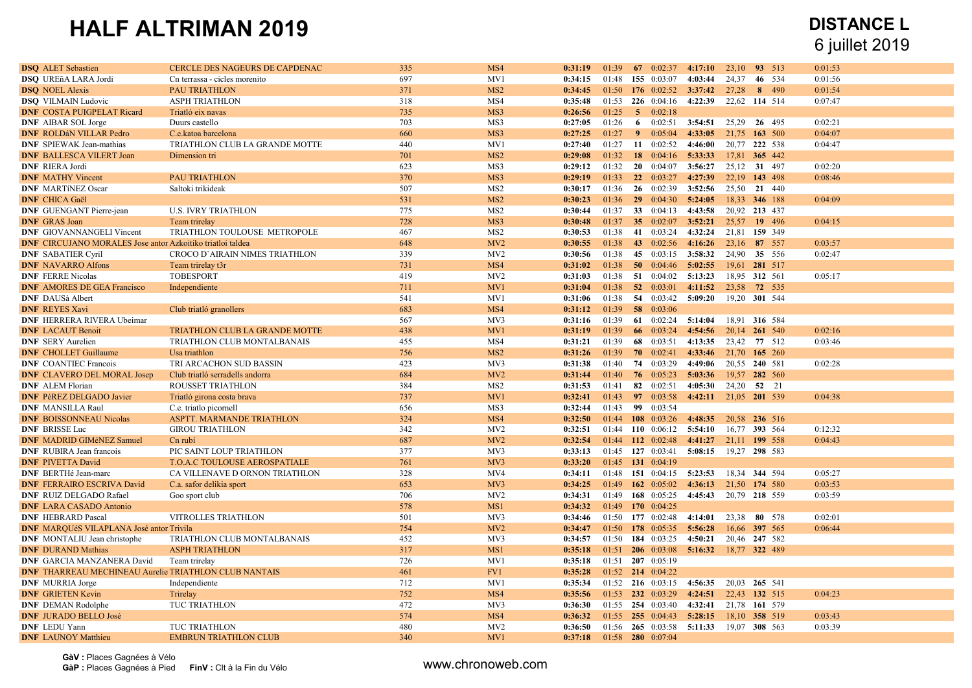| <b>DSQ</b> ALET Sebastien                                         | CERCLE DES NAGEURS DE CAPDENAC        | 335        | MS4                    | 0:31:19            | 01:39             |   | 67 $0:02:37$          | 4:17:10                                 | 23,10 93 513  |       | 0:01:53 |  |
|-------------------------------------------------------------------|---------------------------------------|------------|------------------------|--------------------|-------------------|---|-----------------------|-----------------------------------------|---------------|-------|---------|--|
| <b>DSQ</b> UREñA LARA Jordi                                       | Cn terrassa - cicles morenito         | 697        | MV1                    | 0:34:15            | 01:48             |   | 155 0:03:07           | 4:03:44                                 | 24,37 46 534  |       | 0:01:56 |  |
| <b>DSO</b> NOEL Alexis                                            | <b>PAU TRIATHLON</b>                  | 371        | MS <sub>2</sub>        | 0:34:45            |                   |   |                       | $01:50$ 176 $0:02:52$ 3:37:42 27.28     |               | 8 490 | 0:01:54 |  |
| <b>DSQ VILMAIN Ludovic</b>                                        | <b>ASPH TRIATHLON</b>                 | 318        | MS4                    | 0:35:48            |                   |   |                       | $01:53$ 226 0:04:16 4:22:39             | 22,62 114 514 |       | 0:07:47 |  |
| <b>DNF COSTA PUIGPELAT Ricard</b>                                 | Triatló eix navas                     | 735        | MS3                    | 0:26:56            | 01:25             |   | $5 \t 0.02:18$        |                                         |               |       |         |  |
| <b>DNF</b> AIBAR SOL Jorge                                        | Duurs castello                        | 703        | MS3                    | 0:27:05            | 01:26             | 6 | 0:02:51               | 3:54:51                                 | 25,29 26 495  |       | 0:02:21 |  |
| <b>DNF ROLDáN VILLAR Pedro</b>                                    | C.e.katoa barcelona                   | 660        | MS3                    | 0:27:25            | 01:27             |   | 90:05:04              | 4:33:05 21,75 163 500                   |               |       | 0:04:07 |  |
| <b>DNF</b> SPIEWAK Jean-mathias                                   | TRIATHLON CLUB LA GRANDE MOTTE        | 440        | MV1                    | 0:27:40            | 01:27             |   | 11 $0:02:52$          | 4:46:00                                 | 20,77 222 538 |       | 0:04:47 |  |
| <b>DNF BALLESCA VILERT Joan</b>                                   | Dimension tri                         | 701        | MS <sub>2</sub>        | 0:29:08            | 01:32             |   |                       | 18 0:04:16 5:33:33 17,81 365 442        |               |       |         |  |
| <b>DNF RIERA Jordi</b>                                            |                                       | 623        | MS3                    | 0:29:12            | 01:32             |   |                       | $20 \quad 0.04.07 \quad 3.56.27$        | 25,12 31 497  |       | 0:02:20 |  |
| <b>DNF MATHY Vincent</b>                                          | <b>PAU TRIATHLON</b>                  | 370        | MS3                    | 0:29:19            | 01:33             |   | $22 \t 0.03:27$       | 4:27:39                                 | 22,19 143 498 |       | 0:08:46 |  |
| <b>DNF MARTINEZ Oscar</b>                                         | Saltoki trikideak                     | 507        | MS <sub>2</sub>        | 0:30:17            | 01:36             |   |                       | 26 0:02:39 3:52:56 25.50 21 440         |               |       |         |  |
| <b>DNF</b> CHICA Gaël                                             |                                       | 531        | MS <sub>2</sub>        | 0:30:23            | 01:36             |   |                       | 29 0:04:30 5:24:05                      | 18.33 346 188 |       | 0:04:09 |  |
| <b>DNF</b> GUENGANT Pierre-jean                                   | <b>U.S. IVRY TRIATHLON</b>            | 775        | MS <sub>2</sub>        | 0:30:44            | 01:37             |   | 33 0:04:13            | 4:43:58                                 | 20.92 213 437 |       |         |  |
| <b>DNF</b> GRAS Joan                                              | Team trirelay                         | 728        | MS3                    | 0:30:48            | 01:37             |   |                       | 35 0:02:07 3:52:21 25.57 19 496         |               |       | 0:04:15 |  |
| <b>DNF</b> GIOVANNANGELI Vincent                                  | TRIATHLON TOULOUSE METROPOLE          | 467        | MS <sub>2</sub>        | 0:30:53            | 01:38             |   | 41 0:03:24            | 4:32:24                                 | 21,81 159 349 |       |         |  |
| <b>DNF</b> CIRCUJANO MORALES Jose antor Azkoitiko triatloi taldea |                                       | 648        | MV2                    | 0:30:55            | 01:38             |   |                       | 43 0:02:56 4:16:26                      | 23,16 87 557  |       | 0:03:57 |  |
| <b>DNF SABATIER Cyril</b>                                         | <b>CROCO D'AIRAIN NIMES TRIATHLON</b> | 339        | MV <sub>2</sub>        | 0:30:56            | 01:38             |   |                       | 45 0:03:15 3:58:32                      | 24,90 35 556  |       | 0:02:47 |  |
| <b>DNF NAVARRO Alfons</b>                                         | Team trirelay t3r                     | 731        | MS4                    | 0:31:02            | 01:38             |   |                       | 50 0.04:46 5:02:55 19.61 281 517        |               |       |         |  |
| <b>DNF</b> FERRE Nicolas                                          | <b>TOBESPORT</b>                      | 419        | MV2                    | 0:31:03            | 01:38             |   |                       | 51 $0.04.02$ 5:13:23                    | 18,95 312 561 |       | 0:05:17 |  |
| <b>DNF AMORES DE GEA Francisco</b>                                | Independiente                         | 711        | MV1                    | 0:31:04            | 01:38             |   | $52 \quad 0:03:01$    | 4:11:52 23.58 72 535                    |               |       |         |  |
| <b>DNF</b> DAUSà Albert                                           |                                       | 541        | MV1                    | 0:31:06            |                   |   |                       | $01:38$ 54 $0:03:42$ 5:09:20            | 19,20 301 544 |       |         |  |
| <b>DNF REYES Xavi</b>                                             | Club triatló granollers               | 683        | MS4                    | 0:31:12            | 01:39             |   | 58 0:03:06            |                                         |               |       |         |  |
| <b>DNF HERRERA RIVERA Ubeimar</b>                                 |                                       | 567        | MV3                    | 0:31:16            | 01:39             |   |                       | 61 $0:02:24$ 5:14:04                    | 18.91 316 584 |       |         |  |
| <b>DNF LACAUT Benoit</b>                                          | TRIATHLON CLUB LA GRANDE MOTTE        | 438        | MV1                    | 0:31:19            | 01:39             |   | 66 $0:03:24$          | 4:54:56 20,14 261 540                   |               |       | 0:02:16 |  |
| <b>DNF</b> SERY Aurelien                                          | TRIATHLON CLUB MONTALBANAIS           | 455        | MS4                    | 0:31:21            | 01:39             |   | 68 0:03:51            | 4:13:35                                 | 23,42 77 512  |       | 0:03:46 |  |
| <b>DNF</b> CHOLLET Guillaume                                      | Usa triathlon                         | 756        | MS <sub>2</sub>        | 0:31:26            | 01:39             |   | $70 \quad 0:02:41$    | 4:33:46 21,70 165 260                   |               |       |         |  |
| <b>DNF</b> COANTIEC Francois                                      | TRI ARCACHON SUD BASSIN               | 423        | MV3                    | 0:31:38            | 01:40             |   | 74 0:03:29            | 4:49:06                                 | 20,55 240 581 |       | 0:02:28 |  |
| <b>DNF</b> CLAVERO DEL MORAL Josep                                | Club triatló serradells andorra       | 684        | MV2                    | 0:31:44            | 01:40             |   | $76$ 0:05:23          | 5:03:36                                 | 19,57 282 560 |       |         |  |
| <b>DNF</b> ALEM Florian                                           | <b>ROUSSET TRIATHLON</b>              | 384        | MS <sub>2</sub>        | 0:31:53            | 01:41             |   | 82 0:02:51            | 4:05:30                                 | 24,20 52 21   |       |         |  |
| <b>DNF PéREZ DELGADO Javier</b>                                   | Triatló girona costa brava            | 737        | MV1                    | 0:32:41            | 01:43             |   |                       | 97 0:03:58 4:42:11 21,05 201 539        |               |       | 0:04:38 |  |
| <b>DNF</b> MANSILLA Raul                                          | C.e. triatlo picornell                | 656        | MS3                    | 0:32:44            | 01:43             |   | 99 0:03:54            |                                         |               |       |         |  |
| <b>DNF BOISSONNEAU Nicolas</b>                                    | ASPTT. MARMANDE TRIATHLON             | 324        | MS4                    | 0:32:50            |                   |   | 01:44 108 0:03:26     | 4:48:35 20.58 236 516                   |               |       |         |  |
| <b>DNF BRISSE Luc</b>                                             | <b>GIROU TRIATHLON</b>                | 342        | MV <sub>2</sub>        | 0:32:51            |                   |   |                       | $01:44$ 110 $0:06:12$ 5:54:10           | 16,77 393 564 |       | 0:12:32 |  |
| <b>DNF MADRID GIMÉNEZ Samuel</b>                                  | Cn rubí                               | 687        | MV2                    | 0:32:54            |                   |   | 01:44 112 0:02:48     | 4:41:27 21,11 199 558                   |               |       | 0:04:43 |  |
| <b>DNF</b> RUBIRA Jean francois                                   | PIC SAINT LOUP TRIATHLON              | 377        | MV3                    | 0:33:13            |                   |   |                       | 01:45 127 0:03:41 5:08:15 19,27 298 583 |               |       |         |  |
| <b>DNF PIVETTA David</b>                                          | T.O.A.C TOULOUSE AEROSPATIALE         | 761        | MV3                    | 0:33:20            | 01:45 131 0:04:19 |   |                       |                                         |               |       |         |  |
| DNF BERTHé Jean-marc                                              | CA VILLENAVE D ORNON TRIATHLON        | 328        | MV4                    | 0:34:11            |                   |   |                       | $01:48$ 151 0:04:15 5:23:53             | 18,34 344 594 |       | 0:05:27 |  |
| <b>DNF FERRAIRO ESCRIVA David</b>                                 | C.a. safor delikia sport              | 653        | MV3                    | 0:34:25            |                   |   |                       | 01:49 162 0:05:02 4:36:13 21,50 174 580 |               |       | 0:03:53 |  |
| <b>DNF RUIZ DELGADO Rafael</b>                                    | Goo sport club                        | 706        | MV <sub>2</sub>        | 0:34:31            |                   |   | 01:49 168 0:05:25     | 4:45:43 20,79 218 559                   |               |       | 0:03:59 |  |
| <b>DNF LARA CASADO Antonio</b>                                    |                                       | 578        | MS1                    | 0:34:32            | 01:49 170 0:04:25 |   |                       |                                         |               |       |         |  |
| <b>DNF HEBRARD Pascal</b>                                         | VITROLLES TRIATHLON                   | 501        | MV3                    | 0:34:46            |                   |   | 01:50 177 0:02:48     | 4:14:01                                 | 23,38 80 578  |       | 0:02:01 |  |
| <b>DNF MARQUÉS VILAPLANA José antor Trivila</b>                   |                                       | 754        | MV2                    | 0:34:47            |                   |   | $01:50$ 178 0:05:35   | 5:56:28 16,66 397 565                   |               |       | 0:06:44 |  |
| <b>DNF</b> MONTALIU Jean christophe                               | TRIATHLON CLUB MONTALBANAIS           | 452        | MV3                    | 0:34:57            |                   |   | 01:50 184 0:03:25     | 4:50:21                                 | 20,46 247 582 |       |         |  |
| <b>DNF DURAND Mathias</b>                                         | <b>ASPH TRIATHLON</b>                 | 317        | MS1                    | 0:35:18            |                   |   |                       | 01:51 206 0:03:08 5:16:32 18,77 322 489 |               |       |         |  |
| DNF GARCIA MANZANERA David                                        | Team trirelay                         | 726        | MV1                    | 0:35:18            | 01:51 207 0:05:19 |   |                       |                                         |               |       |         |  |
| <b>DNF THARREAU MECHINEAU Aurelie TRIATHLON CLUB NANTAIS</b>      |                                       | 461        | FV1                    | 0:35:28            |                   |   | $01:52$ 214 $0:04:22$ |                                         |               |       |         |  |
| <b>DNF</b> MURRIA Jorge                                           | Independiente                         | 712        | MV1                    | 0:35:34            |                   |   |                       | 01:52 216 0:03:15 4:56:35 20,03 265 541 |               |       |         |  |
| <b>DNF GRIETEN Kevin</b>                                          | Trirelay                              | 752        | MS4                    | 0:35:56            |                   |   | $01:53$ 232 0:03:29   | 4:24:51 22,43 132 515                   |               |       | 0:04:23 |  |
| <b>DNF</b> DEMAN Rodolphe                                         | TUC TRIATHLON                         | 472        | MV3                    | 0:36:30            |                   |   | 01:55 254 0:03:40     | 4:32:41                                 | 21,78 161 579 |       |         |  |
| <b>DNF JURADO BELLO José</b>                                      |                                       |            |                        |                    |                   |   |                       | $01:55$ 255 0:04:43 5:28:15             | 18,10 358 519 |       | 0:03:43 |  |
|                                                                   |                                       |            |                        |                    |                   |   |                       |                                         |               |       |         |  |
| <b>DNF</b> LEDU Yann                                              | TUC TRIATHLON                         | 574<br>480 | MS4<br>MV <sub>2</sub> | 0:36:32<br>0:36:50 |                   |   |                       | 01:56 265 0:03:58 5:11:33 19,07 308 563 |               |       | 0:03:39 |  |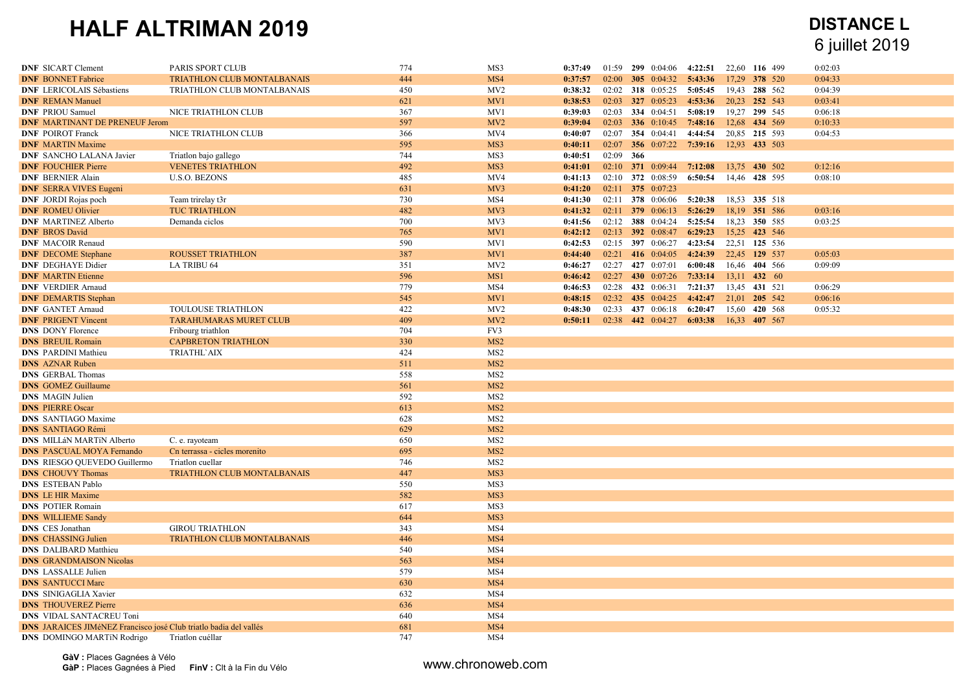| <b>DNF SICART Clement</b>                                                | PARIS SPORT CLUB              | 774        | MS3             | 0:37:49 |           | 01:59 299 0:04:06                       | 4:22:51 | 22,60 116 499 | 0:02:03 |  |
|--------------------------------------------------------------------------|-------------------------------|------------|-----------------|---------|-----------|-----------------------------------------|---------|---------------|---------|--|
| <b>DNF BONNET Fabrice</b>                                                | TRIATHLON CLUB MONTALBANAIS   | 444        | MS4             | 0:37:57 |           | 02:00 305 0:04:32                       | 5:43:36 | 17,29 378 520 | 0:04:33 |  |
| <b>DNF LERICOLAIS Sébastiens</b>                                         | TRIATHLON CLUB MONTALBANAIS   | 450        | MV <sub>2</sub> | 0:38:32 |           | 02:02 318 0:05:25                       | 5:05:45 | 19,43 288 562 | 0:04:39 |  |
| <b>DNF REMAN Manuel</b>                                                  |                               | 621        | MV1             | 0:38:53 |           | 02:03 327 0:05:23                       | 4:53:36 | 20,23 252 543 | 0:03:41 |  |
| <b>DNF PRIOU Samuel</b>                                                  | NICE TRIATHLON CLUB           | 367        | MV1             | 0:39:03 |           | 02:03 334 0:04:51                       | 5:08:19 | 19,27 299 545 | 0:06:18 |  |
| <b>DNF MARTINANT DE PRENEUF Jerom</b>                                    |                               | 597        | MV <sub>2</sub> | 0:39:04 |           | 02:03 336 0:10:45 7:48:16 12,68 434 569 |         |               | 0:10:33 |  |
| <b>DNF POIROT Franck</b>                                                 | NICE TRIATHLON CLUB           | 366        | MV4             | 0:40:07 |           | 02:07 354 0:04:41                       | 4:44:54 | 20,85 215 593 | 0:04:53 |  |
| <b>DNF</b> MARTIN Maxime                                                 |                               | 595        | MS3             | 0:40:11 |           | 02:07 356 0:07:22 7:39:16               |         | 12,93 433 503 |         |  |
| <b>DNF SANCHO LALANA Javier</b>                                          | Triatlon bajo gallego         | 744        | MS3             | 0:40:51 | 02:09 366 |                                         |         |               |         |  |
| <b>DNF FOUCHIER Pierre</b>                                               | <b>VENETES TRIATHLON</b>      | 492        | MS3             | 0:41:01 | 02:10     | 371 0:09:44                             | 7:12:08 | 13,75 430 502 | 0:12:16 |  |
| <b>DNF BERNIER Alain</b>                                                 | <b>U.S.O. BEZONS</b>          | 485        | MV4             | 0:41:13 |           | 02:10 372 0:08:59                       | 6:50:54 | 14,46 428 595 | 0:08:10 |  |
| <b>DNF SERRA VIVES Eugeni</b>                                            |                               | 631        | MV3             | 0:41:20 |           | 02:11 375 0:07:23                       |         |               |         |  |
| <b>DNF</b> JORDI Rojas poch                                              | Team trirelay t3r             | 730        | MS4             | 0:41:30 |           | 02:11 378 0:06:06                       | 5:20:38 | 18,53 335 518 |         |  |
| <b>DNF ROMEU Olivier</b>                                                 | <b>TUC TRIATHLON</b>          | 482        | MV3             | 0:41:32 |           | $02:11$ 379 0:06:13                     | 5:26:29 | 18,19 351 586 | 0:03:16 |  |
| <b>DNF MARTINEZ Alberto</b>                                              | Demanda ciclos                | 700        | MV3             | 0:41:56 | 02:12     | 388 0:04:24                             | 5:25:54 | 18,23 350 585 | 0:03:25 |  |
| <b>DNF BROS David</b>                                                    |                               | 765        | MV1             | 0:42:12 |           | 02:13 392 0:08:47 6:29:23 15,25 423 546 |         |               |         |  |
| <b>DNF</b> MACOIR Renaud                                                 |                               | 590        | MV1             | 0:42:53 |           | 02:15 397 0:06:27                       | 4:23:54 | 22,51 125 536 |         |  |
| <b>DNF</b> DECOME Stephane                                               | <b>ROUSSET TRIATHLON</b>      | 387        | MV1             | 0:44:40 |           | 02:21 416 0:04:05 4:24:39               |         | 22,45 129 537 | 0:05:03 |  |
| <b>DNF</b> DEGHAYE Didier                                                | <b>LA TRIBU 64</b>            | 351        | MV <sub>2</sub> | 0:46:27 |           | 02:27 427 0:07:01                       | 6:00:48 | 16,46 404 566 | 0:09:09 |  |
| <b>DNF MARTIN Etienne</b>                                                |                               | 596        | MS1             | 0:46:42 | 02:27     | 430 0:07:26                             | 7:33:14 | 13,11 432 60  |         |  |
| <b>DNF</b> VERDIER Arnaud                                                |                               | 779        | MS4             | 0:46:53 |           | 02:28 432 0:06:31                       | 7:21:37 | 13,45 431 521 | 0:06:29 |  |
| <b>DNF DEMARTIS Stephan</b>                                              |                               | 545        | MV1             | 0:48:15 |           | 02:32 435 0:04:25                       | 4:42:47 | 21,01 205 542 | 0:06:16 |  |
| <b>DNF GANTET Arnaud</b>                                                 | <b>TOULOUSE TRIATHLON</b>     | 422        | MV <sub>2</sub> | 0:48:30 | 02:33     | 437 0:06:18                             | 6:20:47 | 15,60 420 568 | 0:05:32 |  |
| <b>DNF PRIGENT Vincent</b>                                               | <b>TARAHUMARAS MURET CLUB</b> | 409        | MV2             | 0:50:11 |           | 02:38 442 0:04:27 6:03:38 16.33 407 567 |         |               |         |  |
| <b>DNS</b> DONY Florence                                                 | Fribourg triathlon            | 704        | FV3             |         |           |                                         |         |               |         |  |
| <b>DNS BREUIL Romain</b>                                                 | <b>CAPBRETON TRIATHLON</b>    | 330        | MS <sub>2</sub> |         |           |                                         |         |               |         |  |
| <b>DNS PARDINI Mathieu</b>                                               | <b>TRIATHL'AIX</b>            | 424        | MS <sub>2</sub> |         |           |                                         |         |               |         |  |
| <b>DNS AZNAR Ruben</b>                                                   |                               | 511        | MS <sub>2</sub> |         |           |                                         |         |               |         |  |
| <b>DNS</b> GERBAL Thomas                                                 |                               | 558        | MS <sub>2</sub> |         |           |                                         |         |               |         |  |
| <b>DNS</b> GOMEZ Guillaume                                               |                               | 561        | MS <sub>2</sub> |         |           |                                         |         |               |         |  |
| <b>DNS</b> MAGIN Julien                                                  |                               | 592        | MS <sub>2</sub> |         |           |                                         |         |               |         |  |
| <b>DNS PIERRE Oscar</b>                                                  |                               | 613        | MS <sub>2</sub> |         |           |                                         |         |               |         |  |
| <b>DNS</b> SANTIAGO Maxime                                               |                               | 628        | MS <sub>2</sub> |         |           |                                         |         |               |         |  |
| <b>DNS SANTIAGO Rémi</b>                                                 |                               | 629        | MS <sub>2</sub> |         |           |                                         |         |               |         |  |
|                                                                          |                               | 650        | MS <sub>2</sub> |         |           |                                         |         |               |         |  |
| <b>DNS MILLÁN MARTÍN Alberto</b>                                         | C. e. rayoteam                |            | MS <sub>2</sub> |         |           |                                         |         |               |         |  |
| <b>DNS PASCUAL MOYA Fernando</b>                                         | Cn terrassa - cicles morenito | 695        |                 |         |           |                                         |         |               |         |  |
| <b>DNS</b> RIESGO QUEVEDO Guillermo                                      | Triatlon cuellar              | 746        | MS <sub>2</sub> |         |           |                                         |         |               |         |  |
| <b>DNS</b> CHOUVY Thomas                                                 | TRIATHLON CLUB MONTALBANAIS   | 447<br>550 | MS3             |         |           |                                         |         |               |         |  |
| <b>DNS ESTEBAN Pablo</b>                                                 |                               |            | MS3             |         |           |                                         |         |               |         |  |
| <b>DNS</b> LE HIR Maxime                                                 |                               | 582        | MS3             |         |           |                                         |         |               |         |  |
| <b>DNS POTIER Romain</b>                                                 |                               | 617        | MS3             |         |           |                                         |         |               |         |  |
| <b>DNS</b> WILLIEME Sandy                                                |                               | 644        | MS3             |         |           |                                         |         |               |         |  |
| <b>DNS</b> CES Jonathan                                                  | <b>GIROU TRIATHLON</b>        | 343        | MS4             |         |           |                                         |         |               |         |  |
| <b>DNS</b> CHASSING Julien                                               | TRIATHLON CLUB MONTALBANAIS   | 446        | MS4             |         |           |                                         |         |               |         |  |
| <b>DNS</b> DALIBARD Matthieu                                             |                               | 540        | MS4             |         |           |                                         |         |               |         |  |
| <b>DNS GRANDMAISON Nicolas</b>                                           |                               | 563        | MS4             |         |           |                                         |         |               |         |  |
| <b>DNS</b> LASSALLE Julien                                               |                               | 579        | MS4             |         |           |                                         |         |               |         |  |
| <b>DNS SANTUCCI Marc</b>                                                 |                               | 630        | MS4             |         |           |                                         |         |               |         |  |
| <b>DNS</b> SINIGAGLIA Xavier                                             |                               | 632        | MS4             |         |           |                                         |         |               |         |  |
| <b>DNS</b> THOUVEREZ Pierre                                              |                               | 636        | MS4             |         |           |                                         |         |               |         |  |
| <b>DNS VIDAL SANTACREU Toni</b>                                          |                               | 640        | MS4             |         |           |                                         |         |               |         |  |
| <b>DNS JARAICES JIMéNEZ Francisco josé Club triatlo badia del vallés</b> |                               | 681        | MS4             |         |           |                                         |         |               |         |  |
| <b>DNS</b> DOMINGO MARTIN Rodrigo                                        | Triatlon cuéllar              | 747        | MS4             |         |           |                                         |         |               |         |  |